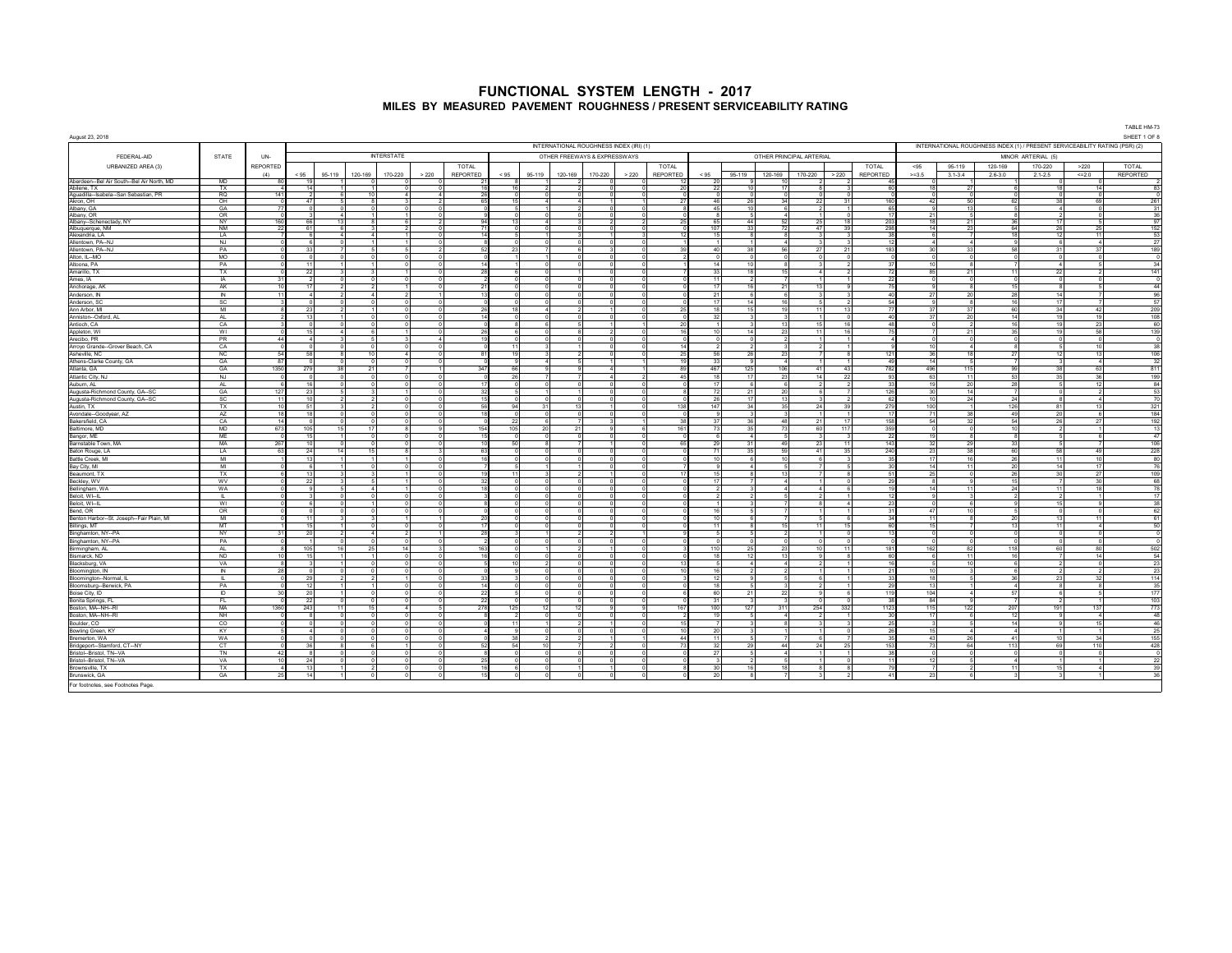|                                                                         | INTERNATIONAL ROUGHNESS INDEX (IRI) (1)<br>INTERNATIONAL ROUGHNESS INDEX (1) / PRESENT SERVICEABILITY RATING (PSR) (2)<br><b>STATE</b><br>UN-<br><b>INTERSTATE</b><br>OTHER FREEWAYS & EXPRESSWAYS<br>OTHER PRINCIPAL ARTERIAL<br>MINOR ARTERIAL (5) |                               |                          |                        |         |                      |          |                                  |                  |                        |                      |         |       |          | TABLE HM-73          |                    |          |         |                     |              |                        |                 |                           |                            |            |                                                             |
|-------------------------------------------------------------------------|------------------------------------------------------------------------------------------------------------------------------------------------------------------------------------------------------------------------------------------------------|-------------------------------|--------------------------|------------------------|---------|----------------------|----------|----------------------------------|------------------|------------------------|----------------------|---------|-------|----------|----------------------|--------------------|----------|---------|---------------------|--------------|------------------------|-----------------|---------------------------|----------------------------|------------|-------------------------------------------------------------|
| August 23, 2018                                                         |                                                                                                                                                                                                                                                      |                               |                          |                        |         |                      |          |                                  |                  |                        |                      |         |       |          |                      |                    |          |         |                     |              |                        |                 |                           |                            |            | SHEET 1 OF 8                                                |
| FEDERAL-AID                                                             |                                                                                                                                                                                                                                                      |                               |                          |                        |         |                      |          |                                  |                  |                        |                      |         |       |          |                      |                    |          |         |                     |              |                        |                 |                           |                            |            |                                                             |
| URBANIZED AREA (3)                                                      |                                                                                                                                                                                                                                                      | <b>REPORTED</b>               |                          |                        |         |                      |          | TOTAL                            |                  |                        |                      |         |       | TOTAL    |                      |                    |          |         |                     | TOTAL        | < 95                   | 95-119          | 120-169                   | 170-220                    | >220       | <b>TOTAL</b>                                                |
|                                                                         |                                                                                                                                                                                                                                                      | (4)                           | < 95                     | 95-119                 | 120-169 | 170-220              | > 220    | REPORTED                         | $<95\,$          | 95-119                 | 120-169              | 170-220 | > 220 | REPORTED | < 95                 | 95-119             | 120-169  | 170-220 | > 220               | REPORTED     | $>=3.5$                | $3.1 - 3.4$     | $2.6 - 3.0$               | $2.1 - 2.5$                | $<< = 2.0$ | <b>REPORTED</b>                                             |
| Aberdeen -- Bel Air South -- Bel Air North, MD                          | MD                                                                                                                                                                                                                                                   | -80                           | 19                       |                        |         |                      |          |                                  |                  |                        |                      |         |       |          |                      |                    |          |         |                     |              |                        |                 |                           |                            |            |                                                             |
| Abilene, TX                                                             | TX<br><b>RQ</b>                                                                                                                                                                                                                                      | $\boldsymbol{\Lambda}$<br>141 | 14                       |                        |         |                      |          | 16                               | 16               |                        |                      |         |       |          | 22                   | 10                 |          |         |                     | $\approx$    | 18                     | 27              | -6                        | 18                         | 14         | 83                                                          |
| Aguadilla--Isabela--San Sebastian, PR<br>Akron, OH                      | OH                                                                                                                                                                                                                                                   |                               | 47                       |                        |         |                      |          | 65                               | 15               |                        |                      |         |       |          | 46                   | 26                 | 24       | 22      | 31                  | 160          | 42                     | 50              | 62                        | 38                         | cc         | 261                                                         |
| Albany, GA                                                              | GA                                                                                                                                                                                                                                                   | 77                            | $\Omega$                 |                        |         |                      |          |                                  |                  |                        |                      |         |       |          | 45                   | 10                 |          |         |                     | 65           | -91                    | 13              | $-5$                      | -4                         |            |                                                             |
| Albany, OR                                                              | OR                                                                                                                                                                                                                                                   |                               |                          |                        |         |                      |          |                                  |                  |                        |                      |         |       |          |                      |                    |          |         |                     | 17           | 21                     |                 | -8                        |                            |            |                                                             |
| Albany--Schenectady, NY<br>Albuquerque, NM                              | NY<br><b>NM</b>                                                                                                                                                                                                                                      | 160<br>22                     | 66<br>61                 | 13                     |         |                      |          | 71                               | 13               |                        |                      |         |       |          | 107                  | 44<br>33           |          | 47      | 18<br>39            | 203<br>298   | 18<br>14               | 23              | 36<br>64                  | 26                         |            | $\begin{array}{r} 31 \\ 36 \\ \hline 97 \\ 152 \end{array}$ |
| Alexandria, LA                                                          | LA                                                                                                                                                                                                                                                   |                               | -6                       | $\boldsymbol{\Lambda}$ |         |                      |          | 14                               |                  |                        |                      |         |       |          | $\ddot{\phantom{1}}$ | -8                 |          |         |                     | 28           | -6                     |                 | 18                        | 12                         | 11         | $rac{53}{27}$                                               |
| Allentown, PA -- NJ                                                     | NJ                                                                                                                                                                                                                                                   |                               | -6                       |                        |         |                      |          |                                  |                  |                        |                      |         |       |          |                      |                    |          |         |                     | - 12         | -4                     |                 | $\mathbf{Q}$              | - 6                        |            |                                                             |
| Allentown, PA -- NJ                                                     | PA                                                                                                                                                                                                                                                   |                               | 33                       |                        |         |                      |          |                                  | 23               |                        |                      |         |       |          | $\Delta$             | 38                 |          |         | 21                  | 183          | 30                     | 33              | 58                        | 31                         |            | 189                                                         |
| Alton, IL--MO<br>Altoona, PA                                            | <b>MO</b><br>PA                                                                                                                                                                                                                                      |                               | $^{\circ}$<br>11         |                        |         |                      |          |                                  |                  |                        |                      |         |       |          | 14                   | $\Omega$<br>10     |          |         |                     |              | 10                     |                 | $\circ$<br>$\overline{7}$ | $\overline{4}$             |            | 34                                                          |
| Amarillo, TX                                                            | TX                                                                                                                                                                                                                                                   |                               | 22                       |                        |         |                      |          |                                  |                  |                        |                      |         |       |          | 33                   | 18                 |          |         |                     |              | 85                     | 21              | 11                        | 22                         |            | 141                                                         |
| Ames, IA                                                                | IA                                                                                                                                                                                                                                                   | 31                            |                          |                        |         |                      |          |                                  |                  |                        |                      |         |       |          |                      |                    |          |         |                     |              |                        |                 | $^{\circ}$                |                            |            |                                                             |
| Anchorage, AK                                                           | <b>AK</b>                                                                                                                                                                                                                                            | 10                            | 17                       |                        |         |                      |          | 21                               |                  |                        | $\Omega$             |         |       |          | 17                   | 16                 | 21       | 13      | $\Omega$            | 75           | $\Omega$               |                 | 15                        | $\mathbf{a}$               |            | 44                                                          |
| Anderson, IN                                                            | IN                                                                                                                                                                                                                                                   | 11                            | $\sim$                   |                        |         | $\mathcal{P}$        |          | 13                               |                  |                        | $\Omega$             |         |       |          | 21                   | -6                 |          |         |                     | 40           | 27                     | 20              | 28                        | 14                         |            | 96                                                          |
| Anderson, SC                                                            | SC                                                                                                                                                                                                                                                   |                               | $\Omega$                 |                        |         | $\Omega$<br>$\Omega$ |          |                                  | 18               | $\boldsymbol{\Lambda}$ |                      |         |       |          | 17<br>18             | 14                 | 16<br>19 | 11      | $\mathcal{D}$       | -54<br>77    |                        |                 | 16                        | 17                         | 42         | 57<br>209                                                   |
| Ann Arbor, MI<br>Anniston--Oxford, Al                                   | MI<br>AL.                                                                                                                                                                                                                                            |                               | 23<br>13                 |                        |         | $\Omega$             |          | 26<br>14                         |                  |                        | $\Omega$             |         |       |          | -32                  | 15<br>$\mathbf{R}$ |          |         | 13<br>$\Omega$      | 40           | 37<br>37               | -37<br>20       | 60<br>14                  | 34<br>19                   | 10         |                                                             |
| Antioch, CA                                                             | CA                                                                                                                                                                                                                                                   |                               | $\Omega$                 |                        |         |                      |          |                                  |                  |                        | $\mathbf{r}$         |         |       |          |                      | $\mathbf{R}$       |          | 15      | 16                  | 48           | $\sim$                 |                 | 16                        | 19                         | 23         | $\frac{108}{60}$                                            |
| Appleton, WI                                                            | WI                                                                                                                                                                                                                                                   |                               | 15                       |                        |         |                      | 0        | 26                               |                  |                        | $\mathbf{R}$         |         |       |          | 10                   | 14                 | 23       | 11      | 16                  |              |                        | 21              | 35                        | 19                         | 58         | 139                                                         |
| Arecibo, PR                                                             | <b>PR</b>                                                                                                                                                                                                                                            | 44                            | 4                        |                        |         | 3                    |          | 19<br>4                          |                  |                        | C.                   |         |       |          |                      | $\overline{0}$     |          |         |                     |              | $\Omega$               |                 | $\overline{0}$            | $\overline{0}$             |            | $\overline{0}$                                              |
| Arroyo Grande -- Grover Beach, CA                                       | CA                                                                                                                                                                                                                                                   |                               | $\overline{0}$           |                        |         |                      |          |                                  | 11               |                        |                      |         |       |          | 56                   | -2                 |          |         |                     | $\mathbf{R}$ | 10                     | 18              | 8                         | 12                         | 10<br>13   | 38                                                          |
| Asheville, NC                                                           | NC<br>GA                                                                                                                                                                                                                                             | 54<br>87                      | 58<br>$\Omega$           |                        |         |                      |          | 81                               | 19               |                        |                      |         |       |          | 33                   | 26<br>$\mathbf{q}$ | 23       |         |                     | 121<br>49    | 36<br>14               |                 | 27<br>$\overline{7}$      |                            |            | 106<br>32                                                   |
| Athens-Clarke County, GA                                                | GA                                                                                                                                                                                                                                                   | 1350                          | 279                      | 38                     | 21      |                      |          | 347                              | 66               |                        |                      |         |       |          | 467                  | 125                | 106      | 41      | 43                  | 782          | 496                    | 115             | 99                        | 38                         | 63         | 811                                                         |
| Atlantic City, NJ                                                       | NJ                                                                                                                                                                                                                                                   |                               | $^{\circ}$               |                        |         |                      |          |                                  | 26               |                        |                      |         |       |          | 18                   | 17                 | 23       | 14      | 22                  | 93           | 63                     | 11              | 53                        | 35                         | 36         | 199                                                         |
| Auburn, AL                                                              | AL                                                                                                                                                                                                                                                   |                               | 16                       |                        |         |                      |          | 17                               | $\sqrt{2}$       |                        | $\Omega$             |         |       |          | 17                   | - 6                |          |         | $\overline{2}$      | 33           | 19                     | 20              | ${\bf 28}$                |                            | 12         | 84                                                          |
| Augusta-Richmond County, GA--SC                                         | GA                                                                                                                                                                                                                                                   | 127                           | 23                       |                        |         |                      |          | 32                               |                  |                        |                      |         |       |          | 72                   | 21                 | 20       |         |                     | 126          | 30                     | 14              | $\overline{7}$            |                            |            | 53                                                          |
|                                                                         | SC<br>TX                                                                                                                                                                                                                                             | 11<br>10                      | 10<br>51                 | $\mathcal{D}$          |         | $\Omega$<br>$\Omega$ |          | 15<br>$\Omega$<br>56<br>$\Omega$ | $\sqrt{2}$<br>94 | $\Omega$<br>31         | $\Omega$<br>13       |         |       | 138      | 26<br>147            | 17<br>34           | 13<br>35 | - 24    | $\mathcal{P}$<br>39 | 62<br>279    | 10 <sup>1</sup><br>100 | 24              | 24<br>126                 | $\mathbf{R}$<br>81         | 13         | 70<br>321                                                   |
| Augusta-Richmond County, GA--SC<br>Austin, TX<br>Avondale--Goodyear, AZ | AZ                                                                                                                                                                                                                                                   | 18                            | 18                       |                        |         | $\Omega$             |          | 18                               |                  | $\Omega$               | $\Omega$             |         |       |          |                      | $\mathbf{3}$       |          |         |                     | -17          | 71                     | 38              | 49                        | 20                         |            |                                                             |
| Bakersfield, CA                                                         | CA                                                                                                                                                                                                                                                   | 14                            | $\Omega$                 | -n                     |         | $\Omega$             |          |                                  | 22               | -6                     |                      |         |       | 38       | - 37                 | 36                 | 48       | 21      | 17                  | 158          | 54                     | 32              | 54                        | 26                         | - 27       | 184<br>192                                                  |
| Baltimore, MD                                                           | <b>MD</b>                                                                                                                                                                                                                                            | 673                           | 105                      | - 15                   | 17      | -8                   |          | 154                              | 105              | 20                     | 21                   |         |       | 161      | -73                  | 35                 | 73       | 60      | 117                 | 359          | $\circ$                | - 0             | 10                        |                            |            | 13                                                          |
| Bangor, ME<br>Barnstable Town, MA                                       | ME<br>MA                                                                                                                                                                                                                                             | 267                           | 15<br>10                 |                        |         | $^{\circ}$           |          | 15<br>10                         | 50               |                        |                      |         |       |          | 29                   | $\sim$<br>31       | 49       | 23      | 11                  | 22<br>143    | 19<br>32               | 29              | -8<br>33                  | 5                          |            | 47                                                          |
| Baton Rouge, LA                                                         | LA                                                                                                                                                                                                                                                   | 63                            | 24                       | 14                     |         | 8                    |          | 63                               |                  |                        |                      |         |       |          | $\overline{7}$       | 35                 | 59       | 41      | 35                  | 240          | 23                     | 38              | 60                        | 58                         | 49         | $\frac{106}{228}$                                           |
| Battle Creek, MI                                                        | MI                                                                                                                                                                                                                                                   |                               | 13                       |                        |         |                      |          |                                  |                  |                        |                      |         |       |          |                      |                    |          |         |                     | 35           | 17                     | 16              | 26                        | 11                         |            |                                                             |
| Bay City, MI                                                            | MI                                                                                                                                                                                                                                                   |                               | -6                       |                        |         |                      |          |                                  |                  |                        |                      |         |       |          |                      |                    |          |         |                     |              | 14                     | 11              | 20                        | 14                         | $\ddot{ }$ | 76                                                          |
| Beaumont, TX                                                            | TX                                                                                                                                                                                                                                                   |                               | 13                       |                        |         |                      |          | 19                               | 11               |                        |                      |         |       |          |                      |                    |          |         |                     | 51           | 25                     |                 | 26                        | 30                         | 27         | $\frac{109}{68}$                                            |
| Beckley, WV<br>Bellingham, WA                                           | WV<br>WA                                                                                                                                                                                                                                             |                               | 22<br>9                  |                        |         |                      |          | 32<br>18                         |                  |                        |                      |         |       |          |                      | 3                  |          |         | 6                   | 29<br>19     | 8<br>14                | 11              | 15<br>24                  | $\overline{7}$<br>11       | 30<br>18   | 78                                                          |
| Beloit, WI--IL                                                          | H.                                                                                                                                                                                                                                                   |                               | $\overline{\mathbf{3}}$  |                        |         | $\Omega$             |          |                                  |                  |                        |                      |         |       |          |                      | $\overline{2}$     |          |         |                     | -12          |                        |                 | $\overline{2}$            | $\mathcal{P}$              |            | 17                                                          |
| Beloit, WI-IL                                                           | WI                                                                                                                                                                                                                                                   |                               | -6                       |                        |         | $\Omega$             |          |                                  |                  |                        |                      |         |       |          |                      |                    |          |         | $\Lambda$           | 23           |                        |                 | 9                         | 15                         |            |                                                             |
| Bend, OR                                                                | OR.                                                                                                                                                                                                                                                  |                               | $\Omega$                 |                        |         | $\Omega$             | $\Omega$ |                                  |                  |                        | $\Omega$             |         |       |          | 16                   | $\sim$             |          |         |                     | 31           | 47                     | 10 <sup>1</sup> | 5                         | $\sim$                     |            | $\begin{array}{r} 38 \\ 62 \end{array}$                     |
| Benton Harbor--St. Joseph--Fair Plain, MI                               | M<br>MT                                                                                                                                                                                                                                              |                               | 11                       |                        |         | $\sim$<br>$\Omega$   |          | 20<br>17                         |                  |                        | $\Omega$<br>$\Omega$ |         |       |          | 10<br>-11            | 6<br>$\mathbf{a}$  | 15       | 11      | $\mathbf{6}$<br>15  | 34<br>60     | 11<br>15               |                 | 20                        | 13<br>11                   | 11         | 61                                                          |
| Billings, MT<br>Binghamton, NY--PA                                      | <b>NY</b>                                                                                                                                                                                                                                            | 31                            | 15<br>20                 | $\mathcal{D}$          |         | $\overline{2}$       |          | 28                               |                  |                        | $\mathcal{P}$        |         |       |          |                      | $-5$               |          |         | $\Omega$            |              | $\overline{0}$         |                 | 13<br>$\circ$             | $\Omega$                   |            | 50<br>$\sqrt{2}$                                            |
|                                                                         | PA                                                                                                                                                                                                                                                   |                               | $\overline{1}$           |                        |         | $\Omega$             |          |                                  |                  |                        |                      |         |       |          |                      |                    |          |         | $\Omega$            |              | $\sim$                 |                 | $\Omega$                  |                            |            |                                                             |
| Binghamton, NY--PA<br>Birmingham, AL<br>Bismarck, ND                    | AI                                                                                                                                                                                                                                                   |                               | 105                      |                        |         | 14                   |          | 163                              |                  |                        |                      |         |       |          | 110                  | 25                 |          |         | 11                  | 181          | 162                    | 82              | 118                       | 60                         |            | $\frac{502}{54}$                                            |
|                                                                         | ND                                                                                                                                                                                                                                                   |                               | 15                       |                        |         | $\Omega$             |          | 16                               |                  |                        |                      |         |       |          | 18                   | 12                 |          |         | 8                   | 60           | $6 \mid$               | 11              | 16                        | $\overline{7}$             | 14         |                                                             |
| Blacksburg, VA                                                          | VA                                                                                                                                                                                                                                                   | 28                            | $\mathbf{3}$             |                        |         |                      |          |                                  | 10               |                        | $\Omega$             |         |       |          |                      | $\overline{a}$     |          |         |                     |              | 5 <sup>1</sup><br>10   | 10              | 6<br>6                    | $\mathfrak{p}$             |            | 23                                                          |
| Bloomington, IN<br>Bloomington--Normal, IL                              | ż<br>п.                                                                                                                                                                                                                                              |                               | $\Omega$<br>29           |                        |         |                      |          |                                  |                  |                        |                      |         |       |          | 12                   |                    |          |         |                     |              | 18                     |                 | 36                        | 23                         |            | $\frac{23}{114}$                                            |
|                                                                         | PA                                                                                                                                                                                                                                                   |                               | 12                       |                        |         | $\Omega$             |          | 14                               |                  |                        | $\Omega$             |         |       |          | 18                   | 5                  |          |         |                     | 29           | 13                     |                 | $\overline{4}$            | $\mathbf{a}$               |            | 35                                                          |
| Bloomsburg--Berwick, PA                                                 | ID                                                                                                                                                                                                                                                   | 30                            | 20                       |                        |         |                      |          | 22                               |                  |                        |                      |         |       |          | 60                   | 21                 | 22       |         | <b>A</b>            | 119          | 104                    |                 | 57                        | $\mathbf{6}$               |            | 177                                                         |
| Bonita Springs, FL                                                      | FL.                                                                                                                                                                                                                                                  |                               | 22                       | $\Omega$               |         |                      |          | 22                               |                  |                        | $\Omega$             |         |       |          | 31                   | $\mathbf{3}$       |          |         | $\Omega$            | 38           | 84                     |                 | $\overline{7}$            | $\overline{\mathbf{2}}$    |            | 103                                                         |
| Boston, MA--NH--RI                                                      | <b>MA</b>                                                                                                                                                                                                                                            | 1360                          | 243                      | 11                     | 16      | $\boldsymbol{A}$     |          | 278                              | 125              | 12                     | 12                   |         |       | 167      | 100                  | 127                | 311      | 254     | 332                 | 1123         | 115                    | 122             | 207                       | 191                        | 137        | 773                                                         |
| Boston, MA--NH--RI                                                      | NH<br><b>CO</b>                                                                                                                                                                                                                                      |                               | $\mathbf{R}$<br>$\Omega$ |                        |         | $\Omega$             |          |                                  | 11               |                        | $\hat{ }$            |         |       |          | 10                   | -5<br>$\mathbf{R}$ |          |         | $\mathbf{R}$        | 30<br>25     | 17<br>$\mathbf{3}$     |                 | 12                        | $\mathbf{a}$<br>$^{\circ}$ | 15         | $\frac{48}{46}$                                             |
| Boulder, CO<br>Bowling Green, KY                                        | KY                                                                                                                                                                                                                                                   |                               | $\sim$                   |                        |         | $\Omega$             |          |                                  |                  |                        |                      |         |       |          | 20                   | -3                 |          |         | $\Omega$            | 26           | 15                     |                 | 14<br>$\sim$ 4            |                            |            | 25                                                          |
| Bremerton, WA                                                           | WA                                                                                                                                                                                                                                                   |                               | $\Omega$                 |                        |         |                      |          |                                  | 38               |                        |                      |         |       |          | $\rightarrow$        | -5                 |          |         |                     | 35           | 43                     | 26              | 41                        | 10 <sup>10</sup>           | 34         |                                                             |
| Bridgeport--Stamford, CT--NY                                            | <b>CT</b>                                                                                                                                                                                                                                            |                               | 36                       | -8                     |         |                      |          | 52                               | 54               | 10                     |                      |         |       |          | -32                  | 29                 | -44      | 24      | 25                  | 153          | 73                     | 64              | 113                       | 69                         | 110        | $\frac{155}{428}$                                           |
| Bristol--Bristol, TN--VA                                                | TN                                                                                                                                                                                                                                                   | 42                            | -8                       |                        |         |                      |          |                                  |                  |                        |                      |         |       |          | $\overline{2}$       | -5                 |          |         |                     |              | $\Omega$               |                 | $^{\circ}$                | $\Omega$                   |            | 7                                                           |
| Bristol--Bristol, TN--VA<br>Brownsville, TX                             | VA<br>TX                                                                                                                                                                                                                                             |                               | 24<br>13                 |                        |         |                      |          | 16                               |                  |                        |                      |         |       |          | 30                   | 16                 |          |         |                     | 79           | 12                     |                 | $\sim$ 4<br>11            | 15                         |            | $\begin{array}{r} 22 \\ 39 \\ 36 \end{array}$               |
| Brunswick, GA                                                           | GA                                                                                                                                                                                                                                                   | 25                            | 14                       |                        |         |                      |          |                                  |                  |                        |                      |         |       |          | 20                   | 8                  |          |         |                     | 41           | 23                     |                 | 3                         |                            |            |                                                             |
| For footnotes, see Footnotes Page.                                      |                                                                                                                                                                                                                                                      |                               |                          |                        |         |                      |          |                                  |                  |                        |                      |         |       |          |                      |                    |          |         |                     |              |                        |                 |                           |                            |            |                                                             |
|                                                                         |                                                                                                                                                                                                                                                      |                               |                          |                        |         |                      |          |                                  |                  |                        |                      |         |       |          |                      |                    |          |         |                     |              |                        |                 |                           |                            |            |                                                             |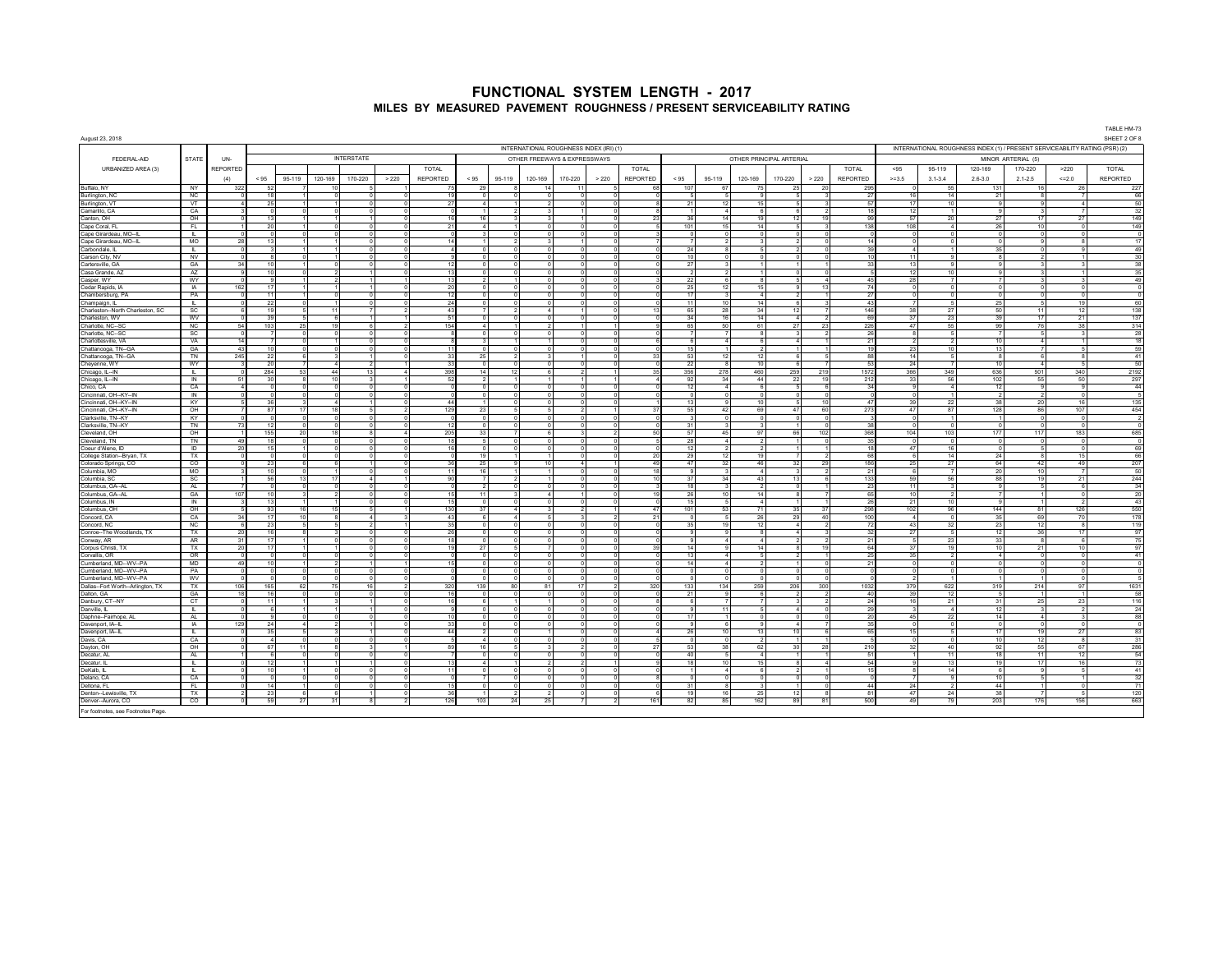| August 23, 2018                                    |                      |            |                        |              |                                                                        |                           |                        |                |                            |                                      |                          |                                         |       |                 |                     |                      |                                    |                                     |                                  |                   |                            |                      |             |                                |                                                                             | TABLE HM-73<br>SHEET 2 OF 8  |
|----------------------------------------------------|----------------------|------------|------------------------|--------------|------------------------------------------------------------------------|---------------------------|------------------------|----------------|----------------------------|--------------------------------------|--------------------------|-----------------------------------------|-------|-----------------|---------------------|----------------------|------------------------------------|-------------------------------------|----------------------------------|-------------------|----------------------------|----------------------|-------------|--------------------------------|-----------------------------------------------------------------------------|------------------------------|
|                                                    |                      |            |                        |              |                                                                        |                           |                        |                |                            |                                      |                          | INTERNATIONAL ROUGHNESS INDEX (IRI) (1) |       |                 |                     |                      |                                    |                                     |                                  |                   |                            |                      |             |                                | INTERNATIONAL ROUGHNESS INDEX (1) / PRESENT SERVICEABILITY RATING (PSR) (2) |                              |
| FEDERAL-AID                                        | <b>STATE</b>         | UN-        |                        |              |                                                                        | <b>INTERSTATE</b>         |                        |                |                            |                                      |                          | OTHER FREEWAYS & EXPRESSWAYS            |       |                 |                     |                      | OTHER PRINCIPAL ARTERIAL           |                                     |                                  |                   |                            |                      |             | MINOR ARTERIAL (5)             |                                                                             |                              |
| URBANIZED AREA (3)                                 |                      | REPORTED   |                        |              |                                                                        |                           |                        | TOTAL          |                            |                                      |                          |                                         |       | <b>TOTAL</b>    |                     |                      |                                    |                                     |                                  | <b>TOTAL</b>      | < 95                       | 95-119               | 120-169     | 170-220                        | >220                                                                        | TOTAL                        |
|                                                    |                      | (4)        | < 95                   | 95-119       | 120-169                                                                | 170-220                   | > 220                  | REPORTED       | < 95                       | 95-119                               | 120-169                  | 170-220                                 | > 220 | <b>REPORTED</b> | < 95                | 95-119               | 120-169                            | 170-220                             | > 220                            | <b>REPORTED</b>   | $>=3.5$                    | $3.1 - 3.4$          | $2.6 - 3.0$ | $2.1 - 2.5$                    | $<< = 2.0$                                                                  | REPORTED                     |
| <b>Buffalo NY</b>                                  | NY .                 | 322        | 52                     |              | 10                                                                     | -5                        |                        | 75             | 29                         | -8                                   | -14                      | -11                                     |       | 68              | 107                 | 67                   | 75                                 | 25                                  | 20                               | 295               | $\Omega$                   | 55                   |             | 131                            | -16<br>- 26                                                                 | 227                          |
| Burlington, NC                                     | NC                   |            | 18                     |              | $\Omega$                                                               |                           |                        | 19             | $\circ$                    | -0                                   |                          | $\Omega$                                |       |                 | -5                  | -51                  | -9.                                | -51                                 |                                  | 27                | 16                         | 14                   |             | 21                             |                                                                             | 66                           |
| Burlington, VT                                     | VΤ                   |            | 25                     |              |                                                                        |                           |                        | 27             | $\overline{a}$             |                                      |                          |                                         |       |                 | 21                  | 12                   | 15                                 | 5 <sup>1</sup>                      |                                  | 57                | 17                         | 10                   |             |                                |                                                                             | 50                           |
| Camarillo, CA<br>Canton, OH                        | CA<br>OH             |            | $^{\circ}$<br>13       |              |                                                                        |                           |                        | 16             | 16                         |                                      |                          |                                         |       | 23              | 36                  | 14                   | 19                                 | 12                                  | 19                               | 99                | 12<br>57                   | 20                   |             | 27                             | 27<br>17                                                                    | 32<br>149                    |
| Cape Coral, FL                                     | FL.                  |            | 20                     |              | $\Omega$                                                               | $\sim$                    |                        | 21             | $\overline{a}$             |                                      |                          | $\Omega$                                |       |                 | 101                 | 15                   | 14                                 | 5                                   |                                  | 138               | 108                        | $\overline{4}$       |             | 26                             | 10                                                                          | 149                          |
| Cape Girardeau, MO--IL                             | H.                   |            | $\Omega$               | $\Omega$     | $\overline{0}$                                                         | $\Omega$                  |                        | $\Omega$       | 3                          | $\Omega$                             | $\Omega$                 | $\Omega$                                |       |                 | $\circ$             | $\Omega$             | $\circ$                            | $\Omega$                            | $\Omega$                         |                   | $\Omega$                   | $\Omega$             |             | $\Omega$                       |                                                                             | $\,$ 0                       |
| Cape Girardeau, MO--IL                             | MO                   | 28         | 13                     |              |                                                                        | $\sim$                    |                        | 14             |                            | $\overline{2}$                       |                          | $\overline{ }$                          |       |                 | 7                   | $\overline{2}$       | $\overline{3}$                     | $\sim$                              | $\Omega$                         |                   | $\Omega$                   | $\sqrt{2}$           |             | $\sqrt{2}$                     |                                                                             | 17                           |
| Carbondale, IL<br>Carson City NV                   | T.<br>NV             | ി          | $_{3}$<br>$\mathbf{a}$ |              | $\mathbf{1}$<br>$\sim$<br>$\Omega$<br>$\overline{1}$                   | $\Omega$                  | $\Omega$               | $\sim$         | $\Omega$<br>$\overline{0}$ | $\Omega$<br>$\Omega$                 | $\Omega$                 | $\Omega$<br>$\Omega$                    |       | $\Omega$        | 24<br>10            | -81<br>$\Omega$      | -5<br>$\overline{0}$               | $\overline{2}$<br>$\overline{0}$    | $\Omega$                         | -39               | $\sim$ 4<br>11             | $\mathbf{1}$<br>9.   |             | 35                             |                                                                             | 49<br>30                     |
| Cartersville, GA                                   | GA                   | 34         | 10                     |              | $\Omega$                                                               |                           |                        | 12             | 5                          |                                      |                          | $\overline{0}$                          |       |                 | 27                  |                      | $\overline{1}$                     |                                     |                                  |                   | 13                         | 9.                   |             |                                |                                                                             | 38                           |
| Casa Grande, A2                                    | AZ                   |            | 10                     |              |                                                                        |                           |                        | 13             | $\mathbf{0}$               |                                      |                          | $\Omega$                                |       |                 | $\overline{2}$      |                      |                                    | $\mathbf 0$                         |                                  |                   | 12                         | 10                   |             |                                |                                                                             | 35                           |
| Casper, WY                                         | WY                   |            | $\mathbf{Q}$           |              | $\overline{2}$                                                         |                           |                        | 13             | $\overline{2}$             |                                      |                          | $\Omega$                                |       |                 | 22                  | -61                  | $\mathbf{8}$                       | 5 <sub>1</sub>                      | $\overline{a}$                   | 45                | 28                         | $\overline{7}$       |             |                                |                                                                             | 49                           |
| Cedar Rapids, IA                                   | IA                   | 162        | 17                     |              |                                                                        |                           |                        | 20             | $\circ$                    |                                      |                          | $\Omega$                                |       |                 | 25                  | 12                   | 15                                 | 9                                   | 13                               | 74                | $\circ$                    | $\circ$              |             |                                |                                                                             | $\,$ 0<br>$\overline{0}$     |
| Chambersburg, PA<br>Champaign, IL                  | PA<br><b>ILL S</b>   | $\Omega$   | 11<br>22               |              | $\Omega$<br>$\Omega$                                                   | $\Omega$<br>$\Omega$      | $\Omega$               | 12<br>24       | $\circ$<br>$\Omega$        | $\Omega$<br>$\Omega$                 | $\Omega$<br>$\Omega$     | $\Omega$<br>$\Omega$                    |       |                 | 17<br>11            | $\overline{3}$<br>10 | 4<br>14                            | $\overline{2}$<br>6                 | $\overline{1}$<br>વ              | 27<br>43          | $\Omega$<br>$\overline{7}$ | $\Omega$<br>-5       |             | 25                             | 19                                                                          | $\sqrt{2}$<br>60             |
| Charleston--North Charleston, SC                   | SC                   | -6         | 19                     |              | 11                                                                     | $\overline{7}$            |                        | 43             | $\overline{7}$             | $\mathcal{P}$                        | -4                       |                                         |       | 13              | 65                  | 28                   | 34                                 | 12                                  |                                  | 146               | 38                         | 27                   |             | 50                             | 12<br>11                                                                    | 138                          |
| Charleston WV                                      | <b>WV</b>            |            | 39                     |              | -6<br>5                                                                |                           |                        | -51            | $\Omega$                   | $\Omega$                             |                          | $\Omega$                                |       |                 | 34                  | 16                   | 14                                 | -41                                 |                                  | 69                | 37                         | 23                   |             | 39                             | 17<br>21                                                                    | 137                          |
| Charlotte, NC--SC                                  | NC                   | 54         | 103                    | 25           | 19                                                                     |                           |                        | 154            | $\overline{4}$             |                                      |                          |                                         |       |                 | 65                  | 50                   | 61                                 | 27                                  | 23                               | 226               | 47                         | 55                   |             | 99                             | 76<br>38                                                                    | 314                          |
| Charlotte, NC--SC<br>Charlottesville, VA           | SC<br>VA             | 14         |                        |              | $\overline{0}$                                                         | $\Omega$                  |                        |                | $\mathbf{0}$<br>3          |                                      |                          |                                         |       |                 | $\overline{7}$<br>6 | $\sim$               | 8<br>6                             | $\sim$                              |                                  | 26<br>$2^{\circ}$ | 8<br>$\overline{2}$        |                      |             | 10                             |                                                                             | 28<br>18                     |
| Chattanooga, TN-GA                                 | GA                   | 43         | 10                     |              |                                                                        |                           |                        | 11             | $\Omega$                   |                                      |                          |                                         |       |                 | 15                  |                      |                                    |                                     |                                  | 10                | 23                         | 10                   |             | 13                             |                                                                             | 59                           |
| Chattanooga, TN-GA                                 | TN                   | 245        | 22                     |              | $\mathbf{R}$                                                           | $-4$                      |                        | 33             | 25                         | $\overline{2}$                       |                          | $\blacktriangleleft$                    |       | 33              | 53                  | 12                   | 12 <sup>1</sup>                    | -6                                  | -6                               | 88                | 14                         | 5 <sup>1</sup>       |             | $\mathbf{R}$                   |                                                                             | 41                           |
| Cheyenne, WY                                       | WY                   |            | 20                     |              | $\overline{ }$<br>$\boldsymbol{\Lambda}$                               | $\overline{2}$            |                        | 33             | $\Omega$                   | $\Omega$                             |                          | $\Omega$                                |       | $\Omega$        | 22                  | $\mathbf{R}$         | 10 <sup>1</sup>                    | $\epsilon$                          |                                  | -53               | 24                         | $\overline{z}$       |             | 10                             |                                                                             | 50                           |
| Chicago, IL--IN<br>Chicago, IL--IN                 | L.<br>$\overline{N}$ | 51         | 284<br>30              | 53           | 44<br>10<br>8                                                          | 13<br>$\mathbf{3}$        |                        | 398<br>52      | 14<br>$\overline{2}$       | 12                                   |                          | $\overline{2}$<br>1                     |       | 35              | 356<br>92           | 278<br>34            | 460<br>44                          | 259<br>22                           | 219<br>19                        | 1572<br>212       | 366<br>33                  | 349<br>56            |             | 636<br>102                     | 501<br>340<br>55<br>50                                                      | 2192<br>297                  |
| Chico, CA                                          | CA                   |            | $\Omega$               |              | $\Omega$<br>$\Omega$                                                   |                           |                        |                | 5                          |                                      |                          | $\overline{0}$                          |       |                 | 12                  | $\overline{a}$       | 6                                  | $5^{\circ}$                         |                                  |                   | $\overline{9}$             | $\boldsymbol{A}$     |             | 12                             |                                                                             | 44                           |
| Cincinnati, OH--KY--IN                             | $\overline{N}$       |            | $\overline{0}$         |              | $\mathbf 0$<br>$\overline{0}$                                          | $\circ$                   |                        |                | $^{\circ}$                 |                                      | $\Omega$                 | $\mathbf{0}$                            |       |                 | $\circ$             | $\circ$              | $\overline{0}$                     | $\circ$                             | $\Omega$                         |                   | $^{\circ}$                 |                      |             |                                |                                                                             | $\overline{\phantom{a}}$     |
| Cincinnati, OH--KY--IN                             | KY                   |            | 36                     |              | $\overline{4}$                                                         |                           |                        | 44             | $\blacksquare$             |                                      |                          | $\Omega$                                |       |                 | 13                  | $\Omega$             | 10                                 | -5                                  | 10                               | $\mathbf{A}$      | 39                         | 22                   |             | 38                             | 16<br>-20                                                                   | 135                          |
| Cincinnati, OH--KY--IN                             | OH.                  | $\sqrt{2}$ | 87<br>$\Omega$         | 17           | 18                                                                     | $-5$<br>$\Omega$          |                        | 129<br>- 0     | 23                         | ъ.<br>$\Omega$                       | $\sqrt{2}$<br>$\Omega$   | $\overline{2}$<br>$\Omega$              |       | 37              | 55<br>$\mathbf{3}$  | 42<br>$\Omega$       | 69                                 | 47<br>$\Omega$                      | 60<br>$\sqrt{2}$                 | 273               | 47<br>$\Omega$             | 87                   |             | 128                            | 86<br>107<br>- 0                                                            | 454                          |
| Clarksville, TN--KY<br>Clarksville, TN--KY         | KY<br>TN             | 73         | 12                     | $\Omega$     | $\Omega$<br>$\Omega$                                                   | $\circ$                   | $\Omega$               | 12             | $\circ$<br>$^{\circ}$      | $\Omega$                             | $\Omega$                 | $\Omega$                                |       | $\Omega$        | 31                  | 3                    | $\circ$<br>$\overline{\mathbf{3}}$ | $\overline{1}$                      | $\sim$                           | 38                | $\Omega$                   | $\overline{0}$       |             | $\Omega$                       | - 0                                                                         | $\overline{2}$<br>$\sqrt{2}$ |
| Cleveland, OH                                      | OH                   |            | 155                    | 20           | 18                                                                     | -8                        | 4                      | 205            | 33                         | $\overline{7}$                       |                          | 3                                       |       | 50              | 57                  | 45                   | 97                                 | 66                                  | 102                              | 368               | 104                        | 103                  |             | 177                            | 117<br>183                                                                  | 685                          |
| Cleveland, TN                                      | TN.                  | 49         | 18                     | - 0          | $\Omega$                                                               | $\Omega$                  | $\Omega$               | 18             | -5                         | $\Omega$                             |                          | $\Omega$                                |       | -5              | 28                  | -41                  | $\overline{2}$                     |                                     | $\Omega$                         | -35               | $\Omega$                   | $\Omega$             |             | $^{\circ}$                     |                                                                             | $\Omega$                     |
| Coeur d'Alene, ID                                  | Đ<br>TX              | 20         | 15                     |              | $\Omega$                                                               |                           |                        | 16             | $\overline{0}$<br>19       | $\Omega$                             |                          |                                         |       |                 | 12<br>29            | 12                   | $\overline{2}$<br>19               |                                     |                                  |                   | 47<br>6                    | 16<br>14             |             |                                | 15                                                                          | 69<br>66                     |
| College Station--Bryan, TX<br>Colorado Springs, CO | CO                   |            | $^{\circ}$<br>23       |              |                                                                        |                           |                        | 36             | 25                         |                                      | 10                       | $\boldsymbol{\Lambda}$                  |       | 20<br>49        | 47                  | 32                   | 46                                 | 32                                  | 29                               | 186               | 25                         | 27                   |             | 24<br>64                       | 42<br>49                                                                    | 207                          |
| Columbia, MO                                       | <b>MO</b>            |            | 10                     |              |                                                                        | $\sqrt{2}$                |                        | 11             | 16                         |                                      |                          | $\sim$                                  |       | 18              | 9                   | $\mathbf{R}$         | $\overline{a}$                     | $\overline{3}$                      |                                  | $2^{\circ}$       | 6                          | $\overline{7}$       |             | 20                             | 10                                                                          | 50                           |
| Columbia, SC                                       | SC                   |            | 56                     | 13           | 17                                                                     | $\boldsymbol{\Lambda}$    |                        | 90             | $\overline{7}$             | $\overline{2}$                       |                          | $\Omega$                                |       | 10              | 37                  | 34                   | 43                                 | 13                                  |                                  | 133               | 59                         | 56                   |             | 88                             | 19<br>21                                                                    | 244                          |
| Columbus, GA--AL                                   | AL.                  | 107        | $\overline{0}$<br>10   |              | $\circ$<br>$\Omega$                                                    | $\sim$<br>$\overline{0}$  | $\Omega$<br>$\sqrt{2}$ | $\Omega$<br>15 | $\overline{2}$<br>11       | $\sqrt{2}$<br>$\mathbf{3}$           | $\Omega$<br>$\mathbf{A}$ | $\Omega$<br>$\mathbf{1}$                |       |                 | 18                  | $\mathbf{a}$<br>10   | $\overline{2}$<br>14               | $\Omega$<br>$\overline{\mathbf{a}}$ | $\overline{1}$<br>$\overline{7}$ | 23<br>65          | 11<br>10                   | $\mathbf{a}$<br>ν    |             | $\mathbf{q}$<br>$\overline{7}$ | -6<br>$\overline{0}$                                                        | 34<br>20                     |
| Columbus, GA--AL<br>Columbus IN                    | GA<br>$\blacksquare$ |            | 13                     | $\mathbf{3}$ | $\overline{2}$<br>1<br>$\sim$                                          | $\Omega$                  | $\Omega$               | 15             | $\Omega$                   | $\Omega$                             | $\Omega$                 | $\Omega$                                |       | 19<br>$\Omega$  | 26<br>15            | 5 <sub>1</sub>       | $\overline{a}$                     | 1                                   |                                  | - 26              | 21                         | 10 <sup>1</sup>      |             | -9                             |                                                                             | 43                           |
| Columbus, OH                                       | OH                   |            | 93                     | 16           | 15                                                                     | $\overline{5}$            |                        | 130            | 37                         |                                      |                          | $\overline{2}$                          |       | 47              | 101                 | 53                   | 71                                 | 35                                  | 37                               | 298               | 102                        | 96                   |             | 144                            | 126<br>81                                                                   | 550                          |
| Concord, CA                                        | CA                   | 34         | 17                     | 10           | 8                                                                      |                           |                        | 43             | 6                          |                                      |                          | 3                                       |       | 21              | $\mathbf{0}$        |                      | 26                                 | 29                                  | 40                               | 100               | $\overline{4}$             | $\mathbf 0$          |             | 35                             | 70<br>69                                                                    | 178                          |
| Concord, NC                                        | <b>NC</b>            | $\epsilon$ | 23<br>16               | $\mathbf{R}$ | 5<br>-5<br>3                                                           | $\mathcal{P}$<br>$\Omega$ | $\Omega$               | 35<br>26       | $\circ$<br>$^{\circ}$      | $\Omega$                             | $\Omega$                 | $\Omega$<br>$\Omega$                    |       |                 | 35                  | 19<br>$\mathbf{q}$   | 12                                 | $\sim$<br>4                         | $\mathcal{P}$<br>વ               | -32               | 43                         | 32                   |             | 23                             | 12<br>$\mathbf{R}$<br>36<br>17                                              | 119<br>97                    |
| Conroe--The Woodlands, TX<br>Conway, AR            | TX<br>AR             | 20<br>31   | 17                     |              | $\Omega$                                                               | $\Omega$                  |                        | 18             | $\Omega$                   | $\Omega$                             | $\Omega$                 | $\Omega$                                |       |                 | 9<br>9              | $\sim$               | 8 <sub>1</sub><br>$\overline{4}$   | $\overline{2}$                      | $\overline{2}$                   | $\mathcal{P}$     | 27<br>- 5                  | -5<br>23             |             | 12<br>33                       |                                                                             | 75                           |
| Corpus Christi, TX                                 | <b>TX</b>            | 20         | 17                     |              | $\sim$<br>$\mathbf{1}$                                                 | $\Omega$                  | $\Omega$               | 19             | 27                         | -5                                   | $\overline{7}$           | $\Omega$                                |       | 39              | 14                  | 9 <sup>1</sup>       | 14                                 | 8                                   | 19                               | 64                | 37                         | 19                   |             | 10                             | 21<br>10 <sup>1</sup>                                                       | 97                           |
| Corvallis, OR                                      | OR                   | $\Omega$   | $\Omega$               | $\Omega$     | $^{\circ}$                                                             | $^{\circ}$                |                        | $\Omega$       | $\Omega$                   | $\Omega$                             | $\Omega$                 | $\Omega$                                |       | $\Omega$        | 13                  | $-4$                 | -5                                 | $\overline{2}$                      |                                  | 25                | 35                         | $\overline{2}$       |             | $\overline{4}$                 |                                                                             | 41                           |
| Cumberland MD--WV--PA<br>Cumberland, MD--WV--PA    | <b>MD</b><br>PA      | 49         | 10                     |              | $\overline{\phantom{a}}$                                               |                           |                        | 15             | $\Omega$<br>$\Omega$       | $\Omega$                             |                          | $\Omega$                                |       |                 | 14<br>$^{\circ}$    | -41<br>$\Omega$      | $\overline{2}$<br>$\Omega$         | $\Omega$                            |                                  | - 21              | $\Omega$<br>$\overline{0}$ | $\Omega$             |             | $\Omega$                       |                                                                             | $\Omega$<br>$\overline{0}$   |
| Cumberland, MD--WV--PA                             | wv                   |            |                        |              |                                                                        |                           |                        |                |                            |                                      |                          |                                         |       |                 | $^{\circ}$          |                      |                                    |                                     |                                  |                   |                            |                      |             |                                |                                                                             |                              |
| Dallas-Fort Worth--Arlington, TX                   | TX                   | 106        | 165                    | 62           | 75                                                                     | 16                        |                        | 320            | 139                        | 80                                   | 81                       | 17                                      |       | 320             | 133                 | 134                  | 259                                | 206                                 | 300                              | 1032              | 379                        | 622                  |             | 319                            | 214<br>97                                                                   | 1631                         |
| Dalton, GA                                         | GA                   | 18         | 16                     | $\Omega$     | $\overline{0}$                                                         | $\sim$                    |                        | 16             | $\Omega$                   | $\sqrt{2}$                           |                          | $\Omega$                                |       |                 | 21                  | $\Omega$             | 6                                  |                                     |                                  | $\Delta$ 0        | 39                         | 12                   |             | £,                             |                                                                             | 58                           |
| Danbury, CT--NY                                    | CT<br>$\mathbb{R}^n$ | ി          | 11<br>$\kappa$         |              | $\mathbf{3}$<br>$\mathbf{1}$<br>$\blacktriangleleft$<br>$\overline{1}$ | $\overline{1}$<br>$-4$    | $\Omega$               | 16<br>$\alpha$ | 6<br>$\sim$                | $\overline{1}$<br>$\sqrt{2}$         |                          | $\Omega$<br>$\sim$                      |       | 8               | 6                   | $\overline{7}$<br>11 | $\overline{7}$<br>$\sim$           | $\overline{3}$<br>$\mathbf{A}$      | $\overline{2}$<br>$\Omega$       | 24<br>20          | 16<br>$\mathbf{a}$         | 21<br>$\mathbf{A}$   |             | 31<br>12                       | 23<br>25                                                                    | 116<br>24                    |
| Danville, IL<br>Daphne--Fairhope, A                | AL.                  |            | $\mathbf{Q}$           |              | $\Omega$<br>$\Omega$                                                   | $\sim$                    |                        | 10             | $\Omega$                   | $\Omega$                             |                          | $\Omega$                                |       |                 | $\mathbf{Q}$<br>17  | $\overline{1}$       | $\overline{0}$                     | $\Omega$                            | $\Omega$                         | 20                | 45                         | 22                   |             | 14                             |                                                                             | 88                           |
| Davenport, IA--IL                                  | $\overline{A}$       | 129        | -24                    |              | $\overline{2}$<br>$\Delta$                                             |                           |                        | 33             | $\Omega$                   | $\Omega$                             |                          | $\Omega$                                |       |                 | $\overline{9}$      | 6                    | $\mathbf{Q}$                       | $\mathbf{A}$                        |                                  | 35                | $\overline{0}$             | $\Omega$             |             | $\Omega$                       |                                                                             | $\Omega$                     |
| Davenport, IA-                                     | T.                   |            | 35                     |              | 5 <sup>1</sup><br>$\mathbf{3}$                                         |                           |                        | 44             | $\overline{2}$             |                                      |                          | $\overline{0}$                          |       |                 | 26                  | 10                   | 13                                 | 10                                  | 6                                | 65                | 15                         | 5                    |             | 17                             | 19<br>27                                                                    | 83                           |
| Davis, CA                                          | CA                   |            |                        |              |                                                                        |                           |                        |                | $\overline{4}$             |                                      |                          | $\Omega$                                |       |                 | $\mathbf{0}$        | $\mathbf{0}$         | $\overline{2}$                     |                                     |                                  |                   | $^{\circ}$                 |                      |             | 10                             | 12                                                                          | 31                           |
| Dayton, OH<br>Decatur, AL                          | OH<br>AL.            |            | 67<br>-6               | 11           | -8                                                                     | $\Omega$                  |                        | 89             | 16<br>$^{\circ}$           | 5                                    |                          | $\mathcal{P}$<br>$\Omega$               |       | 27<br>$\Omega$  | 53<br>40            | 38<br>5              | 62<br>4 <sup>1</sup>               | 30 <sup>1</sup><br>11               | 28                               | 210<br>-51        | 32<br>$\overline{1}$       | 40<br>11             |             | 92<br>18                       | 55<br>67<br>12<br>11                                                        | 286<br>54                    |
| Decatur. IL                                        | . IL .               |            | 12                     |              |                                                                        | $\blacksquare$            |                        | 13             | $\sim$                     |                                      | $\overline{2}$           | $\mathcal{P}$                           |       | $\mathbf{Q}$    | 18                  | 10                   | 15                                 | -8                                  | $\sim$                           | 54                | 91                         | 13                   |             | 19                             | 17<br>16                                                                    | 73                           |
| DeKalb, IL                                         | L.                   |            | 10                     |              |                                                                        | $\sqrt{2}$                |                        | 11             | $^{\circ}$                 | -C                                   |                          | $\Omega$                                |       |                 |                     | $\boldsymbol{4}$     | 6                                  | $\overline{2}$                      |                                  |                   | -8                         | 14                   |             | $\sqrt{2}$                     |                                                                             | 41                           |
| Delano, CA                                         | CA                   |            | $^{\circ}$             |              | $\Omega$<br>$^{\circ}$                                                 | $\Omega$                  |                        | $\Omega$       | $\overline{7}$             | $\Omega$                             |                          | $\Omega$                                |       |                 | $\circ$             | - 01                 | $\overline{0}$                     | $\overline{0}$                      | - 0                              |                   | $\overline{7}$             | -9                   |             | 10                             |                                                                             | 32                           |
| Deltona FI<br>Denton--Lewisville, TX               | FL.<br>TX            |            | 14<br>23               |              | $\Omega$<br>6<br>6                                                     | $\Omega$                  | $\Omega$               | 15<br>36       | $\Omega$                   | $\Omega$<br>$\overline{\phantom{a}}$ |                          | $\Omega$                                |       | $\Omega$<br>-6  | 31<br>19            | -81<br>16            | 3 <sup>1</sup><br>25               | -11<br>12                           | n                                | $-44$<br>81       | 24<br>47                   | $\overline{2}$<br>24 |             | 44<br>38                       |                                                                             | 71<br>120                    |
| Denver--Aurora, CO                                 | $\overline{c}$       |            | 59                     | 27           | 31                                                                     |                           |                        | 126            | 103                        | 24                                   | 25                       |                                         |       | 161             | 82                  | 85                   | 162                                | 89                                  | 81                               | 500               | 49                         | 79                   |             | 203                            | 176<br>156                                                                  | 663                          |
| For footpotes, see Footpotes Page                  |                      |            |                        |              |                                                                        |                           |                        |                |                            |                                      |                          |                                         |       |                 |                     |                      |                                    |                                     |                                  |                   |                            |                      |             |                                |                                                                             |                              |

For footnotes, see Footnotes Page.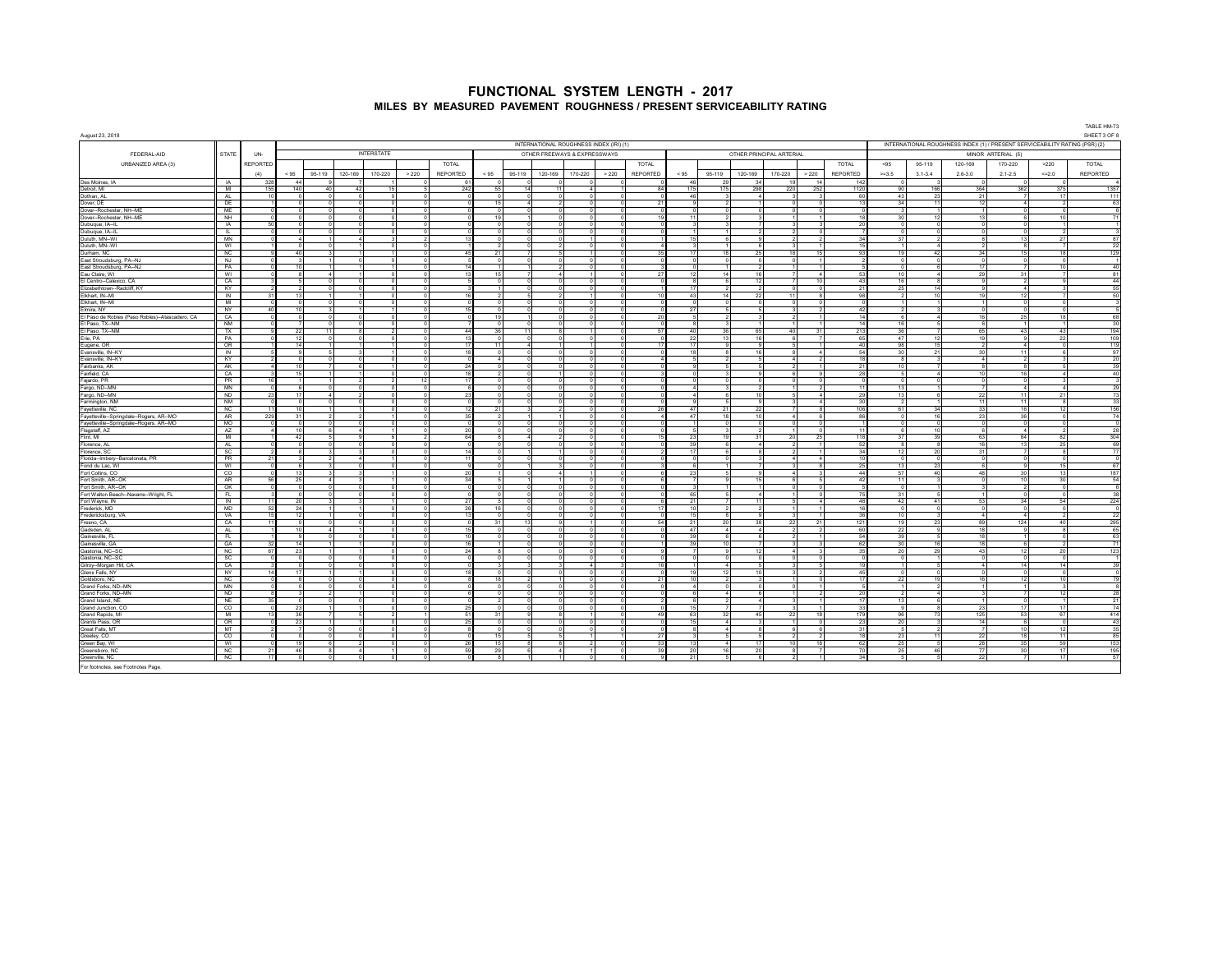|                                                              |                        |                        |                        |                                  |                          |                            |       |                          |                               |                |                              |                                         |                            |                 |            |                        |                                  |                          |                |                       |                    |                |                              |                                                                             | TABLE HM-73    |
|--------------------------------------------------------------|------------------------|------------------------|------------------------|----------------------------------|--------------------------|----------------------------|-------|--------------------------|-------------------------------|----------------|------------------------------|-----------------------------------------|----------------------------|-----------------|------------|------------------------|----------------------------------|--------------------------|----------------|-----------------------|--------------------|----------------|------------------------------|-----------------------------------------------------------------------------|----------------|
| August 23, 2018                                              |                        |                        |                        |                                  |                          |                            |       |                          |                               |                |                              | INTERNATIONAL ROUGHNESS INDEX (IRI) (1) |                            |                 |            |                        |                                  |                          |                |                       |                    |                |                              | INTERNATIONAL ROUGHNESS INDEX (1) / PRESENT SERVICEABILITY RATING (PSR) (2) | SHEET 3 OF 8   |
|                                                              |                        |                        |                        |                                  |                          | <b>INTERSTATE</b>          |       |                          |                               |                |                              |                                         |                            |                 |            |                        |                                  |                          |                |                       |                    |                |                              |                                                                             |                |
| FEDERAL-AID                                                  | <b>STATE</b>           | UN-<br><b>REPORTED</b> |                        |                                  |                          |                            |       |                          |                               |                |                              | OTHER FREEWAYS & EXPRESSWAYS            |                            |                 |            |                        |                                  | OTHER PRINCIPAL ARTERIAL |                |                       |                    |                |                              | MINOR ARTERIAL (5)                                                          |                |
| URBANIZED AREA (3)                                           |                        |                        |                        |                                  |                          |                            |       | <b>TOTAL</b>             |                               |                |                              |                                         |                            | TOTAL           |            |                        |                                  |                          |                | <b>TOTAL</b>          | $95$               | 95-119         | 120-169                      | 170-220<br>>220                                                             | TOTAL          |
| Des Moines, IA                                               | - IA                   | (4)<br>328             | < 95<br>$\overline{A}$ | 95-119                           | 120-169                  | 170-220                    | > 220 | <b>REPORTED</b><br>61    | < 95                          | 95-119         | 120-169                      | 170-220                                 | >220                       | <b>REPORTED</b> | < 95<br>46 | 95-119<br>29           | 120-169<br>24                    | 170-220                  | > 220          | <b>REPORTED</b><br>14 | $>=3.5$            | $3.1 - 3.4$    | $2.6 - 3.0$                  | $2.1 - 2.5$<br><< 2.0                                                       | REPORTED       |
| Detroit, MI                                                  | M <sub>1</sub>         | 155                    | 140                    | 40                               | 42                       | 15                         |       | 242                      | 55                            | $\overline{a}$ | 11                           |                                         |                            |                 | 175        | 175                    | 298                              | 220                      | 252            | 1120                  | 90                 | 166            | 364                          | 362<br>375                                                                  | 1357           |
| Dothan Al                                                    | AL                     | 10                     |                        | $\overline{0}$                   | $\Omega$                 | $\Omega$                   |       |                          | $\sim$                        |                | $\overline{0}$               |                                         | $\circ$                    |                 | 46         |                        | $\overline{A}$                   |                          | -3             | 60                    | 43                 | 23             | 21                           | 17                                                                          | 111            |
| Dover DE                                                     | DE                     |                        |                        | $\Omega$                         | $\Omega$                 |                            |       |                          | 15                            |                | $\overline{2}$               |                                         | $\Omega$                   |                 |            |                        |                                  |                          |                |                       | 34                 | 11             | -12                          |                                                                             | 63             |
| Dover--Rochester, NH--ME                                     | ME                     |                        |                        | n.                               |                          |                            |       |                          | $\Omega$                      |                | $\Omega$                     |                                         | $\Omega$                   |                 |            |                        |                                  |                          |                |                       |                    |                |                              |                                                                             |                |
| Dover--Rochester, NH--ME<br>Dubuque, IA--IL                  | NH<br><b>IA</b>        |                        |                        | $\circ$                          |                          |                            |       |                          | 19<br>$\overline{0}$          |                | $^{\circ}$<br>$^{\circ}$     |                                         | $\circ$<br>$\circ$         |                 | 11         |                        |                                  |                          |                |                       | 30                 | 12             | 13                           | 10                                                                          | 71             |
| Dubuque, IA--IL                                              | IL.                    |                        |                        | $\Omega$                         | $\sim$                   | $\Omega$                   |       |                          | $\sim$                        |                | $\Omega$                     |                                         | $\sqrt{2}$                 |                 |            |                        | $\mathcal{L}$                    |                          | $\sim$         |                       |                    |                | $\sim$                       | $\Omega$<br>$\overline{2}$                                                  |                |
| Duluth, MN-WI                                                | MN                     |                        |                        | $\overline{1}$                   | $\mathbf{A}$             | $\mathbf{z}$               |       | 13                       | $\overline{a}$                |                | $\Omega$                     |                                         | $\overline{0}$             |                 | 15         |                        | $\overline{\phantom{a}}$         |                          | $\sim$         | 34                    | 37                 |                | $\overline{R}$               | 27<br>12                                                                    | 87             |
| Duluth, MN-WI                                                | WI                     |                        |                        | $\Omega$                         |                          | $\sim$                     |       |                          | $\overline{2}$                |                | $\overline{2}$               |                                         | $\overline{0}$             |                 |            |                        | 6                                |                          |                |                       |                    |                | $\overline{2}$               | R.                                                                          | 22             |
| Durham, NC<br>East Stroudsburg, PA--NJ                       | NC<br><b>NJ</b>        |                        |                        |                                  | $\circ$                  |                            |       | 45                       | 21<br>$\circ$                 |                | $\circ$                      |                                         | $\Omega$<br>$\circ$        |                 |            | 18                     | 25<br>$\mathbf{0}$               |                          | 15             |                       | 19<br>$\circ$      | 42             | 34<br>$\circ$                | 15<br>18<br>$\circ$                                                         | 129            |
| East Stroudsburg, PA -- NJ                                   | PA                     |                        |                        |                                  |                          |                            |       | 14                       |                               |                | $\overline{2}$               |                                         | $\overline{0}$             |                 |            |                        | $\mathcal{P}$                    |                          |                |                       |                    |                | 17                           | 10<br>$\overline{7}$                                                        | 40             |
| Eau Claire, WI                                               | WI                     |                        |                        |                                  |                          |                            |       | 13                       | 15 <sup>1</sup>               |                | $\sim$                       |                                         | $\circ$                    |                 | 12         | 14 <sup>1</sup>        | 16                               |                          |                | -53                   | 10 <sup>1</sup>    |                | 29                           | 31                                                                          | 81             |
| El Centro-Calexico, CA                                       | CA                     |                        |                        | $\Omega$                         | $\Omega$                 | $\Omega$                   |       | -51                      | $\Omega$                      |                | $\overline{0}$               |                                         | $\circ$                    |                 |            | $\hat{a}$              | 12                               |                          | 10             | $-43$                 | 16                 |                | $\mathbf{a}$                 | $\overline{2}$                                                              | 44             |
| Elizabethtown -- Radcliff, KY<br>Elkhart, IN-MI              | KY<br>IN               | 31                     |                        | $\circ$                          | $\Omega$                 | $^{\circ}$<br>$\Omega$     |       | 16                       | $\mathbf{1}$<br>$\mathcal{D}$ |                | $\circ$<br>$\mathcal{P}$     |                                         | $\circ$<br>$\Omega$        |                 | 17<br>43   | 14                     | $\mathcal{P}$<br>22              |                          |                | 21<br>98              | 25                 | 14<br>10       | $\mathbf{Q}$<br>19           | $\boldsymbol{A}$<br>12                                                      | 55<br>50       |
| Elkhart, IN--MI                                              | MI                     |                        |                        |                                  |                          | $\Omega$                   |       |                          | $\Omega$                      |                | $\circ$                      |                                         |                            |                 |            |                        |                                  |                          |                |                       |                    |                |                              |                                                                             |                |
| Elmira, NY                                                   | NY                     |                        |                        |                                  |                          |                            |       | 15                       | $\circ$                       |                | $\mathbf 0$                  |                                         | $\circ$                    |                 | 27         |                        |                                  |                          |                | 42                    |                    |                |                              |                                                                             |                |
| El Paso de Robles (Paso Robles)--Atascadero, CA              | CA                     |                        |                        |                                  |                          |                            |       |                          | 19                            |                | $^{\circ}$                   |                                         | $\Omega$                   |                 |            |                        |                                  |                          |                | 14                    |                    |                | 16                           | 25<br>18                                                                    | 68             |
| El Paso, TX--NM                                              | <b>NM</b>              |                        |                        |                                  | $\sim$                   |                            |       |                          | $\sim$                        |                | $\circ$                      |                                         | $\Omega$                   |                 |            |                        |                                  |                          |                | 14                    | 16                 |                | $\mathbf{g}$                 |                                                                             | 30             |
| El Paso, TX--NM<br>Erie, PA                                  | TX<br>PA               |                        | 22                     | 11<br>$\Omega$                   | $\mathbf{R}$<br>$\Omega$ | $\overline{2}$<br>$\Omega$ |       | 44<br>13                 | 36<br><sub>D</sub>            | $-11$          | $\mathbf{R}$<br>$\Omega$     |                                         | $\Omega$<br>Þ              |                 | 40<br>22   | 36<br>13               | 65<br>16                         | 40                       | 31             | 213<br>65             | 36<br>47           | 12             | 65<br>19                     | 43<br>43<br>22<br>$\mathbf{Q}$                                              | 194<br>109     |
| Eugene, OR                                                   | OR                     |                        | 14                     |                                  |                          |                            |       | 17                       | 11                            |                | $\blacksquare$               |                                         | $\Omega$                   |                 | 17         |                        | $\alpha$                         |                          |                | $\overline{A}$        | 98                 | 15             | $\mathcal{P}$                | $\overline{a}$                                                              | 119            |
| Evansville, IN-KY                                            | IN                     |                        |                        |                                  | $\mathbf{3}$             |                            |       | 18                       | $\Omega$                      |                | $^{\circ}$                   |                                         | $\circ$                    |                 | 18         |                        | 16                               |                          |                | 54                    | 30                 | 21             | 30 <sup>1</sup>              | 11                                                                          | 97             |
| Evansville, IN-KY                                            | KY                     |                        |                        |                                  | $\Omega$                 |                            |       |                          | $\Lambda$                     |                | $^{\circ}$                   |                                         | $\circ$                    |                 |            |                        |                                  |                          |                | 11                    |                    |                | $\sim$                       |                                                                             | 20             |
| Fairbanks, AK                                                | AK                     | <b>A</b>               | 16                     | $\overline{ }$<br>$\overline{1}$ | 6                        |                            |       | 24                       | $\Omega$                      |                | $\Omega$<br>$-1$             |                                         | $\circ$                    |                 |            |                        |                                  |                          |                | 21                    | 10                 |                | $\mathbf{R}$                 | $\mathbf{R}$<br>$\boldsymbol{\Lambda}$                                      | 39             |
| Fairfield, CA<br>Fajardo, PR                                 | CA<br><b>PR</b>        | 16                     | 14                     |                                  | $-1$                     | $\Omega$                   |       | 181<br>17                | $\overline{2}$<br>n           |                | $^{\circ}$                   |                                         | $\circ$<br>$\overline{0}$  |                 |            |                        |                                  |                          |                | 28                    |                    | $\mathbf{A}$   | 10                           | 16                                                                          | 40             |
| Fargo, ND-MN                                                 | <b>MN</b>              |                        |                        |                                  |                          |                            |       |                          |                               |                | $\Omega$                     |                                         |                            |                 |            |                        |                                  |                          |                |                       | 13                 |                |                              |                                                                             | 29             |
| Fargo, ND--MN                                                | <b>ND</b>              | 23                     |                        | $\overline{4}$                   |                          |                            |       | 23                       | $\Omega$                      |                | $^{\circ}$                   |                                         | $\circ$                    |                 |            |                        | 10                               |                          |                | $\mathcal{D}$         | 13                 |                | 22                           | 21<br>11                                                                    | 73             |
| Farmington, NM                                               | <b>NM</b>              |                        |                        | $\ddot{\phantom{1}}$             |                          |                            |       |                          |                               |                | $\overline{2}$               |                                         |                            |                 |            |                        |                                  |                          |                |                       |                    |                | 11                           | 11<br>16                                                                    | 33             |
| Fayetteville, NC<br>Fayetteville--Springdale--Rogers, AR--MO | NC<br>AR               | 11<br>229              | 31                     | $\overline{2}$                   | $\mathcal{D}$            | $-1$                       |       | 12<br>35                 | 21<br>$\overline{2}$          |                | $-1$                         |                                         | $\sqrt{2}$<br>$\Omega$     |                 | 47<br>A7   | 21<br>18               | 22<br>10 <sub>1</sub>            |                          | $\epsilon$     | 106<br>86             | 61                 | 34<br>16       | 33<br>23                     | 12<br>26<br>$\Omega$                                                        | 156<br>74      |
| Fayetteville-Springdale-Rogers, AR--MO                       | MO                     |                        |                        |                                  | $\sim$                   |                            |       |                          | $\sim$                        |                | $\Omega$                     |                                         | $\Omega$                   |                 |            |                        | $\Omega$                         |                          |                |                       |                    |                | $\Omega$                     | $\Omega$                                                                    |                |
| Flagstaff, AZ                                                | AZ                     |                        |                        |                                  |                          |                            |       | 20                       |                               |                | $\Omega$                     |                                         | $\Omega$                   |                 |            |                        |                                  |                          |                |                       |                    | 10             | 6                            | $\Delta$                                                                    | 28             |
| Flint, MI                                                    | MI                     |                        |                        |                                  | $\Omega$                 |                            |       | 64                       |                               |                | $\overline{2}$<br>$\Omega$   |                                         | $\circ$<br>$\Omega$        |                 | 23<br>39   | 19                     | 31<br>$\Delta$                   | 20                       | 25             | 118<br>-52            | 37<br>$\mathbf{R}$ | 39             | 63                           | 84<br>82                                                                    | 304            |
| Florence, AL<br>Florence, SC                                 | AL.<br>SC              |                        |                        |                                  |                          |                            |       | 14                       | $\sim$                        |                |                              |                                         | $\circ$                    |                 | 17         |                        |                                  |                          |                | $\overline{34}$       | 12                 | 20             | 16<br>31                     | 13<br>25<br>$\overline{z}$<br>$\mathbf{R}$                                  | 69<br>77       |
| Florida--Imbery--Barceloneta, PR                             | PR                     | 21                     |                        | $\overline{2}$                   | $\sim$                   |                            |       | 111                      | $\sim$                        |                | $\overline{0}$               |                                         | $\circ$                    |                 | $\Omega$   |                        | $\mathbf{\hat{z}}$               |                          | $\mathbf{A}$   | 10                    | $\sim$             | $\sim$         | $\Omega$                     | $\circ$<br>$\sim$                                                           | $\sim$         |
| Fond du Lac. WI                                              | WI                     |                        |                        | $\mathbf{3}$                     | $\Omega$                 | $\Omega$                   |       | $\mathbf{a}$             | $\Omega$                      |                | $\mathbf{3}$                 |                                         | $\circ$                    |                 |            |                        |                                  |                          |                | 2!                    | 13                 | 23             | 6                            | 15<br>$\mathbf{a}$                                                          | 67             |
| Fort Collins, CO                                             | $\infty$               | 56                     | 25                     |                                  |                          |                            |       | 20                       | 5                             |                | $\sim$                       |                                         | $\Omega$                   |                 | 23         |                        | 15                               |                          |                | 44<br>$\Delta$        | 57                 | 40             | 48                           | 30<br>13                                                                    | 187            |
| Fort Smith, AR--OK<br>Fort Smith, AR--OK                     | AR<br>OK               |                        |                        | 4                                |                          | $^{\circ}$                 |       | 34                       | $\Omega$                      |                | $\mathbf 0$                  |                                         | $\circ$<br>$\circ$         |                 |            |                        |                                  |                          |                |                       | 11                 |                |                              | 30<br>10<br>$\Omega$                                                        | 54<br>6        |
| Fort Walton Beach--Navarre--Wright, FL                       | FL.                    |                        |                        |                                  |                          | $^{\circ}$                 |       |                          | $\sim$                        |                | $\circ$                      |                                         | $\Omega$                   |                 | 65         |                        |                                  |                          |                | 78                    | 31                 |                |                              |                                                                             | 38             |
| Fort Wayne, IN                                               | IN                     | 11                     | 20                     | $\mathbf{3}$                     | $\mathcal{R}$            | $-1$                       |       | 27                       | $\sim$                        |                | $\circ$                      |                                         | $\Omega$                   |                 | 21         |                        | 11                               |                          |                | 48                    | 42                 | 41             | 53                           | 34<br>54                                                                    | 224            |
| Frederick, MD<br>Fredericksburg, VA                          | MD<br>VA               | 52<br>15               | 24                     | $\overline{1}$                   | 1<br>$\Omega$            | $\Omega$<br>$\Omega$       |       | 26<br>13                 | 16<br><sub>D</sub>            |                | $\Omega$<br>$\overline{0}$   |                                         | $\sqrt{2}$<br><sub>D</sub> |                 | 10<br>15   |                        | $\overline{2}$<br>$\overline{a}$ |                          |                | 16<br>36              | $\sim$<br>10       |                | $\Omega$<br>$\boldsymbol{A}$ | $\Omega$<br>$\Omega$<br>A.                                                  | $\Omega$<br>22 |
| Fresno, CA                                                   | CA                     | 11                     |                        | $\Omega$                         | $\Omega$                 | $\Omega$                   |       |                          | 31                            |                | $\mathbf{q}$                 |                                         | $\Omega$                   |                 | 21         | 20                     | 38                               | 22                       | 21             | 121                   | 19                 | 23             | 89                           | 124<br>40                                                                   | 295            |
| Gadsden, AL                                                  | <b>AL</b>              |                        | 10                     | $\Delta$                         |                          | $^{\circ}$                 |       | 15                       | $\circ$                       |                | $^{\circ}$                   |                                         | $\circ$                    |                 | 47         | $\boldsymbol{A}$       | $\Delta$                         |                          | $\overline{2}$ | 60                    | 22                 |                | 18                           | 9<br>$\mathbf{a}$                                                           | 65             |
| Gainesville, FL                                              | FL.                    |                        |                        |                                  | $\Omega$                 | $\Omega$                   |       | 10                       | $\sim$                        |                | $^{\circ}$                   |                                         | $\circ$                    |                 | 39         | $\hat{a}$              | $\mathbf{a}$                     |                          |                | 54                    | 39                 |                | 18                           |                                                                             | 63             |
| Gainesville, GA                                              | GA                     | 32                     | 14                     |                                  | $\sim$                   | $\Omega$                   |       | 16                       | 11                            |                | $\Omega$                     |                                         | $\circ$                    |                 | 39         | 10 <sup>1</sup>        |                                  |                          |                | 62                    | 30                 | 16             | 18                           | 6                                                                           | 71             |
| Gastonia, NC-SC<br>Gastonia, NC-SC                           | NC<br>SC               | 671                    | - 23                   | $\overline{1}$<br>$\Omega$       | $\sim$                   | $\Omega$<br>$\Omega$       |       | 24                       | $\mathbf{R}$                  |                | $\overline{0}$<br>$^{\circ}$ |                                         | $\circ$<br>$^{\circ}$      |                 |            | $^{\circ}$             | 12                               |                          |                | 25                    | 20                 | 29             | 43                           | 12<br>20                                                                    | 123            |
| Gilroy--Morgan Hill, CA                                      | CA                     |                        |                        | O.                               |                          |                            |       |                          |                               |                |                              |                                         |                            |                 |            |                        |                                  |                          |                |                       |                    |                |                              | 14<br>14                                                                    | 39             |
| Glens Falls, NY                                              | NY                     |                        |                        |                                  |                          |                            |       | 18                       | $\Omega$                      |                |                              |                                         |                            |                 | 19         | 12                     |                                  |                          |                |                       |                    |                |                              |                                                                             |                |
| Goldsboro, NC                                                | NC                     |                        |                        |                                  |                          |                            |       |                          | 18                            |                |                              |                                         |                            |                 |            |                        |                                  |                          |                |                       | 22                 |                | 16                           | 10<br>12                                                                    |                |
| Grand Forks, ND--MN                                          | MN                     |                        |                        | $\Omega$<br>$\overline{2}$       | $\Omega$<br>$-1$         | $\sqrt{2}$                 |       |                          | $\sim$<br>nl                  |                | $\sim$<br>$\Omega$           |                                         | $\sim$<br>$\Omega$         |                 |            |                        | $\mathbf{a}$                     |                          |                | 20                    |                    | $\overline{A}$ | $\mathbf{\hat{z}}$           | $\overline{z}$                                                              |                |
| Grand Forks, ND--MN<br>Grand Island, NE                      | <b>ND</b><br><b>NF</b> |                        |                        | $\Omega$                         | $\Omega$                 |                            |       |                          | $\mathcal{P}$                 |                | $\Omega$                     |                                         | $\Omega$                   |                 |            |                        | $\Delta$                         |                          |                | $-11$                 | 13                 |                |                              | 12<br>$\Omega$                                                              | 28<br>21       |
| Grand Junction, CO                                           | $\circ$                |                        |                        |                                  |                          |                            |       | 25                       | $\Omega$                      |                | $\Omega$                     |                                         | $\Omega$                   |                 |            |                        |                                  |                          |                |                       |                    |                | 23                           | 17<br>17                                                                    | 74             |
| Grand Rapids, MI                                             | MI                     | 13                     |                        |                                  |                          |                            |       | 51                       | 31                            |                | 8                            |                                         | $\circ$                    |                 | 63         | 32                     | 45                               | 22                       | 18             | 179                   | 96                 | 73             | 125                          | 53<br>67                                                                    | 414            |
| Grants Pass, OR                                              | OR                     |                        |                        |                                  |                          |                            |       | 25                       | $\Omega$                      |                |                              |                                         | $\Omega$                   |                 |            |                        |                                  |                          |                |                       | 20                 |                | 14                           |                                                                             | 43             |
| Great Falls, MT<br>Greeley, CO                               | MT<br>$_{\rm CO}$      |                        |                        | $^{\circ}$                       | $\sim$<br>$\sqrt{2}$     | $\Omega$                   |       | $\mathbf{R}$<br>$\Omega$ | $\sim$<br>15                  |                | $\Omega$<br>5                |                                         | $\circ$<br>1               |                 |            |                        | $\epsilon$                       |                          |                | 31<br>18              | 23                 | 11             | $\overline{ }$<br>22         | 10<br>12<br>18<br>11                                                        | 35<br>85       |
| Green Bav. WI                                                | WI                     |                        |                        | 6                                |                          | $\Omega$                   |       | 26                       | 15                            |                | $\mathbf{a}$                 |                                         | $\circ$                    |                 | 13         | $\boldsymbol{\Lambda}$ | 17                               |                          | 18             | 62                    | 25                 |                | 28                           | 59<br>35                                                                    | 153            |
| Greenshoro NO                                                | NC.                    |                        |                        |                                  |                          |                            |       | 59                       | 29                            |                | $\sim$                       |                                         | $\Omega$                   |                 | 20         | 16                     | 20                               |                          |                |                       | 25                 | 46             | 77                           | 17<br>30 <sub>0</sub>                                                       | 195            |
| Greenville, NC                                               | NC                     |                        |                        |                                  |                          |                            |       |                          | 8                             |                |                              |                                         |                            |                 |            |                        |                                  |                          |                |                       |                    |                | 22                           | 17                                                                          | 57             |
| For footnotes, see Footnotes Page.                           |                        |                        |                        |                                  |                          |                            |       |                          |                               |                |                              |                                         |                            |                 |            |                        |                                  |                          |                |                       |                    |                |                              |                                                                             |                |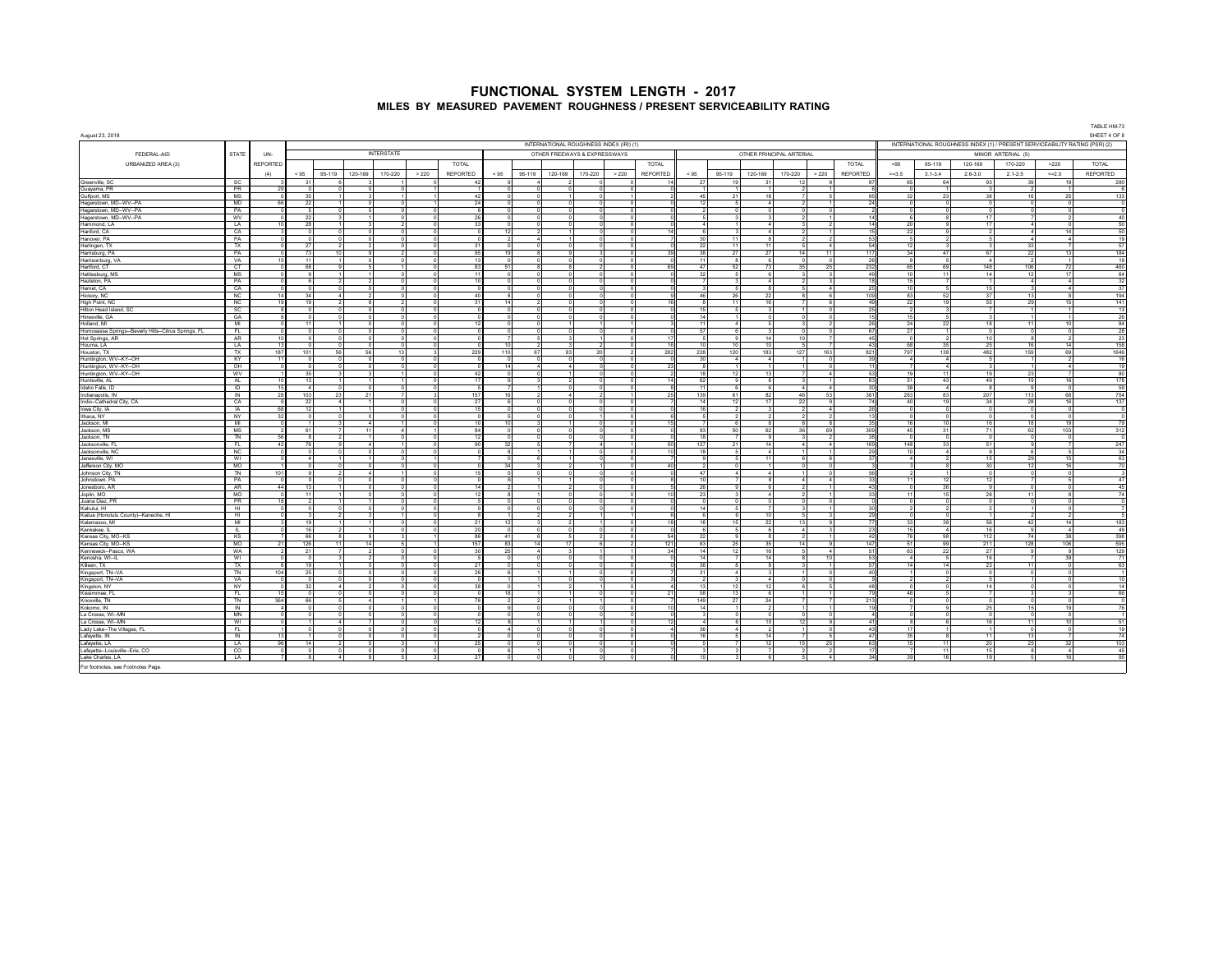| August 23, 2018                                        | TABLE HM-73<br>SHEET 4 OF 8<br>INTERNATIONAL ROUGHNESS INDEX (1) / PRESENT SERVICEABILITY RATING (PSR) (2)<br>INTERNATIONAL ROUGHNESS INDEX (IRI) (1)<br><b>INTERSTATE</b><br>FEDERAL-AID<br><b>STATE</b><br>UN-<br>OTHER PRINCIPAL ARTERIAL<br>OTHER FREEWAYS & EXPRESSWAYS<br>MINOR ARTERIAL (5)<br><b>REPORTED</b><br><b>TOTAL</b><br>URBANIZED AREA (3)<br><b>TOTAL</b><br>TOTAL<br>95-119<br>120-169<br>170-220<br>>220<br><b>TOTAL</b><br>< 95 |                    |                    |                        |         |                      |                    |                 |                |                              |                                  |         |          |                 |                                |                      |                       |                |                |            |           |                  |                          |                          |           |                                 |
|--------------------------------------------------------|------------------------------------------------------------------------------------------------------------------------------------------------------------------------------------------------------------------------------------------------------------------------------------------------------------------------------------------------------------------------------------------------------------------------------------------------------|--------------------|--------------------|------------------------|---------|----------------------|--------------------|-----------------|----------------|------------------------------|----------------------------------|---------|----------|-----------------|--------------------------------|----------------------|-----------------------|----------------|----------------|------------|-----------|------------------|--------------------------|--------------------------|-----------|---------------------------------|
|                                                        |                                                                                                                                                                                                                                                                                                                                                                                                                                                      |                    |                    |                        |         |                      |                    |                 |                |                              |                                  |         |          |                 |                                |                      |                       |                |                |            |           |                  |                          |                          |           |                                 |
|                                                        |                                                                                                                                                                                                                                                                                                                                                                                                                                                      |                    |                    |                        |         |                      |                    |                 |                |                              |                                  |         |          |                 |                                |                      |                       |                |                |            |           |                  |                          |                          |           |                                 |
|                                                        |                                                                                                                                                                                                                                                                                                                                                                                                                                                      |                    |                    |                        |         |                      |                    |                 |                |                              |                                  |         |          |                 |                                |                      |                       |                |                |            |           |                  |                          |                          |           |                                 |
|                                                        |                                                                                                                                                                                                                                                                                                                                                                                                                                                      | (4)                |                    | 95-119                 | 120-169 | 170-220              | >220               | <b>REPORTED</b> | < 95           | 95-119                       | 120-169                          | 170-220 | > 220    | <b>REPORTED</b> | $< 95$                         | 95-119               | 120-169               | 170-220        | >220           | REPORTED   | $>=3.5$   | $3.1 - 3.4$      | $2.6 - 3.0$              | $2.1 - 2.5$              | $4 = 2.0$ | REPORTED                        |
| Greenville, SC<br>Guayama, PR                          | SC<br>PR                                                                                                                                                                                                                                                                                                                                                                                                                                             | 29                 | 31<br>$\sqrt{2}$   |                        |         |                      |                    | 42              | $\sim$         |                              |                                  |         |          |                 | 27                             |                      | 31                    | 12             |                | 97         | 65        | 64               | 93                       | 39                       | 19        | 280<br>6                        |
| Gulfport, MS                                           | <b>MS</b>                                                                                                                                                                                                                                                                                                                                                                                                                                            | $\Omega$           | 35                 |                        |         |                      |                    | 42              | $\sim$         | $\Omega$                     | $\blacktriangleleft$             |         |          |                 | 45                             | 21                   | 18                    |                |                | 95         | 32        | 23               | 38                       | 16                       | 25        | 133                             |
| Hagerstown, MD--WV--PA                                 | <b>MD</b>                                                                                                                                                                                                                                                                                                                                                                                                                                            | 66                 | 22                 |                        |         | n                    |                    | 24              | $\Omega$       | $\Omega$                     | $\Omega$                         |         |          |                 | 12                             | -5                   | $\sim$                |                |                | 24         |           | $\Omega$         | $^{\circ}$               | $\Omega$                 |           | $\overline{0}$                  |
| Hagerstown, MD--WV--PA<br>Hagerstown, MD--WV--PA       | PA<br>WV                                                                                                                                                                                                                                                                                                                                                                                                                                             |                    | 22                 |                        |         |                      |                    | 26              |                |                              | $\Omega$                         |         |          |                 |                                |                      | $\Omega$              |                |                | 14         |           |                  | 17                       |                          |           | $\overline{0}$<br>40            |
| Hammond, LA                                            | LA                                                                                                                                                                                                                                                                                                                                                                                                                                                   | 10                 | 28                 |                        |         |                      |                    |                 |                |                              |                                  |         |          |                 |                                |                      |                       |                |                | 14         |           |                  |                          |                          |           | 50                              |
| Hanford, CA                                            | CA                                                                                                                                                                                                                                                                                                                                                                                                                                                   |                    |                    |                        |         |                      |                    |                 | 12             |                              |                                  |         |          |                 |                                |                      |                       |                |                | 15         | 22        |                  |                          |                          | 14        | 50                              |
| Hanover, PA                                            | PA<br>TX                                                                                                                                                                                                                                                                                                                                                                                                                                             | $\Omega$           | 27                 |                        |         | $\Omega$<br>$\Omega$ |                    | 31              | $\sim$         | $\overline{A}$<br>$\sqrt{2}$ | $\blacktriangleleft$<br>$\Omega$ |         |          |                 | 30 <sub>2</sub><br>22          | 11<br>11             | $\mathbf{R}$<br>11    |                | $\overline{A}$ | 53<br>54   | 12        |                  | $\mathbf{3}$             | $\Lambda$<br>33          |           | 19<br>57                        |
| Harlingen, TX<br>Harrisburg, PA                        | <b>PA</b>                                                                                                                                                                                                                                                                                                                                                                                                                                            |                    | 73                 | 10                     |         |                      |                    | 95              | 19             | $\mathbf{R}$                 | $\mathbf{a}$                     |         |          |                 | 38                             | 27                   | 27                    | 14             | 11             | 117        | 34        | 47               | 67                       | 22                       | 13        | 184                             |
| Harrisonburg, VA                                       | VA                                                                                                                                                                                                                                                                                                                                                                                                                                                   | 15                 | 11                 |                        |         | $\Omega$             |                    | 13              | $\Omega$       | $\mathbf{0}$                 | $\circ$                          |         |          |                 | 11                             | $\mathbf{a}$         | $\mathbf{6}$          |                |                | 26         |           | 5                | $\overline{4}$           | $\overline{2}$           |           | 19                              |
| Hartford, CT                                           | CT                                                                                                                                                                                                                                                                                                                                                                                                                                                   |                    | 68<br>$\alpha$     |                        |         |                      |                    | 83<br>11        | 51             | 8Ī                           | R<br>$\Omega$                    |         |          |                 | 47<br>32                       | 52                   | 73                    | 35             | 25             | 232        | 65<br>10  | 69<br>11         | 148                      | 106                      | 72<br>17  | 460                             |
| Hattiesburg, MS<br>Hazleton, PA                        | <b>MS</b><br>PA                                                                                                                                                                                                                                                                                                                                                                                                                                      |                    |                    | 6 <sup>2</sup>         |         |                      |                    | 10              | $\sim$         | $\circ$<br>$\circ$           | $\Omega$                         |         |          |                 |                                |                      | 6<br>$\boldsymbol{4}$ |                |                | 49<br>18   | 15        |                  | 14                       | 12<br>$\sim$             |           | 64<br>32                        |
| Hemet, CA                                              | CA                                                                                                                                                                                                                                                                                                                                                                                                                                                   | $\sim$             | $\Omega$           | $\Omega$               |         |                      |                    |                 | $\Omega$       | $\Omega$                     | $\Omega$                         |         |          |                 |                                |                      | $\mathbf{R}$          |                |                | 25         | 10        | 5 <sup>1</sup>   | 15                       | $\mathbf{3}$             |           | 37                              |
| Hickory, NC                                            | <b>NC</b>                                                                                                                                                                                                                                                                                                                                                                                                                                            | 14                 | 34                 | $\boldsymbol{\Lambda}$ |         | $\Omega$             | n                  | 40 <sup>2</sup> | $\mathbf{R}$   | $\Omega$                     | $\Omega$                         |         |          |                 | 46                             | 26                   | 22                    | -8             |                | 109        | 83        | 52               | 37                       | 13 <sup>1</sup>          | -8        | 194                             |
| High Point, NC<br>Hilton Head Island, SC               | NC<br>SC                                                                                                                                                                                                                                                                                                                                                                                                                                             | 19                 | 19                 | -2                     |         | $\overline{2}$       |                    | 31              | 14             | $\overline{2}$<br>-0         | $\circ$<br>$^{\circ}$            |         |          |                 | $\mathbf{a}$<br>15             | 11                   | 16<br>-3              |                |                | 49<br>25   | 22        | 19 <sup>1</sup>  | 55                       | 29                       | 15        | 141<br>13                       |
| Hinesville, GA                                         | GA                                                                                                                                                                                                                                                                                                                                                                                                                                                   |                    |                    |                        |         |                      |                    |                 |                |                              |                                  |         |          |                 | 14                             |                      | $^{\circ}$            |                |                | 15         |           |                  |                          |                          |           | 26                              |
| Holland, MI                                            | M                                                                                                                                                                                                                                                                                                                                                                                                                                                    |                    | 11                 |                        |         |                      |                    |                 |                |                              |                                  |         |          |                 | 11                             |                      |                       |                |                | 26         | 24        | 22               | 18                       | 11                       | 10        | 84                              |
| Homosassa Springs--Beverly Hills--Citrus Springs, FL   | FL                                                                                                                                                                                                                                                                                                                                                                                                                                                   | 10 <sup>1</sup>    | $\sqrt{2}$         |                        |         | $\Omega$             |                    |                 |                | $\sim$                       | $\mathbf{z}$                     |         |          | $-11$           | 57<br>-5                       |                      | 14                    |                |                | 67         | 27        |                  | 10 <sub>1</sub>          | $\mathbf{R}$             |           | 28                              |
| Hot Springs, AR<br>Houma, LA                           | AR<br>LA.                                                                                                                                                                                                                                                                                                                                                                                                                                            | 13                 |                    |                        |         | $\Omega$             |                    |                 | 10             | $\overline{2}$               | $\mathcal{R}$                    |         |          | 16              | 10                             | 10                   | 10                    | 10             |                | - 45<br>43 | 68        | 35               | 25                       | 16                       | 14        | 23<br>158                       |
| Houston, TX                                            | TX                                                                                                                                                                                                                                                                                                                                                                                                                                                   | 187                | 101                | 56                     | 56      | 13                   |                    | 229             | 110            | 67                           | 83                               | 20      |          | 282             | 228                            | 120                  | 183                   | 127            | 163            | 821        | 797       | 138              | 482                      | 159                      | 69        | 1646                            |
| Huntington, WV--KY--OH                                 | KY                                                                                                                                                                                                                                                                                                                                                                                                                                                   | 11                 |                    |                        |         |                      |                    |                 |                | 5                            | 5                                |         |          |                 | 30                             |                      | 4                     |                |                | 39         |           |                  | $\overline{\phantom{a}}$ |                          |           | $-16$                           |
| Huntington, WV--KY--OH<br>Huntington, WV--KY--OH       | OH<br>wv                                                                                                                                                                                                                                                                                                                                                                                                                                             |                    | 35                 |                        |         |                      |                    | 42              | 14<br>$\Omega$ | $\overline{a}$<br>$\Omega$   | $\boldsymbol{A}$                 |         |          |                 | 18                             | 12                   | $\mathbf{1}$<br>13    |                |                | 11<br>53   | 19        | 11               | 19                       | 23                       |           | 19<br>80                        |
| Huntsville, AL                                         | AL.                                                                                                                                                                                                                                                                                                                                                                                                                                                  | 10 <sup>1</sup>    | 13                 |                        |         |                      | $\sim$             | 17              | $\alpha$       | $\mathbf{3}$                 | $\overline{2}$                   |         |          | 14              | 62                             | $^{\circ}$           | $\mathbf{R}$          |                |                | 83         | 51        | 43               | 49                       | 19                       | 16        | 178                             |
| Idaho Falls, ID                                        | ID                                                                                                                                                                                                                                                                                                                                                                                                                                                   | 15                 | $\sim$             | n                      |         | $\Omega$             | $\Omega$           |                 | $\overline{z}$ | $\overline{1}$               | $\circ$                          |         |          |                 | 11                             | 6                    | 6                     |                |                | 30         | 38        | $\sim$           | -81                      | $\mathbf{a}$             | - 0       | 59                              |
| Indianapolis, IN<br>Indio--Cathedral City, CA          | IN<br>CA                                                                                                                                                                                                                                                                                                                                                                                                                                             | 28                 | 103<br>22          | 23<br>$\sim$           | 21      |                      |                    | 157<br>27       | 16<br>6        | $\overline{2}$               | $\boldsymbol{A}$                 |         |          | 25              | 139<br>14                      | 61                   | 82<br>17              | 46<br>22       | 53             | 381<br>74  | 283<br>40 | 83<br>19         | 207<br>34                | 113<br>28                | 68<br>16  | 754<br>137                      |
| Iowa City, IA                                          | IA                                                                                                                                                                                                                                                                                                                                                                                                                                                   | -9<br>68           | 12                 |                        |         |                      | 0                  | 15              |                | $\circ$                      | $\circ$                          |         |          |                 | 16                             | 121                  |                       |                |                | 26         |           |                  |                          |                          |           | $\overline{0}$                  |
| Ithaca, NY                                             | NY                                                                                                                                                                                                                                                                                                                                                                                                                                                   | 32                 |                    |                        |         |                      |                    |                 |                |                              |                                  |         |          |                 |                                |                      |                       |                |                | 13         |           |                  |                          |                          |           | $\theta$                        |
| Jackson, MI                                            | MI                                                                                                                                                                                                                                                                                                                                                                                                                                                   | $\overline{2}$     |                    |                        | $-11$   | $\sim$               |                    | 10<br>84        | 10<br>$\sim$   | $\sim$                       | $\Omega$                         |         |          |                 |                                |                      |                       | 36             |                | 35         | 45        | 10 <sub>10</sub> | 16                       | 18                       | 19        | 79                              |
| Jackson, MS<br>Jackson, TN                             | <b>MS</b><br>TN                                                                                                                                                                                                                                                                                                                                                                                                                                      | 56                 | 61<br>$\mathbf{a}$ | -2                     |         | $\Omega$             |                    | 12              | $\Omega$       | $\Omega$                     | $\Omega$                         |         |          |                 | 93<br>18                       | 50<br>$\overline{7}$ | 62<br>$\mathbf{q}$    |                | 69             | 309<br>38  |           | 31<br>$\Omega$   | 71<br>$\Omega$           | 62<br>$^{\circ}$         | 103       | 312<br>$\overline{\phantom{a}}$ |
| Jacksonville, F                                        | FL                                                                                                                                                                                                                                                                                                                                                                                                                                                   | 42                 | 76                 |                        |         |                      |                    | 90              | 32             | 5                            | 7                                |         |          |                 | 127                            | 21                   | 14                    |                |                | 169        | 148       | 33               | 51                       | $\overline{\phantom{a}}$ |           | 247                             |
| Jacksonville, NC                                       | NC                                                                                                                                                                                                                                                                                                                                                                                                                                                   |                    |                    |                        |         |                      |                    |                 |                |                              |                                  |         |          |                 | 18                             |                      | $\boldsymbol{4}$      |                |                | 29         |           | $\mathbf{4}$     | $\overline{9}$           |                          |           | 34                              |
| Janesville, WI<br>Jefferson City, MO                   | WI<br><b>MO</b>                                                                                                                                                                                                                                                                                                                                                                                                                                      |                    |                    |                        |         |                      |                    |                 | 34             | ĥ.<br>3                      | $\mathcal{D}$                    |         |          |                 |                                |                      | 11                    |                |                | 37         |           |                  | 15<br>30                 | 29<br>12                 | 15<br>16  | 63<br>70                        |
| Johnson City, TN                                       | TN                                                                                                                                                                                                                                                                                                                                                                                                                                                   | 101                | $^{\circ}$         |                        |         |                      |                    | 15              | $\Omega$       | $\Omega$                     | $\Omega$                         |         |          |                 | 47                             |                      | $\boldsymbol{A}$      |                |                | 56         |           |                  | $\Omega$                 | $\circ$                  |           | $\overline{\mathbf{3}}$         |
| Johnstown, PA                                          | PA                                                                                                                                                                                                                                                                                                                                                                                                                                                   |                    | $\sim$             |                        |         |                      |                    |                 |                |                              |                                  |         |          |                 | 10                             |                      | -8                    |                |                | 33         | 11        | 12               | 12                       |                          |           | 47                              |
| Jonesboro AR<br>Joplin, MO                             | AR.<br><b>MO</b>                                                                                                                                                                                                                                                                                                                                                                                                                                     | 44<br>$\Omega$     | 13<br>11           |                        |         | $\Omega$             | $\Omega$           | 12              | -81            | 11                           | $\overline{2}$<br>$\circ$        |         | $\Omega$ |                 | 26<br>23                       | 3                    | - 6<br>$\sim$ 4       | $\overline{2}$ |                | 43<br>33   | 11        | 36<br>15         | 9<br>28                  | $^{\circ}$<br>11         |           | 45<br>74                        |
| Juana Diaz, PR                                         | <b>PR</b>                                                                                                                                                                                                                                                                                                                                                                                                                                            | 18                 |                    |                        |         |                      |                    |                 |                |                              | $\Omega$                         |         |          |                 |                                |                      | $\Omega$              |                |                |            |           | $\Omega$         |                          | $\Omega$                 |           | $\overline{0}$                  |
| Kahului, HI                                            | HI.                                                                                                                                                                                                                                                                                                                                                                                                                                                  |                    |                    |                        |         |                      |                    |                 |                |                              |                                  |         |          |                 | 14                             |                      |                       |                |                | 30         |           |                  |                          |                          |           |                                 |
| Kailua (Honolulu County)--Kaneohe, HI<br>Kalamazoo, MI | H1<br>MI                                                                                                                                                                                                                                                                                                                                                                                                                                             |                    | 19                 |                        |         |                      |                    | 21              | 12             | $\mathbf{z}$                 | $\overline{2}$                   |         |          |                 | 6<br>18                        | 15                   | 10<br>22              | 13             |                | 29<br>77   | 33        | 38               | 56                       | 42                       | 14        | 183                             |
| Kankakee, IL                                           | <b>ILL</b>                                                                                                                                                                                                                                                                                                                                                                                                                                           | $\sim$             | 16                 | - 2                    |         | $\sim$               | $\sim$             | 20              | $\sim$         | $\sim$                       | $\sim$                           |         |          |                 | -6                             | -5                   | 6                     |                |                | 23         | 15        | -41              | 16                       | $^{\circ}$               |           | A <sup>0</sup>                  |
| Kansas City, MO-KS                                     | KS                                                                                                                                                                                                                                                                                                                                                                                                                                                   |                    | 66                 | $\alpha$               |         | 3                    |                    | 86              | 41             | 6                            | 5                                |         |          | 54              | 22                             |                      | $\mathbf{R}$          |                |                | 42         | 76        | 98               | 112                      | 74                       | 38        | 398                             |
| Kansas City, MO-KS<br>Kennewick--Pasco, WA             | MO.<br>WA                                                                                                                                                                                                                                                                                                                                                                                                                                            | 21                 | 126<br>21          | 11                     | 14      | 5                    |                    | 157<br>30       | 83<br>25       | 14<br>$\Lambda$              | 17                               |         |          | 121             | 63<br>14                       | 25<br>12             | 35<br>16              | 14             |                | 147<br>51  | 51<br>63  | 99<br>22         | 211<br>27                | 128                      | 106       | 595<br>129                      |
| Kenosha, WI-IL                                         | WI                                                                                                                                                                                                                                                                                                                                                                                                                                                   |                    |                    |                        |         |                      |                    |                 |                | $\Omega$                     |                                  |         |          |                 | 14                             |                      | 14                    |                |                | 53         |           |                  | 16                       |                          | 39        | 71                              |
| Killeen, TX                                            | TX                                                                                                                                                                                                                                                                                                                                                                                                                                                   |                    | 19                 |                        |         | $\sim$               |                    | 21              | $\sim$         | $\Omega$                     | $\Omega$                         |         |          |                 | 36                             | $\mathbf{a}$         | 8                     |                |                | 57         | 14        | 14               | 23                       | 11                       |           | 63                              |
| Kingsport, TN--VA                                      | TN                                                                                                                                                                                                                                                                                                                                                                                                                                                   | 104                | 25                 | $\Omega$               |         | $\Omega$             | $\Omega$           | 26              |                |                              |                                  |         |          |                 | 31                             |                      | $\mathbf{3}$          |                |                | 40         |           | $^{\circ}$       |                          | $\circ$<br>$\circ$       |           | 10                              |
| Kingsport, TN--VA<br>Kingston, NY                      | VA<br>NY                                                                                                                                                                                                                                                                                                                                                                                                                                             | $\Omega$<br>$\sim$ | $\Omega$<br>32     | $\boldsymbol{\Lambda}$ |         | $\Omega$             | $\Omega$<br>$\sim$ | 38              | $\sim$         | 1 <sup>1</sup><br>$\sim$     | $\circ$<br>$\overline{2}$        |         |          |                 | $\overline{\phantom{a}}$<br>13 | 12 <sup>1</sup>      | $-4$<br>12            |                |                | 48         |           | $\sim$           | 5 <sub>l</sub><br>141    | ി                        |           | 14                              |
| Kissimmee, FL                                          | FL.                                                                                                                                                                                                                                                                                                                                                                                                                                                  | 15                 | $\Omega$           |                        |         | $\Omega$             | n                  |                 | 18             |                              |                                  |         |          |                 | 58                             | 13                   | 6                     |                |                | 79         | 48        |                  | $\overline{7}$           |                          |           | 66                              |
| Knoxville, TN                                          | <b>TN</b>                                                                                                                                                                                                                                                                                                                                                                                                                                            | 364                | 66                 |                        |         |                      |                    | 76              |                |                              |                                  |         |          |                 | 149                            | 27                   | 24                    |                |                | 213        |           |                  |                          |                          |           | $\overline{0}$                  |
| Kokomo, IN<br>La Crosse, WI--MN                        | $\overline{N}$<br>MN                                                                                                                                                                                                                                                                                                                                                                                                                                 |                    |                    |                        |         | $\Omega$             |                    |                 |                |                              | $\Omega$                         |         |          |                 | 14                             |                      | $\Omega$              |                |                | 19         |           |                  | 25<br>$\Omega$           | 15<br>$\Omega$           | 19        | 76                              |
| La Crosse, WI--MN                                      | WI                                                                                                                                                                                                                                                                                                                                                                                                                                                   |                    |                    |                        |         |                      |                    |                 |                |                              |                                  |         |          |                 | $\boldsymbol{A}$               |                      | 10                    | 12             |                | $-41$      |           |                  | 16                       | 11                       | 10        | 51                              |
| Lady Lake-The Villages, FL                             | FL.                                                                                                                                                                                                                                                                                                                                                                                                                                                  |                    |                    |                        |         | $\Omega$             |                    |                 | $\mathbf{A}$   | $\Omega$                     | $\Omega$                         |         |          |                 | 36                             |                      | $\overline{2}$        |                |                | 43         | $-17$     |                  |                          | $\sim$                   |           | 19                              |
| Lafayette, IN                                          | IN                                                                                                                                                                                                                                                                                                                                                                                                                                                   | 13<br>96           | 14                 |                        |         | $\Omega$             |                    |                 | $\Omega$       | $\sim$<br>$\sim$             | $\sim$<br>$\Omega$               |         |          |                 | 16                             |                      | 14<br>12              | 15             |                | A7<br>63   | 35        |                  | 111                      | 13                       |           | 74<br>103                       |
| Lafayette, LA<br>Lafayette--Louisville--Erie, CO       | LA.<br>$\infty$                                                                                                                                                                                                                                                                                                                                                                                                                                      |                    |                    |                        |         |                      |                    | 25              |                |                              |                                  |         |          |                 |                                |                      | 7                     |                | 25             | 17         |           | 11<br>11         | 20<br>15                 | 25<br>$\mathbf{R}$       | 32        | 45                              |
| Lake Charles, LA                                       | LA                                                                                                                                                                                                                                                                                                                                                                                                                                                   |                    |                    |                        |         |                      |                    | 27              |                |                              |                                  |         |          |                 | 15                             |                      | 6                     |                |                | 34         |           | 16               | 19                       |                          | 16        | 95                              |
| For footnotes, see Footnotes Page.                     |                                                                                                                                                                                                                                                                                                                                                                                                                                                      |                    |                    |                        |         |                      |                    |                 |                |                              |                                  |         |          |                 |                                |                      |                       |                |                |            |           |                  |                          |                          |           |                                 |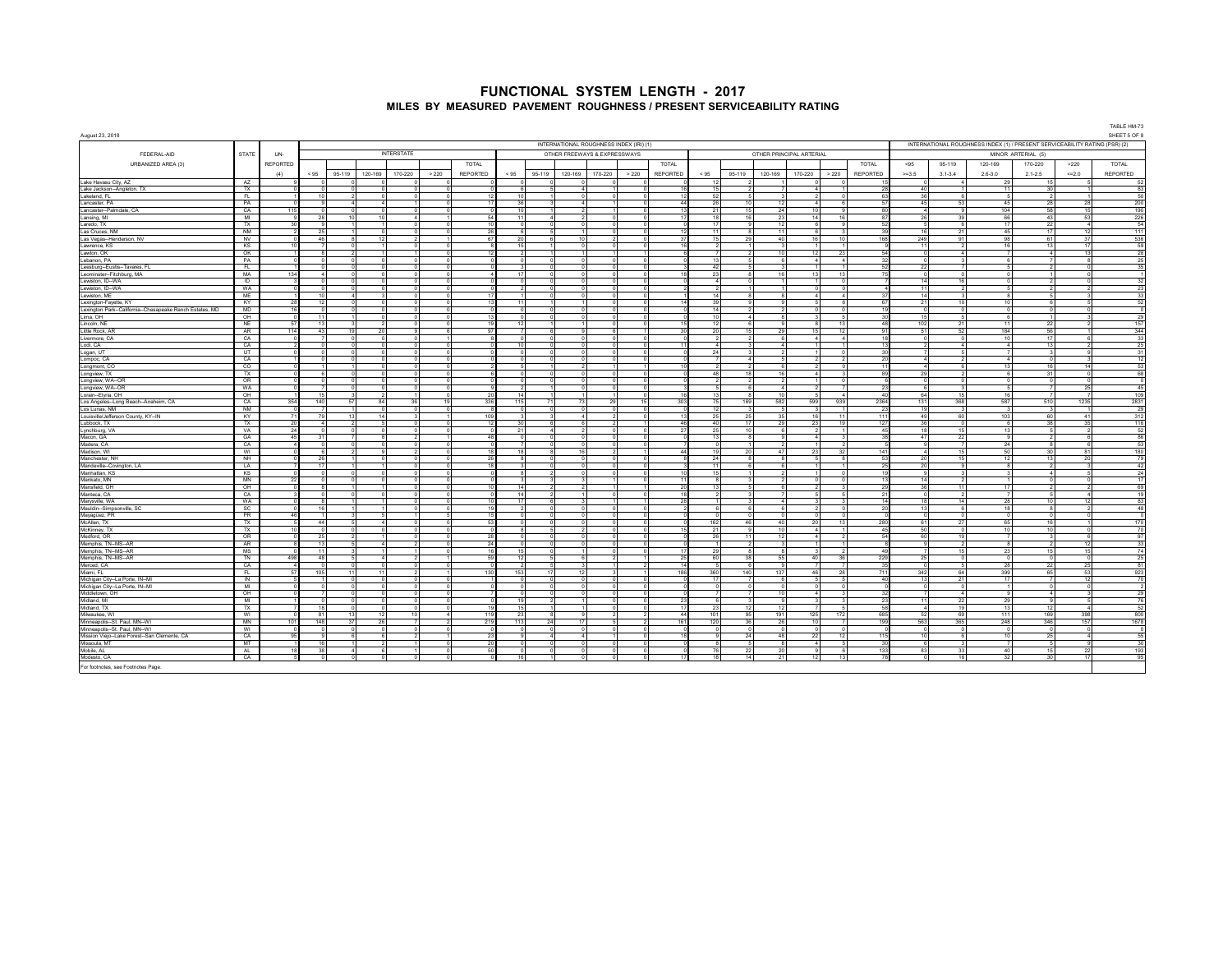|                                                                |                   |                 |                                |        |         |                                  |                      |                        |                 |                                                                 |                              |                    |                                         |                 |                        |        |                               |                              |                                   |                                  |             |                                                                             |                    |                        | TABLE HM-73                    |
|----------------------------------------------------------------|-------------------|-----------------|--------------------------------|--------|---------|----------------------------------|----------------------|------------------------|-----------------|-----------------------------------------------------------------|------------------------------|--------------------|-----------------------------------------|-----------------|------------------------|--------|-------------------------------|------------------------------|-----------------------------------|----------------------------------|-------------|-----------------------------------------------------------------------------|--------------------|------------------------|--------------------------------|
| August 23, 2018                                                |                   |                 |                                |        |         |                                  |                      |                        |                 |                                                                 |                              |                    | INTERNATIONAL ROUGHNESS INDEX (IRI) (1) |                 |                        |        |                               |                              |                                   |                                  |             | INTERNATIONAL ROUGHNESS INDEX (1) / PRESENT SERVICEABILITY RATING (PSR) (2) |                    |                        | SHEET 5 OF 8                   |
| FEDERAL-AID                                                    | STATE             | UN-             |                                |        |         | <b>INTERSTATE</b>                |                      |                        |                 |                                                                 | OTHER FREEWAYS & EXPRESSWAYS |                    |                                         |                 |                        |        |                               | OTHER PRINCIPAL ARTERIAL     |                                   |                                  |             |                                                                             | MINOR ARTERIAL (5) |                        |                                |
| URBANIZED AREA (3)                                             |                   | <b>REPORTED</b> |                                |        |         |                                  |                      | TOTAL                  |                 |                                                                 |                              |                    |                                         | TOTAL           |                        |        |                               |                              | TOTAL                             | $95$                             | 95-119      | 120-169                                                                     | 170-220            | >220                   | TOTAL                          |
|                                                                |                   | (4)             | < 95                           | 95-119 | 120-169 | 170-220                          | >220                 | REPORTED               | < 95            | 95-119                                                          | 120-169                      | 170-220            | > 220                                   | <b>REPORTED</b> | < 95                   | 95-119 | 120-169                       | 170-220                      | <b>REPORTED</b><br>> 220          | $> = 3.5$                        | $3.1 - 3.4$ | $2.6 - 3.0$                                                                 | $2.1 - 2.5$        | $=2.0$                 | <b>REPORTED</b>                |
| Lake Havasu City, AZ                                           | AZ                |                 |                                |        |         |                                  |                      |                        |                 |                                                                 |                              |                    |                                         |                 | 12                     |        |                               |                              |                                   |                                  |             | 20                                                                          | 15                 |                        | 52                             |
| Lake Jackson-Angleton, TX                                      | TX                |                 | $\circ$                        |        |         | $\Omega$                         | $\Omega$             |                        |                 | 6<br>5 <sup>5</sup>                                             |                              |                    | -4 L                                    |                 | 15                     |        |                               | $\Lambda$                    | 28                                | 40                               |             | 11                                                                          | 30                 | $-4$                   | 83                             |
| Lakeland, FL                                                   | FI.               |                 | 10                             |        |         | $\Omega$                         | $\Omega$             | 12                     |                 | 10<br>$\overline{1}$                                            |                              |                    | $\Omega$<br>n                           |                 | 52                     |        | -31                           | $\overline{2}$               | 63<br>$\Omega$                    | 36                               |             |                                                                             |                    |                        | 50                             |
| Lancaster, PA                                                  | PA                |                 | $\mathbf{q}$                   |        |         |                                  |                      | 17                     |                 | 36<br>3                                                         |                              |                    |                                         |                 | 26                     |        | 12                            | $\boldsymbol{A}$             |                                   | 45                               | 53          | 45                                                                          | 28                 | 28                     | 200                            |
| Lancaster--Palmdale, CA<br>Lansing, MI                         | CA<br>MI          |                 | $\Omega$<br>28                 |        | 10      | $\Lambda$                        |                      | 54                     |                 | 10<br>11<br>$\boldsymbol{A}$                                    |                              |                    | $\Omega$                                |                 | 21<br>18               |        | 24<br>23                      | 14                           | 16<br>-87                         | 26                               | 39          | 104<br>66                                                                   | 58<br>43           | 15<br>53               | 190<br>226                     |
| Laredo, TX                                                     | TX                |                 | 9                              |        |         |                                  |                      |                        |                 | $\Omega$<br>$\Omega$                                            |                              |                    | $\Omega$                                |                 | 17                     |        | 12                            |                              |                                   |                                  |             | 17                                                                          | 22                 | $\boldsymbol{\Lambda}$ | - 54                           |
| Las Cruces, NM                                                 | <b>NM</b>         |                 | 25                             |        |         | $\sim$                           | $\sim$               | 26                     |                 | 5<br>6 <sup>2</sup>                                             |                              | $\sim$             |                                         |                 | 11                     |        | $-11$                         | $\mathbf{g}$                 | 20                                | 16                               | 21          | 45                                                                          | 17                 | 12                     | 111                            |
| Las Vegas--Henderson, NV                                       | <b>NV</b>         |                 | 46                             |        | 12      | $\overline{2}$                   |                      | 67                     | 20              | $\mathbf{6}$                                                    | 10                           |                    | $\overline{2}$                          |                 | 75                     |        | 40                            | 16                           | 10<br>168                         | 249                              | 91          | 98                                                                          | 61                 | 37                     | 536                            |
| Lawrence, KS<br>Lawton, OK                                     | KS<br>OK          |                 | $\overline{7}$<br>$\mathbf{R}$ |        |         |                                  | $\Omega$             | 12                     |                 | 15<br>$\overline{2}$                                            |                              |                    |                                         |                 |                        |        | 10                            | 12                           | 23                                | $\overline{11}$<br>54            |             | 16<br>4                                                                     | 13                 | 17<br>13               | 59<br>28                       |
| Lebanon, PA                                                    | PA                |                 | $\Omega$                       |        |         |                                  | $\circ$              |                        |                 | $\Omega$                                                        |                              | $\Omega$           |                                         |                 | 13                     |        | 6 <sup>1</sup>                | $\boldsymbol{\Lambda}$       | $\sim$<br>32                      | $\Omega$                         |             |                                                                             |                    | R                      | 25                             |
| Leesburg--Eustis--Tavares, FL                                  | - FL              |                 |                                |        |         |                                  |                      |                        |                 |                                                                 |                              |                    |                                         |                 | 42                     |        |                               |                              |                                   | 22<br>52                         |             |                                                                             |                    |                        | 35                             |
| Leominster--Fitchburg, MA                                      | MA                | 134             | $\sim$                         |        |         | $\Omega$                         | $\Omega$             |                        | 17              | $\Omega$                                                        |                              |                    | $\Omega$                                |                 | 23                     |        | 16                            | 13                           | 13                                | $\Omega$                         |             |                                                                             |                    |                        | $\overline{1}$                 |
| Lewiston, ID-WA<br>Lewiston, ID-WA                             | ID<br>WA          |                 | $^{\circ}$                     |        |         |                                  |                      |                        |                 | $\Omega$<br>$\Omega$                                            |                              |                    |                                         |                 | $\sim$                 |        |                               |                              |                                   | 14<br>11                         | 16          |                                                                             |                    |                        | 32<br>23                       |
| Lewiston, ME                                                   | ME                |                 | $\Omega$<br>10                 |        |         | $\Omega$                         |                      | 17                     |                 | $\Omega$                                                        |                              |                    |                                         |                 | 14                     |        |                               |                              |                                   | 14                               |             |                                                                             |                    |                        | 33                             |
| Lexington-Fayette, KY                                          | KY                |                 | 12                             |        |         | $^{\circ}$                       |                      | 13                     |                 | 11                                                              |                              |                    |                                         |                 | 39                     |        |                               |                              | 67                                | 21                               | 10          |                                                                             |                    |                        | 52                             |
| Lexington Park--California--Chesapeake Ranch Estates, MD       | MD                |                 | $\Omega$                       |        |         |                                  |                      |                        |                 | n                                                               |                              | n                  |                                         |                 | 14                     |        |                               |                              |                                   |                                  |             |                                                                             |                    |                        | $\Omega$                       |
| Lima, OH<br>Lincoln, NE                                        | OH<br><b>NF</b>   |                 | 11<br>13                       |        |         | $\overline{0}$<br>$\Omega$       | $\Omega$<br>$\Omega$ | -13<br>19              | 12              | n<br>$\circ$<br>$\blacktriangleleft$                            |                              | $\Omega$           | $\Omega$<br>$\Omega$<br>$\Omega$        |                 | 10<br>12               |        | 8 <sup>1</sup><br>-91         | $\mathbf{3}$<br>$\mathbf{a}$ | $\sim$<br>13 <sup>1</sup><br>48   | 15<br>30<br>102                  | 21          | $\mathbf{I}$<br>11                                                          | 22                 |                        | 29<br>157                      |
| Little Rock AF                                                 | AR                | 11 <sub>1</sub> | 43                             |        |         |                                  |                      | 97                     |                 |                                                                 |                              |                    | $\mathbf{6}$                            |                 | 20                     |        | 29                            | 15                           | 12<br>91                          | 51                               | 52          | 184                                                                         | 56                 |                        | 344                            |
| Livermore, CA                                                  | CA                |                 |                                |        |         |                                  |                      |                        |                 |                                                                 |                              |                    | $\Omega$                                |                 |                        |        |                               |                              |                                   | 18                               |             | 10                                                                          | 17                 |                        | 33                             |
| Lodi, CA                                                       | CA                |                 | $\Omega$                       |        |         | $\Omega$                         | $\circ$              |                        |                 | 10<br>$\Omega$                                                  |                              |                    | $\Omega$                                |                 | $\boldsymbol{\Lambda}$ |        | $\sim$                        |                              |                                   | 13                               |             |                                                                             | 13                 |                        | 25                             |
| Logan, UT                                                      | <b>UT</b>         |                 | $\circ$                        |        |         | $\overline{0}$                   | $\circ$              |                        |                 | $\overline{0}$<br>$\circ$                                       |                              |                    | $\Omega$                                |                 | 24                     |        | $\overline{2}$                |                              | nl<br>30                          |                                  |             | $\mathbf{5}$                                                                | $\mathbf{z}$       |                        | 31                             |
| Lompoc, CA                                                     | CA<br>$\circ$     |                 | $^{\circ}$<br>$\vert$ 1        |        |         | $^{\circ}$<br>$\Omega$           | $\Omega$             |                        |                 | $\Omega$<br>$^{\circ}$<br>5 <sub>5</sub><br>$\overline{1}$      |                              | $\Omega$           | $\mathbf{1}$                            |                 | ٠                      |        | 5 <sub>1</sub><br>-61         | $\mathfrak{p}$               | $\Omega$                          | $\boldsymbol{\Lambda}$<br>$\sim$ |             | 13                                                                          | 16                 | 14                     | 12<br>53                       |
| Longmont, CO<br>Longview, TX                                   | $\overline{R}$    |                 | f,                             |        |         | $\Omega$                         |                      |                        |                 | $\Omega$                                                        |                              |                    | $\Omega$                                |                 | 48                     |        | 16                            | 4                            |                                   | 29<br>89                         |             |                                                                             | 31                 |                        | 68                             |
| Longview, WA--OR                                               | OR                |                 | $\circ$                        |        |         |                                  |                      |                        |                 | $\mathbf 0$                                                     |                              |                    |                                         |                 |                        |        |                               |                              |                                   |                                  |             |                                                                             |                    |                        | $\circ$                        |
| Longview, WA--OR                                               | WA                |                 | $\overline{z}$                 |        |         |                                  |                      |                        |                 | $\sim$                                                          |                              | $\sim$             |                                         |                 |                        |        | -41                           |                              | $\sim$                            |                                  |             |                                                                             |                    | 25                     | 45                             |
| Lorain--Elyria, OH                                             | OH<br>CA          | 354             | 15<br>140                      | 57     | 84      | 36                               | $\Omega$<br>19       | 20<br>336              | 141<br>115      | $\blacktriangleleft$<br>71                                      | 73                           | 29                 | n<br>15                                 | 303             | 13<br>75               |        | 10 <sup>1</sup><br>169<br>582 | $\sqrt{2}$<br>599            | $\mathbf{A}$<br>AD<br>2364<br>939 | 64<br>131                        | 151<br>368  | 16<br>587                                                                   | 510                | 1235                   | 109<br>2831                    |
| Los Angeles--Long Beach--Anaheim, CA<br>Los Lunas, NM          | <b>NM</b>         |                 | $\overline{7}$                 |        |         | $\Omega$                         |                      |                        |                 | $\sim$<br>$\Omega$                                              |                              | $\sim$             |                                         |                 | 12                     |        | -5                            |                              | 23                                | 19                               |             |                                                                             |                    |                        | 29                             |
| Louisville/Jefferson County, KY--IN                            | KY                |                 | 79                             |        |         |                                  |                      | 109                    |                 |                                                                 |                              |                    |                                         |                 | 25                     |        | 35                            | 16                           | 111                               | 49                               | 60          | 103                                                                         | 60                 | 41                     | 312                            |
| Lubbock, TX                                                    | TX                |                 | $\boldsymbol{A}$               |        |         |                                  | $\Omega$             | 12                     |                 | 30<br>6                                                         |                              |                    |                                         |                 | 40                     |        | 29                            | 23                           | 19<br>127                         | 36                               | $\Omega$    |                                                                             | 38                 | 35                     | 116                            |
| Lynchburg, VA                                                  | VA                | 45              | $\Omega$                       |        |         | $\Omega$                         | $\Omega$             | $\Omega$               | 21              | $\boldsymbol{A}$                                                |                              | $\sim$<br>$\Omega$ |                                         |                 | 25                     |        | -61<br>$^{\circ}$             | $\mathfrak{p}$               | 45<br>38                          | 18                               | 15          | 13                                                                          | $\sim$             | $\overline{2}$         | 52<br>86                       |
| Macon, GA<br>Madera CA                                         | GA<br>CA          |                 | 31<br>$\circ$                  |        |         | $\overline{2}$<br>$\overline{0}$ | $\circ$              | 48                     |                 | $\circ$<br>$^{\circ}$<br>$\circ$<br>-71                         |                              |                    | $\Omega$                                |                 | 13<br>$\Omega$         |        | -21                           |                              | -21                               | 47<br>$\mathbf{a}$               | 22          | 24                                                                          | 8                  | -6                     | 53                             |
| Madison, WI                                                    | WI                |                 | 6                              |        |         | $\overline{2}$                   | $\Omega$             | 18                     | 18 <sup>1</sup> | $\mathbf{R}$                                                    | 16                           | $\overline{2}$     |                                         |                 | 19'                    |        | 47                            | 23                           | 141<br>32                         | $\sim$                           | 15          | 50                                                                          | 30                 | 81                     | 180                            |
| Manchester NH                                                  | NH                |                 | 26                             |        |         | - 0                              |                      | 26                     |                 | -81<br>$\Omega$                                                 |                              | n                  |                                         |                 | 24                     |        | -8                            | 5                            | -8                                | 20                               | 15          |                                                                             | 13                 | 20                     | 79                             |
| Mandeville--Covington, LA                                      | LA                |                 | 17                             |        |         |                                  | $\sim$               |                        |                 |                                                                 |                              |                    |                                         |                 | 11                     |        |                               |                              |                                   | 20                               |             |                                                                             |                    |                        | 42                             |
| Manhattan, KS<br>Mankato, MN                                   | KS<br>MN          |                 | $\circ$<br>$\Omega$            |        |         | $\Omega$<br>$\Omega$             | $\Omega$             |                        |                 | $\overline{2}$<br>$\mathbf{a}$<br>$\mathcal{R}$<br>$\mathbf{3}$ |                              |                    | $\Omega$                                |                 | 15<br>$\mathbf{R}$     |        | $\mathcal{P}$                 | $\Omega$                     | $\sim$                            | 10<br>13<br>14                   |             | $\mathcal{P}$                                                               |                    |                        | 24<br>17                       |
| Mansfield, OH                                                  | O <sub>H</sub>    |                 | $\mathbf{R}$                   |        |         | $\Omega$                         | $\Omega$             | 10 <sub>1</sub>        | 14              | $\overline{2}$                                                  |                              |                    | $\sim$                                  |                 | 13                     |        | -61                           | 2                            |                                   | 36                               | 11          | -17                                                                         |                    |                        | 69                             |
| Manteca, CA                                                    | CA                |                 | $\circ$                        |        |         | $\Omega$                         | $\Omega$             |                        |                 | 14<br>$\overline{2}$                                            |                              |                    | 5                                       |                 |                        |        |                               |                              |                                   |                                  |             |                                                                             |                    |                        | 19                             |
| Marysville, WA                                                 | WA                |                 | R.                             |        |         | $\Omega$                         |                      | ΩĪ<br>10 <sub>10</sub> |                 | 17<br>$\overline{6}$                                            |                              |                    |                                         |                 |                        |        | $\blacktriangle$              |                              |                                   | 18<br>14                         | 14          | 28                                                                          | 10                 | 12                     | 83                             |
| Mauldin--Simpsonville, SC                                      | - SC<br><b>PR</b> |                 | 16<br>$\blacktriangleleft$     |        |         |                                  | $\Omega$             | 19<br>15               |                 | $\overline{2}$<br>$\Omega$<br>$\sim$<br>$\Omega$                |                              |                    | $\Omega$                                |                 |                        |        | $\sim$                        |                              |                                   | 13<br>20                         |             | 18                                                                          |                    |                        | 48<br>$\Omega$                 |
| Mayagüez, PR<br>McAllen, TX                                    | TX                |                 | 44                             |        |         | $\overline{0}$                   | $\circ$              | 53                     |                 | $\overline{0}$<br>$\circ$                                       |                              |                    | $\sim$                                  |                 | 162                    |        | $A\hat{E}$<br>40 <sup>1</sup> | 20                           | 13<br>280                         | 61                               | 27          | 65                                                                          | 16                 |                        | 170                            |
| McKinney, TX                                                   | TX                |                 | $\circ$                        |        |         | $^{\circ}$                       | $^{\circ}$           | $\Omega$               |                 | 8<br>5                                                          |                              | $\Omega$           | $\Omega$                                |                 | 21                     |        | 10 <sup>1</sup>               | $\sim$                       | -45                               | 50                               | $\Omega$    | 10 <sup>1</sup>                                                             | 10 <sup>1</sup>    | n                      | 70                             |
| Medford, OR                                                    | OR                |                 | 25                             |        |         | $^{\circ}$                       | 0                    | 28                     |                 | $\circ$<br>$\circ$                                              |                              | $^{\circ}$         |                                         |                 | 26                     |        | 12                            | 4                            | -2                                | 60<br>54                         | 19          |                                                                             |                    |                        | 97                             |
| Memphis, TN-MS--AR<br>Memphis, TN-MS--AR                       | AR<br>MS          |                 | 13<br>11                       |        |         |                                  |                      | 24<br>16               |                 | $\Omega$<br>15<br>$^{\circ}$                                    |                              |                    |                                         |                 | 29                     |        |                               |                              |                                   |                                  | 15          | 23                                                                          |                    | 12<br>15               | 33<br>74                       |
| Memphis, TN-MS--AR                                             | TN                | 498             | 48                             |        |         | $\overline{2}$                   |                      | 59                     |                 | 12<br>5                                                         |                              | $\overline{2}$     |                                         |                 | 60                     |        | 55                            | 40                           | 36<br>229                         | 25                               | $\Omega$    |                                                                             |                    | $\Omega$               | 25                             |
| Merced, CA                                                     | CA                |                 | $\sim$                         |        |         | $\sim$                           | $\sim$               |                        |                 | $\sim$<br>$\sim$                                                |                              |                    | $-1$                                    |                 | c                      |        | - G I                         | $\overline{7}$               | $\mathbf{z}$<br>25                | $\Omega$                         |             | 28<br>$\epsilon$                                                            | 22                 | 25                     | 81                             |
| Miami, FL                                                      | - FL              |                 | 105                            |        | 11      | $\overline{2}$                   |                      | 130                    | 153             | 17                                                              | 12                           | $\mathbf{3}$       |                                         | 188             | 360                    |        | 140<br>137                    | 46                           | 28<br>711                         | 342                              | 64          | 399                                                                         | 65                 | 53                     | 923                            |
| Michigan City-La Porte, IN--MI                                 | - IN              |                 | $\vert$ 1                      |        |         | $^{\circ}$                       | ō                    |                        |                 | $\overline{0}$<br>$\circ$                                       |                              |                    | $^{\circ}$                              |                 | 17                     |        | 6                             | 5                            | $-40$                             | 13                               | 21          | 17                                                                          |                    | 12                     | 70                             |
| Michigan City--La Porte, IN--MI<br>Middletown, OH              | M<br>OH           |                 | $\Omega$                       |        |         |                                  | $\Omega$             |                        |                 | $\Omega$<br>$\Omega$                                            |                              | $\Omega$           |                                         |                 |                        |        | $\Omega$<br>10                |                              |                                   |                                  |             | $\Omega$<br>41                                                              |                    |                        | $\overline{\phantom{a}}$<br>29 |
| Midland, MI                                                    | MI                |                 | $\Omega$                       |        |         | $\Omega$                         | $\Omega$             |                        |                 | 19<br>$\overline{2}$                                            |                              | $\Omega$           |                                         | $\gamma$        |                        |        | $\circ$                       |                              | 23                                | 11                               | 22          | 29                                                                          |                    |                        | 76                             |
| Midland, TX                                                    | TX                |                 | 18                             |        |         | $\Omega$                         | $\Omega$             | 19                     | 15 <sup>1</sup> | $-1$                                                            |                              | $\Omega$           |                                         | -47             | 23                     |        | 12<br>$-12$                   |                              | 58<br>$\sim$                      | $\overline{A}$                   | 19          | 13                                                                          | 12                 | $\boldsymbol{\Lambda}$ | 52                             |
| Milwaukee WI                                                   | WI                |                 | 81                             |        | 12      | 10                               | 4                    | 119                    | 23              | $\mathbf{R}$                                                    |                              | $\overline{2}$     |                                         | 44              | 101                    |        | 191<br>95                     | 125                          | 685<br>172                        | 52                               | 69          | 111                                                                         | 169                | 398                    | 800                            |
| Minneapolis--St. Paul. MN--WI<br>Minneapolis--St. Paul, MN--WI | MN<br>WI          |                 | 148<br>$\Omega$                |        | 21      | $\Omega$                         |                      | 219                    | 113             | 24<br>$\Omega$<br>$\Omega$                                      |                              | $\Omega$           |                                         | 16              | 120                    |        | 26<br>$\Omega$                | 10                           | 199<br>$\Omega$                   | 563                              | 365         | 248                                                                         | 346                | 157                    | 1678<br>ō                      |
| Mission Viejo--Lake Forest--San Clemente, CA                   | CA                |                 | $\mathbf{Q}$                   |        |         | $\mathfrak{D}$                   |                      | 23                     |                 | 4                                                               |                              |                    |                                         |                 |                        |        | 48                            | 22                           | 12<br>11                          | 10                               |             |                                                                             | 25                 |                        | 55                             |
| Missoula, MT                                                   | MT                |                 | 16                             |        |         |                                  |                      | 20                     |                 |                                                                 |                              |                    |                                         |                 |                        |        |                               | $\boldsymbol{A}$             |                                   |                                  |             |                                                                             |                    |                        | 30                             |
| Mobile, AL                                                     | AL                |                 | 38                             |        |         | $-1$                             |                      | 50                     |                 | $\overline{0}$<br>$\Omega$                                      |                              |                    | $\sim$                                  |                 | 76                     |        | 20                            | $\alpha$                     | 133<br>$\epsilon$                 | 83                               | 331         | 40                                                                          | 15                 | 22                     | 193                            |
| Modesto, CA                                                    | CA                |                 | $^{\circ}$                     |        |         | $^{\circ}$                       | $\circ$              | $\Omega$               |                 | 16<br>$\overline{1}$                                            |                              |                    | $\circ$                                 |                 | 18                     |        | 21<br>14                      | 12                           | 13                                | 78<br>$\Omega$                   | 16          | 32                                                                          | 30                 | 17                     | 95                             |
| For footnotes, see Footnotes Page.                             |                   |                 |                                |        |         |                                  |                      |                        |                 |                                                                 |                              |                    |                                         |                 |                        |        |                               |                              |                                   |                                  |             |                                                                             |                    |                        |                                |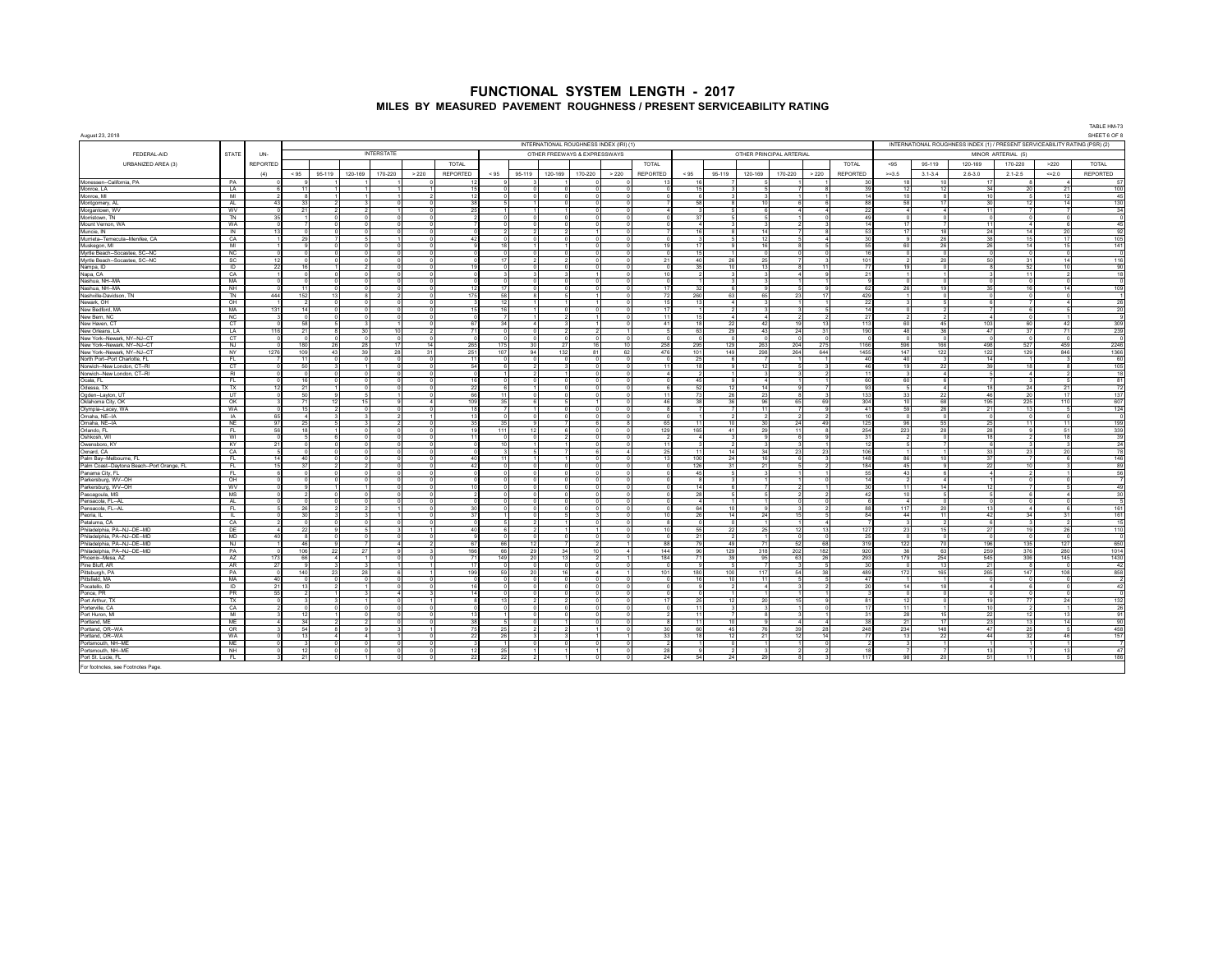|                                                                                   |                        |                 |                        |                        |                 |                                    |       |                 |      |                  |                              |                            |                                         |                      |                       |                              |          |                                  |                      |                        |                |                    |                                                                             |                    |                        | TABLE HM-73               |
|-----------------------------------------------------------------------------------|------------------------|-----------------|------------------------|------------------------|-----------------|------------------------------------|-------|-----------------|------|------------------|------------------------------|----------------------------|-----------------------------------------|----------------------|-----------------------|------------------------------|----------|----------------------------------|----------------------|------------------------|----------------|--------------------|-----------------------------------------------------------------------------|--------------------|------------------------|---------------------------|
| August 23, 2018                                                                   |                        |                 |                        |                        |                 |                                    |       |                 |      |                  |                              |                            | INTERNATIONAL ROUGHNESS INDEX (IRI) (1) |                      |                       |                              |          |                                  |                      |                        |                |                    | INTERNATIONAL ROUGHNESS INDEX (1) / PRESENT SERVICEABILITY RATING (PSR) (2) |                    |                        | SHEET 6 OF 8              |
| FEDERAL-AID                                                                       | STATE                  | UN-             |                        |                        |                 | <b>INTERSTATE</b>                  |       |                 |      |                  | OTHER FREEWAYS & EXPRESSWAYS |                            |                                         |                      |                       |                              |          | OTHER PRINCIPAL ARTERIAL         |                      |                        |                |                    |                                                                             | MINOR ARTERIAL (5) |                        |                           |
| URBANIZED AREA (3)                                                                |                        | <b>REPORTED</b> |                        |                        |                 |                                    |       | TOTAL           |      |                  |                              |                            |                                         | <b>TOTAL</b>         |                       |                              |          |                                  |                      | TOTAL                  | < 95           | 95-119             | 120-169                                                                     | 170-220            | >220                   | TOTAL                     |
|                                                                                   |                        | (4)             | < 95                   | 95-119                 | 120-169         | 170-220                            | > 220 | REPORTED        | < 95 | 95-119           | 120-169                      | 170-220                    | >220                                    | <b>REPORTED</b>      | < 95                  | 95-119                       | 120-169  | 170-220                          | >220                 | <b>REPORTED</b>        | $> = 3.5$      | $3.1 - 3.4$        | $2.6 - 3.0$                                                                 | $2.1 - 2.5$        | << 2.0                 | <b>REPORTED</b>           |
| Monessen--California, PA                                                          | PA                     |                 |                        |                        |                 |                                    |       |                 |      |                  |                              |                            |                                         |                      | 16                    |                              |          |                                  |                      |                        |                |                    |                                                                             |                    |                        | 57                        |
| Monroe, LA                                                                        | LA<br>MI               |                 | 11<br>$\mathbf{R}$     |                        |                 | $\mathbf{1}$                       |       | 15<br>12        |      | $\sim$           |                              | $\Omega$                   | n                                       |                      | 15<br>-6              | $\mathbf{z}$<br>$\mathbf{R}$ |          | $\overline{7}$<br>$\sim$         | $\blacktriangleleft$ | 30<br>14               | 12<br>10       | 12<br>-8           | 34                                                                          | 20                 | 21                     | 100<br>-45                |
| Monroe, MI<br>Montgomery, AL                                                      | AL                     | $-43$           | 33                     |                        |                 | $\Omega$                           |       | 38              |      |                  |                              | $\overline{0}$<br>$\Omega$ |                                         |                      | 58                    | $\mathbf{a}$                 | 10       | 6 <sup>1</sup>                   | 6                    | 88                     | 58             | 17                 | 10<br>30                                                                    |                    | 12<br>14               | 130                       |
| Morgantown, WV                                                                    | <b>WV</b>              |                 | 21                     |                        |                 |                                    |       | 25              |      |                  |                              | $\Omega$                   |                                         |                      |                       |                              |          | $\boldsymbol{A}$                 |                      |                        |                |                    | 11                                                                          |                    | $\overline{7}$         | 34                        |
| Morristown, TN                                                                    | TN                     | 35              |                        |                        |                 |                                    |       |                 |      |                  |                              | $\circ$                    |                                         |                      | 37                    |                              |          |                                  |                      |                        |                |                    | $^{\circ}$                                                                  |                    |                        | $^{\circ}$                |
| Mount Vernon, WA                                                                  | WA                     |                 |                        |                        |                 |                                    |       |                 |      |                  |                              | $\circ$                    |                                         |                      | $\sim$                |                              |          |                                  |                      |                        | 17             |                    | 11                                                                          |                    | - 6                    | 45                        |
| Muncie, IN                                                                        | IN                     | $-12$           | $\Omega$               | $\overline{z}$         |                 |                                    |       |                 |      |                  |                              |                            |                                         |                      | 16<br>$\mathbf{R}$    | $\mathbf{R}$<br>$\sqrt{2}$   | 14<br>12 | $\sim$                           | $\overline{A}$       |                        | 17             | 18                 | 24<br>38                                                                    | 14<br>15           | 20<br>17               | 92                        |
| Murrieta--Temecula--Menifee, CA<br>Muskegon, MI                                   | CA<br>M <sub>1</sub>   |                 | 29                     |                        |                 | $\Omega$                           |       | 42              |      |                  |                              | $\Omega$<br>$\Omega$       |                                         |                      | 17                    |                              | 16       | $\mathbf{a}$                     |                      |                        | 60             | 26<br>26           | 26                                                                          | 14                 | 15                     | 105<br>141                |
| Myrtle Beach--Socastee, SC--NC                                                    | NC                     |                 |                        |                        |                 |                                    |       |                 |      |                  |                              | $\Omega$                   |                                         |                      | 15                    |                              |          | $\Omega$                         |                      |                        |                |                    | $\Omega$                                                                    |                    |                        |                           |
| Myrtle Beach--Socastee, SC--NC                                                    | SC                     |                 | $\Omega$               |                        |                 | $\circ$                            |       |                 | 17   |                  |                              | $\circ$                    |                                         |                      | 40                    | 26                           | 25       | $\overline{7}$                   |                      | 101                    |                | 20                 | 50                                                                          | 31                 | 14                     | 116                       |
| Nampa, ID                                                                         | $\overline{D}$         |                 | 16                     |                        |                 |                                    |       |                 |      |                  |                              |                            |                                         |                      | 35                    | 10                           | 13       | 8                                | 11                   |                        |                |                    |                                                                             |                    | 10                     | 90                        |
| Napa, CA                                                                          | CA<br>MA               |                 | $\Omega$<br>$\sim$     | $\Omega$               | $\sim$          | $\Omega$                           |       |                 |      |                  |                              | 11                         |                                         |                      | $\mathcal{P}$<br>$-1$ | $\mathbf{z}$                 |          | $\sim$<br>$\overline{1}$         |                      | 21                     |                |                    | $\Omega$                                                                    | 11                 | $\Omega$               | $\overline{18}$<br>$\sim$ |
| Nashua, NH--MA<br>Nashua, NH--MA                                                  | NH                     |                 | 11                     | $\Omega$               |                 | $\Omega$                           |       | 12              | -17  |                  |                              | $\overline{0}$<br>$\circ$  |                                         |                      | 32                    | 6                            |          | 5                                |                      | -62                    | 26             | 19                 | 35                                                                          |                    | 14                     | 109                       |
| Nashville-Davidson, TN                                                            | <b>TN</b>              | 444             | 152                    | 13                     |                 |                                    |       | 175             | 58   |                  |                              |                            |                                         |                      | 260                   | 63                           | 65       | 23                               | 17                   | 429                    |                |                    |                                                                             |                    |                        |                           |
| Newark, OH                                                                        | OH                     |                 | -2                     |                        |                 |                                    |       |                 |      |                  |                              |                            |                                         |                      | 13                    | $\boldsymbol{A}$             |          |                                  |                      | $\mathcal{D}$          |                |                    | ĥ                                                                           |                    | 4                      | 26                        |
| New Bedford, MA                                                                   | MA                     | 131             | 14                     |                        |                 |                                    |       | 15              |      |                  |                              |                            |                                         |                      |                       | $\overline{2}$               |          |                                  |                      |                        |                |                    |                                                                             |                    |                        | 20                        |
| New Bern, NC                                                                      | NC                     |                 | $\Omega$<br>58         | $\sim$                 |                 | $\sim$                             |       | 67              | 34   | $\boldsymbol{A}$ |                              |                            |                                         | 41                   | 15<br>18              | $\Lambda$                    | 42       | $\mathcal{L}$<br>19 <sup>1</sup> | 13                   | 27                     | 60             | 45                 | 4                                                                           | 60                 |                        | $^{\circ}$                |
| New Haven, CT<br>New Orleans, LA                                                  | CT<br>LA.              | 116             | 21                     | $\mathbf{R}$           | 30 <sup>1</sup> | 10 <sup>1</sup>                    |       | 71              |      | $\sim$           |                              | $\mathcal{P}$              |                                         |                      | 63                    | 22<br>29                     | 43       | 24                               | 31                   | 113<br>190             | 48             | 36                 | 103<br>47                                                                   | 37                 | 42<br>71               | 309<br>239                |
| New York--Newark, NY--NJ--CT                                                      | CT                     |                 | $\Omega$               | $\Omega$               |                 | $\overline{0}$<br>$\overline{0}$   |       |                 |      |                  |                              | $\sqrt{2}$                 |                                         |                      | $\overline{0}$        | $\Omega$                     |          | <sub>D</sub>                     | $\overline{0}$       |                        |                |                    | $\overline{0}$                                                              |                    | $\overline{0}$         |                           |
| New York--Newark, NY--NJ--CT                                                      | NJ                     |                 | 180                    | 26                     | 28              | 17                                 | 14    | 265             | 175  | 30               | 27                           | 16                         | 10 <sup>1</sup>                         | 258                  | 295                   | 129                          | 263      | 204                              | 275                  | 1166                   | 596            | 166                | 498                                                                         | 527                | 459                    | 2246                      |
| New York -- Newark, NY -- NJ -- CT                                                | NY                     | 1276            | 109                    | 43                     | 39              | 28                                 | 31    | 251             | 107  | 94               | 132                          | 81                         | 62                                      | 476                  | 101                   | 149                          | 298      | 264                              | 644                  | 1455                   | 147            | 122                | 122                                                                         | 129                | 846                    | 1366                      |
| North Port--Port Charlotte, FL                                                    | FL.                    |                 | 11                     |                        |                 | $\Omega$<br>$^{\circ}$             |       | 11              |      |                  |                              | $\overline{0}$             |                                         |                      | 25                    | 6                            |          |                                  |                      | $\overline{A}$<br>46   | 40             |                    | 14                                                                          |                    |                        | - 60                      |
| Norwich--New London, CT--RI<br>Norwich--New London, CT--RI                        | <b>CT</b><br><b>RI</b> |                 | 50<br>$\Omega$         |                        | n               |                                    |       | 54<br>n         |      |                  |                              | $\Omega$<br>$\overline{0}$ |                                         |                      | 18<br>$\overline{2}$  | $\alpha$<br>$\mathbf{1}$     | 12       | 5 <sub>1</sub><br>$\mathbf{3}$   |                      | 11                     | 19             | 22<br>$\mathbf{A}$ | 39<br>- 5                                                                   | 18<br>$\mathbf{A}$ | $\overline{2}$         | 105<br>18                 |
| Ocala, FL                                                                         | FL                     |                 | 16                     |                        |                 |                                    |       | 16              |      |                  |                              | $\overline{0}$             |                                         |                      | 45                    | $\mathbf{a}$                 |          |                                  |                      | -60                    | 60             |                    |                                                                             |                    | -5                     | 81                        |
| Odessa, TX                                                                        | TX                     |                 | 21                     |                        |                 |                                    |       | 22              |      |                  |                              |                            |                                         |                      | 52                    | 12                           | 14       | $\mathbf{a}$                     |                      | $\mathbf{Q}$           |                |                    | 18                                                                          |                    | 21                     | 72                        |
| Ogden--Layton, UT                                                                 | UT                     |                 | 50                     |                        |                 |                                    |       | 66              |      |                  |                              | $\circ$                    |                                         |                      | 73                    | 26                           | 23       | 8                                |                      | 133                    | 33             | 22                 | 46                                                                          |                    | 17                     | 137                       |
| Oklahoma City, OK                                                                 | <b>OK</b>              |                 | 71<br>15               | 12                     | 15              | $\Omega$                           |       | 109<br>18       |      |                  |                              | $\sim$                     |                                         |                      | 38<br>$\overline{z}$  | 36<br>$\overline{7}$         | 96<br>11 | 65<br>$\overline{z}$             | 69                   | 304<br>$-41$           | 59             | 68<br>26           | 195                                                                         | 225<br>13          | 110<br>$\sim$          | 607                       |
| Olympia--Lacey, WA<br>Omaha, NE-IA                                                | WA<br><b>IA</b>        | 65              | $\boldsymbol{A}$       | $\mathbf{\hat{z}}$     |                 | $\mathcal{D}$                      |       | 13              |      |                  |                              | $\sqrt{2}$                 |                                         |                      | $-1$                  | $\mathcal{L}$                |          | J,                               | $\mathcal{L}$        | 10                     |                |                    | 21<br>$\sim$                                                                |                    | $\sim$                 | 124<br>$\sim$             |
| Omaha, NE-IA                                                                      | NE                     | Q <sub>7</sub>  | 25                     | $\overline{a}$         |                 | $\mathcal{P}$                      |       | 35              | 25   |                  |                              | 6                          |                                         |                      | 11                    | 10                           | 30       | 24                               | 49                   | 125                    | 96             | 55                 | 25                                                                          |                    | 11                     | 199                       |
| Orlando, FL                                                                       | FL.                    |                 | 18                     |                        |                 |                                    |       | 19              | 111  | 12               |                              | $\Omega$                   |                                         | 121                  | 165                   | 41                           | 29       | 11                               | $\mathbf{a}$         | 254                    | 223            | 28                 | 28                                                                          |                    | 51                     | 339                       |
| Oshkosh, WI                                                                       | WI                     |                 |                        |                        |                 | $\mathbf 0$                        |       | 11              |      |                  |                              | $\circ$                    |                                         |                      | $\ddot{a}$            | 3                            |          | 6                                |                      | $\overline{3}$         |                |                    | 18                                                                          |                    | 18                     | 39                        |
| Owensboro, KY<br>Oxnard, CA                                                       | KY<br>CA               | 21              | $\Omega$<br>$\sqrt{2}$ |                        |                 | $\Omega$<br>$\sqrt{2}$<br>$\Omega$ |       |                 | 10   |                  |                              | $\Omega$<br>-61            |                                         | つら                   | 3<br>11               | $\mathfrak{D}$<br>141        | 34       | 3<br>23                          | 23                   | 106                    |                |                    | - 6<br>33                                                                   | 23                 | 3<br>20                | 24<br>78                  |
| Palm Bay--Melbourne, FL                                                           | FL                     | 14              | 40                     |                        | $\sim$          | $\Omega$                           |       | 40              | 11   |                  |                              | $\overline{0}$             |                                         | $\ddot{\phantom{1}}$ | 100                   | 24                           | 16       | 6 <sup>1</sup>                   |                      | 148                    | 86             | 10 <sup>10</sup>   | 37                                                                          |                    | - 6                    | 146                       |
| Palm Coast-Daytona Beach--Port Orange, FL                                         | FL.                    |                 | 37                     |                        |                 | $\Omega$                           |       | 42              |      |                  |                              | $\circ$                    |                                         |                      | 126                   | 31                           | 21       | 5 <sub>1</sub>                   |                      | 184                    | 45             |                    | 22                                                                          |                    | -3                     | 89                        |
| Panama City, FL                                                                   | FL.                    |                 |                        |                        |                 |                                    |       |                 |      |                  |                              | $\Omega$                   |                                         |                      | 45                    | 5                            |          |                                  |                      |                        | 43             |                    | $\Delta$                                                                    |                    |                        | 56                        |
| Parkersburg, WV-OH                                                                | OH                     |                 |                        |                        |                 |                                    |       | 10              |      |                  |                              |                            |                                         |                      | 14                    |                              |          |                                  |                      |                        |                |                    | 12                                                                          |                    |                        | 49                        |
| Parkersburg, WV-OH<br>Pascagoula, MS                                              | <b>MA</b><br><b>MS</b> |                 |                        |                        |                 |                                    |       |                 |      |                  |                              | $\circ$                    |                                         |                      | 28                    | $\sqrt{2}$                   |          | $\mathfrak{D}$                   |                      | $\boldsymbol{\Lambda}$ |                |                    | 5                                                                           |                    | $\boldsymbol{\Lambda}$ | 30                        |
| Pensacola, FL--AL                                                                 | <b>AL</b>              |                 | $\sim$                 |                        |                 | $\Omega$                           |       |                 |      |                  |                              | $\Omega$                   |                                         |                      | $\boldsymbol{A}$      | $-1$                         |          | $\sim$                           | $\Omega$             |                        | $\overline{a}$ |                    | $\Omega$                                                                    |                    |                        |                           |
| Pensacola, FL--AL                                                                 | FL.                    |                 | 26                     | 2                      |                 | $\mathbf{1}$                       |       | 30 <sup>1</sup> |      |                  |                              | $\Omega$                   |                                         |                      | 64                    | 10                           |          | $\mathcal{R}$                    | $\overline{2}$       | 88                     | 117            | 20 <sub>0</sub>    | 13                                                                          |                    | -6                     | 161                       |
| Peoria II                                                                         | $\overline{L}$         |                 | 30                     |                        |                 |                                    |       | 37              |      |                  |                              |                            |                                         |                      | 26                    | 14                           | 24       | 15                               | 5                    | 84                     | 44             | 11                 | 42                                                                          |                    | 31                     | 161                       |
| Petaluma, CA<br>Philadelphia, PA--NJ--DE--MD                                      | CA<br>DE               |                 | 22                     | $\Omega$               |                 | $\Omega$<br>3                      |       | 40              |      |                  |                              | $\Omega$<br>1              |                                         |                      | $\Omega$<br>55        | $\Omega$<br>22               | 25       | 12                               | $\overline{a}$<br>13 | 127                    | 23             | 15                 | $\mathbf{6}$<br>27                                                          | 19                 | 26                     | 15<br>110                 |
| Philadelphia, PA--NJ--DE--MD                                                      | MD                     |                 | $\mathbf{g}$           |                        |                 |                                    |       |                 |      |                  |                              | $\Omega$                   |                                         |                      | 21                    | $\overline{2}$               |          | $\circ$                          |                      | 25                     |                |                    |                                                                             |                    |                        | -n                        |
|                                                                                   | <b>NJ</b>              |                 | 46                     | $^{\circ}$             |                 | $\overline{7}$<br>$\boldsymbol{4}$ |       | 67              | 66   | 12               |                              | $\overline{2}$             |                                         | R                    | 79                    | 49                           | 71       | 52                               | 68                   | 319                    | 122            | 70                 | 196                                                                         | 135                | 127                    | 650                       |
| Philadelphia, PA--NJ--DE--MD<br>Philadelphia, PA--NJ--DE--MD<br>Phoenix--Mesa, AZ | PA                     |                 | 106                    | 22                     | 27              | $\Omega$                           |       | 166             | 66   | 29               | 34                           | 10                         | $\Delta$                                | 144                  | 90                    | 129                          | 318      | 202                              | 182                  | 920                    | 36             | 63                 | 259                                                                         | 376                | 280                    | 1014                      |
|                                                                                   | AZ                     | 173             | 66                     | $\boldsymbol{\Lambda}$ |                 | $\Omega$                           |       | 71<br>17        | 149  | 20 <sub>0</sub>  | 13                           | $\mathcal{P}$              |                                         | 184                  | 71                    | 39                           | 95       | 63                               | 26                   | 293                    | 179            | 254                | 545                                                                         | 306                | 145                    | 1430                      |
| Pine Bluff, AR<br>Pittsburgh, PA                                                  | AR<br>PA               | 27              | 140                    | 23                     | 28              |                                    |       | 199             | 59   | 20               | 16                           | 4                          |                                         | 101                  | 180                   | 5<br>100                     | 117      | 54                               | 38                   | 489                    | 172            | 13<br>165          | 21<br>265                                                                   | 147                | 108                    | 42<br>858                 |
| Pittsfield, MA                                                                    | MA                     | 40              | $^{\circ}$             |                        |                 |                                    |       |                 |      |                  |                              | $\circ$                    |                                         |                      | 16                    | 10                           |          | 5                                |                      | $\mathbf{A}$           |                |                    |                                                                             |                    |                        | $\overline{2}$            |
| Pocatello, ID                                                                     | ID                     | 21              | 13                     |                        |                 | $\Omega$                           |       | 16              |      |                  |                              | $\Omega$                   |                                         |                      | $\circ$               | $\overline{2}$               |          | $\mathbf{z}$                     |                      | 20                     | 14             | 18                 | $\sim$                                                                      |                    |                        | 42                        |
| Ponce, PR                                                                         | PR                     | 55              |                        | $\mathcal{P}$          |                 | $\boldsymbol{A}$                   |       | 14              |      | $\sim$           |                              | $\Omega$                   |                                         |                      | $\sim$                | $-1$                         |          | $\blacksquare$                   |                      |                        |                | $\sim$             | $\sim$                                                                      |                    | $\sim$                 | $\sqrt{2}$                |
| Port Arthur. TX                                                                   | TX<br>CA               |                 |                        |                        |                 | $\Omega$<br>$\Omega$               |       |                 |      |                  |                              | $\Omega$<br>$\Omega$       |                                         |                      | 25<br>11              | 12                           | 20       | 15                               |                      | 81                     | 12             |                    | 19<br>10                                                                    | 77                 | 24                     | 132                       |
| Porterville, CA<br>Port Huron, MI                                                 | MI                     |                 | 12                     |                        |                 |                                    |       | 13              |      |                  |                              | $\circ$                    |                                         |                      | 11                    |                              |          | $\mathbf{3}$                     |                      |                        | 28             | 15                 | 22                                                                          | 12                 | 13                     | 26<br>91                  |
| Portland, ME                                                                      | ME                     |                 | 34                     |                        |                 |                                    |       | 38              |      |                  |                              |                            |                                         |                      | 11                    | 10                           |          | $\overline{a}$                   |                      |                        |                |                    | 23                                                                          |                    | 14                     | 90                        |
| Portland, OR-WA                                                                   | OR                     |                 | 54                     |                        |                 |                                    |       | 75              | 25   |                  |                              | 11                         |                                         |                      | 60                    | 45                           |          | 39                               | 28                   | 248                    | 234            | 148                | 47                                                                          | つら                 |                        | 458                       |
| Portland, OR-WA                                                                   | <b>WA</b>              |                 | - 13                   | $\Lambda$              | $\mathbf{A}$    |                                    |       | 22              | 26   |                  |                              | 11                         |                                         |                      | 18                    | 12                           | 21       | 12                               | 14                   | 77                     | -13            | 22                 | 44                                                                          | 32                 | 46                     | 157                       |
| Portsmouth, NH--ME<br>Portsmouth NH-MF                                            | <b>ME</b><br><b>NH</b> |                 | -3<br>12               |                        |                 |                                    |       | 12              | 25   |                  |                              | $\circ$                    |                                         |                      | я                     | $\Omega$                     |          | $\overline{1}$                   |                      |                        |                |                    | 13                                                                          |                    | 13                     | 47                        |
| Port St. Lucie, FL                                                                | FL.                    |                 | 21                     |                        |                 |                                    |       | 22              | 22   |                  |                              |                            |                                         |                      | 54                    | 24                           |          | $\mathbf{R}$                     |                      | 117                    | 98             | 20                 | 51                                                                          |                    |                        | 186                       |
| For footnotes, see Footnotes Page.                                                |                        |                 |                        |                        |                 |                                    |       |                 |      |                  |                              |                            |                                         |                      |                       |                              |          |                                  |                      |                        |                |                    |                                                                             |                    |                        |                           |
|                                                                                   |                        |                 |                        |                        |                 |                                    |       |                 |      |                  |                              |                            |                                         |                      |                       |                              |          |                                  |                      |                        |                |                    |                                                                             |                    |                        |                           |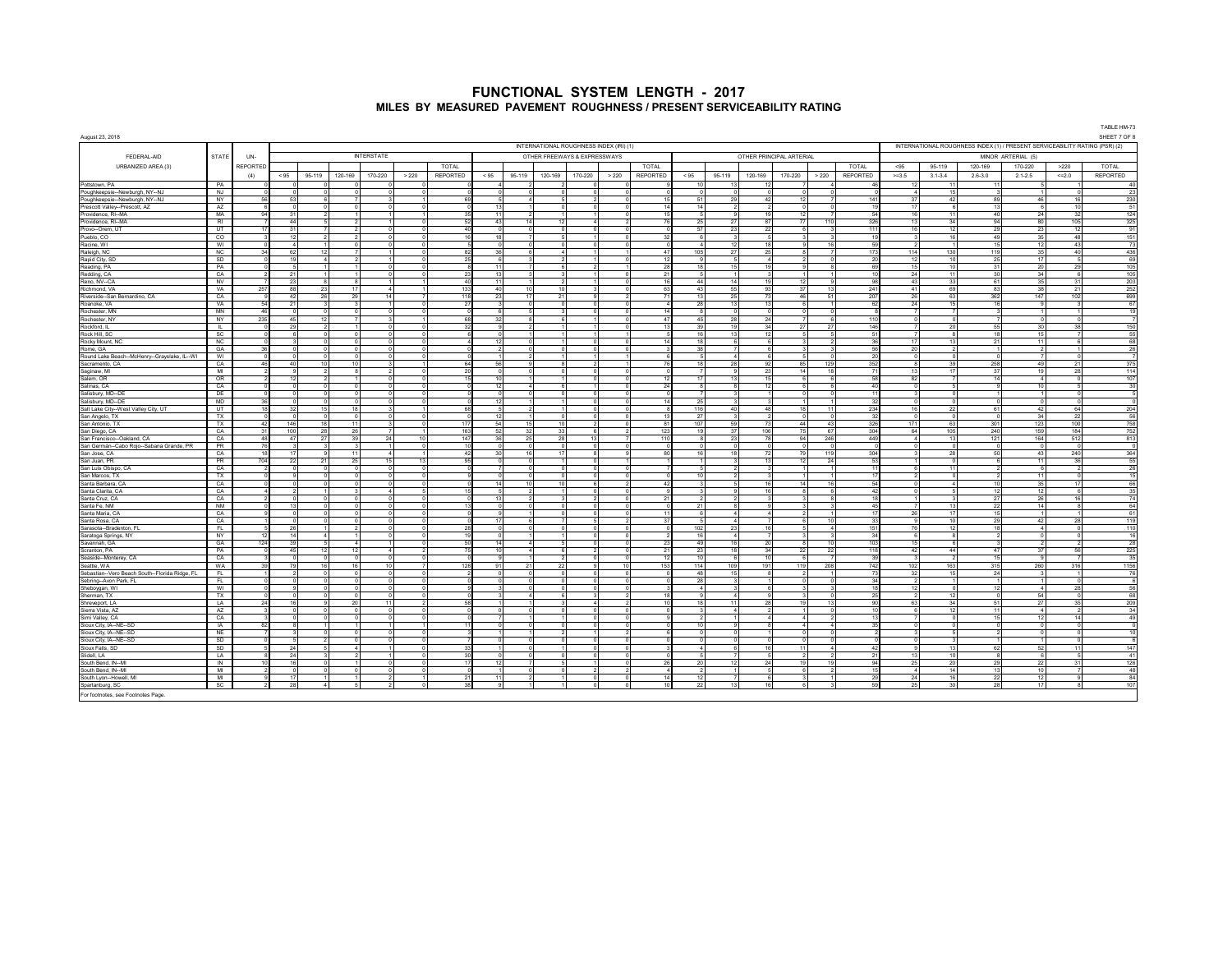| August 23, 2018                                                |                        |          |                            |          |                                                |                                |                      |                       |                       |                                                |                                         |                                 |                |                 |                                |                                |                       |                          |                                    |                             |                                      |                                     |                                                                             |                             |                    | TABLE HM-73<br>SHEET 7 OF 8 |
|----------------------------------------------------------------|------------------------|----------|----------------------------|----------|------------------------------------------------|--------------------------------|----------------------|-----------------------|-----------------------|------------------------------------------------|-----------------------------------------|---------------------------------|----------------|-----------------|--------------------------------|--------------------------------|-----------------------|--------------------------|------------------------------------|-----------------------------|--------------------------------------|-------------------------------------|-----------------------------------------------------------------------------|-----------------------------|--------------------|-----------------------------|
|                                                                |                        |          |                            |          |                                                |                                |                      |                       |                       |                                                | INTERNATIONAL ROUGHNESS INDEX (IRI) (1) |                                 |                |                 |                                |                                |                       |                          |                                    |                             |                                      |                                     | INTERNATIONAL ROUGHNESS INDEX (1) / PRESENT SERVICEABILITY RATING (PSR) (2) |                             |                    |                             |
| FEDERAL-AID                                                    | STATE                  | UN-      |                            |          |                                                | <b>INTERSTATE</b>              |                      |                       |                       |                                                | OTHER FREEWAYS & EXPRESSWAYS            |                                 |                |                 |                                |                                |                       | OTHER PRINCIPAL ARTERIAL |                                    |                             |                                      |                                     |                                                                             | MINOR ARTERIAL (5)          |                    |                             |
| URBANIZED AREA (3)                                             |                        | REPORTED |                            |          |                                                |                                |                      | <b>TOTAL</b>          |                       |                                                |                                         |                                 |                | TOTAL           |                                |                                |                       |                          |                                    | <b>TOTAL</b>                | < 95                                 | 95-119                              | 120-169                                                                     | 170-220                     | >220               | TOTAL                       |
|                                                                |                        | (4)      | < 95                       | 95-119   | 120-169                                        | 170-220                        | > 220                | REPORTED              | < 95                  | 95-119                                         | 120-169                                 | 170-220                         | > 220          | <b>REPORTED</b> | < 95                           | 95-119                         | 120-169               | 170-220                  | > 220                              | REPORTED                    | $>=3.5$                              | $3.1 - 3.4$                         | $2.6 - 3.0$                                                                 | $2.1 - 2.5$                 | $=2.0$             | REPORTED                    |
| Pottstown, PA                                                  | PA                     |          | $\sim$                     |          |                                                | $\Omega$                       | $\Omega$             |                       |                       |                                                |                                         | $\Omega$                        |                |                 | 10 <sup>1</sup>                | 13                             | 12                    |                          | $\boldsymbol{\Lambda}$             |                             | 12                                   | 11                                  | 11                                                                          |                             |                    | 40                          |
| Poughkeepsie -- Newburgh, NY -- NJ                             | NJ<br>NY               |          | $\Omega$<br>53             |          | $\Omega$<br>$\Omega$<br>$\mathbf{a}$           | $\Omega$                       | $\Omega$             | 69                    |                       | $\Omega$<br>$\Omega$<br>$\boldsymbol{\Lambda}$ | $\sim$                                  | $\Omega$<br>$\mathcal{L}$       |                |                 | $\Omega$<br>51                 | $\Omega$<br>29                 | $\Omega$<br>42        | $\Omega$<br>12           | $\Omega$                           | 14'                         | $\sim$ 4<br>37                       | 15<br>42                            | $\mathbf{3}$<br>89                                                          | 1<br>46                     | $\Omega$<br>16     | 23<br>230                   |
| Poughkeepsie-Newburgh, NY-NJ<br>Prescott Valley-Prescott, AZ   | AZ                     |          | $\Omega$                   |          |                                                |                                |                      |                       | 13                    |                                                |                                         |                                 |                |                 | 14                             | $\mathcal{P}$                  |                       |                          | $\Omega$                           |                             | 17                                   |                                     | 13                                                                          | 6                           | 10                 | 51                          |
| Providence, RI--MA                                             | MA                     |          | 31                         |          |                                                | 1                              |                      | 35                    | 11                    |                                                |                                         |                                 |                |                 |                                | $^{9}$                         | 19                    | 12                       | $\overline{7}$                     | $\mathbf{r}$                | 16                                   | 11                                  | 40                                                                          | 24                          | 32                 | 124                         |
| Providence, RI--MA<br>Provo--Orem, UT                          | <b>RI</b><br><b>UT</b> |          | 44<br>31                   |          | 5<br>$\overline{7}$                            | $\Omega$<br>$\mathcal{D}$      |                      | 52<br>40              | 43<br>$\Omega$        | 14<br>$\Omega$                                 | 12                                      | $\overline{a}$<br>$\Omega$      |                |                 | 25<br>57                       | 27<br>23                       | 87<br>22              | 77<br>A                  | 110<br>$\mathbf{3}$                | 326<br>111                  | 13<br>16                             | 34<br>12                            | 94<br>29                                                                    | 80<br>23                    | 105<br>12          | 325<br>91                   |
| Pueblo, CO                                                     | CO.                    |          | 12                         |          | $\mathcal{P}$                                  | $\circ$<br>$\mathcal{D}$       |                      | 16                    | 18                    | $\overline{ }$                                 |                                         |                                 |                |                 | $\epsilon$                     | $\mathbf{3}$                   | -51                   |                          | $\mathbf{3}$                       | 10                          | $\overline{\mathbf{3}}$              | 16                                  | 49                                                                          | 35                          | 48                 | 151                         |
| Racine, WI                                                     | WI                     |          | $\boldsymbol{\Lambda}$     |          | $\Omega$                                       | $\Omega$                       |                      |                       |                       |                                                |                                         | $\Omega$                        |                |                 |                                | 12                             | 18                    | $\circ$                  | 16                                 | 50                          | $\overline{2}$                       |                                     | 15                                                                          | 12                          | 43                 | 73                          |
| Raleigh, NC                                                    | NC                     |          | 62                         |          | 12                                             |                                |                      | 82                    | 36                    | 6.                                             |                                         |                                 |                | 47              | 105                            | 27                             | 25                    | я                        |                                    | 173<br>$\gamma$             | 114                                  | 130                                 | 119                                                                         | 35                          | 40                 | 436                         |
| Rapid City, SD<br>Reading, PA                                  | SD<br>PA               |          | 19                         |          | 4<br>2                                         |                                |                      | 25                    | -6                    |                                                |                                         |                                 |                | 28              | 18                             | -5<br>15                       | $\sim$<br>19          |                          | $^{\circ}$<br>$\mathbf{a}$         | 69                          | 12<br>15                             | 10<br>10                            | 25<br>31                                                                    | 17<br>20                    | -5<br>29           | 69<br>105                   |
| Redding, CA                                                    | CA                     |          | 21                         |          |                                                |                                |                      | 23                    | 13                    |                                                |                                         |                                 |                |                 |                                |                                |                       |                          |                                    |                             | 24                                   | 11                                  | 30                                                                          | 34                          | 6                  | 105                         |
| Reno, NV--CA                                                   | <b>NV</b>              |          | 23                         |          | 8<br>8                                         |                                |                      | 40                    | 11                    |                                                |                                         |                                 |                | 16              | 44                             | 14                             | 19                    | 12                       | $\overline{9}$                     | $\alpha$                    | 43                                   | 33                                  | 61                                                                          | 35                          | 31                 | 203                         |
| Richmond, VA<br>Riverside--San Bernardino, CA                  | VA<br>CA               | 257      | 88<br>42                   | 23<br>26 | 17<br>29                                       | $\Lambda$<br>14                |                      | 133<br>118            | 40 <sup>2</sup><br>23 | 10 <sup>1</sup><br>17                          | $10^{-1}$<br>21                         | $\mathbf{R}$<br>$\Omega$        |                | 63              | 43<br>13                       | 55<br>25                       | 93<br>73              | 37<br>46                 | 13<br>51                           | 241<br>207                  | 41<br>26                             | 69<br>63                            | 83<br>362                                                                   | 38<br>147                   | 21<br>102          | 252<br>699                  |
| Roanoke, VA                                                    | VA                     | -54      | 21                         |          | $\overline{3}$<br>$\mathbf{3}$                 | -1                             | $\Omega$             | 27                    | $\mathbf{R}$          | $\Omega$                                       | $\Omega$                                | $\overline{0}$                  |                |                 | 28                             | 13                             | 13                    | -6                       | $\overline{1}$                     | -62                         | 24                                   | 15                                  | 16                                                                          | $\mathbf{Q}$                | $\mathbf{3}$       | 67                          |
| Rochester, MN                                                  | <b>MN</b>              | 46       | $\Omega$                   |          | $\Omega$                                       | $\Omega$                       |                      |                       |                       |                                                |                                         | $\sim$                          |                |                 |                                | $\Omega$                       |                       |                          | $\Omega$                           |                             | $\overline{7}$                       |                                     |                                                                             | 1                           |                    | 19                          |
| Rochester, NY<br>Rockford, IL                                  | NY                     | 235      | 45<br>29                   |          | 12<br>$\overline{2}$                           | $\mathbf{R}$                   |                      | 68<br>32              | 32                    | R.                                             |                                         |                                 |                |                 | 45<br>39                       | 28<br>19                       | 24<br>34              | 27                       | $\epsilon$<br>27                   | 110<br>146                  | $\Omega$                             | 20                                  | 55                                                                          | $\Omega$<br>30 <sup>°</sup> | 38                 | $\overline{7}$<br>150       |
| Rock Hill, SC                                                  | L.<br>SC               |          | 6 <sup>2</sup>             |          | $\mathbf{0}$                                   | $\Omega$                       |                      |                       |                       |                                                |                                         |                                 |                |                 | 16                             | 13                             | 12                    |                          | 5                                  | -51                         | $\overline{7}$                       | $\mathbf{a}$                        | 18                                                                          | 15                          |                    | 55                          |
| Rocky Mount, N                                                 | NC.                    |          |                            |          | $\Omega$                                       | $\Omega$                       |                      |                       | 12                    |                                                |                                         | $\Omega$                        |                |                 | 18                             | -6                             |                       | $6 \mid$                 | $\overline{2}$                     | 36                          | 17                                   | 13                                  | 21                                                                          | 11                          |                    | 68                          |
| Rome, GA                                                       | GA                     |          | $\Omega$                   |          | $\Omega$                                       | $\Omega$                       |                      |                       |                       |                                                |                                         | $\sim$                          |                |                 | 38                             |                                |                       | $6 \mid$                 | $\mathbf{3}$                       | -56                         | 20                                   | $\mathcal{P}$                       |                                                                             | $\overline{2}$              |                    | 26                          |
| Round Lake Beach--McHenry--Grayslake, IL--WI<br>Sacramento, CA | WI<br>CA               |          | $\Omega$<br>40             |          | $\Omega$<br>$\Omega$<br>10<br>$10 -$           | $\circ$<br>$\mathbf{3}$        | $\Omega$             | 64                    | 56                    | $\mathcal{D}$                                  |                                         | $\overline{1}$<br>$\mathcal{P}$ |                | 74              | $\sim$<br>18                   | $\overline{A}$<br>28           | 6 <sup>1</sup><br>92  | $\mathbf{r}$<br>85       | $\Omega$<br>129                    | $\gamma$<br>352             | $\overline{0}$<br>-8                 | $\Omega$<br>39                      | $\Omega$<br>258                                                             | $\overline{7}$<br>49        | $\circ$<br>21      | $\overline{7}$<br>375       |
| Saginaw, MI                                                    | MI                     |          | $\overline{9}$             |          | 8                                              | $\overline{2}$                 |                      | 20                    | $\Omega$              |                                                |                                         | n                               |                |                 |                                | $\mathbf{a}$                   | 23                    | 14                       | 18                                 | $\mathbf{7}$                | 13                                   | 17                                  | 37                                                                          | 19                          | 28                 | 114                         |
| Salem, OR                                                      | OR                     |          | 12                         |          |                                                | $\circ$                        |                      | 15                    | 10                    |                                                |                                         |                                 |                |                 | 17                             | 13                             | 15                    |                          | 6                                  | 58                          | 82                                   |                                     | 14                                                                          | 4 <sup>1</sup>              | $^{\circ}$         | 107                         |
| Salinas, CA                                                    | CA                     |          |                            |          |                                                |                                |                      |                       | 12                    |                                                |                                         |                                 |                |                 |                                |                                | 12                    |                          | 6                                  | 4(                          | $\overline{0}$                       |                                     |                                                                             | 10                          |                    | 30                          |
| Salisbury, MD--C<br>Salisbury, MD--DE                          | DE<br><b>MD</b>        |          | $\Omega$<br>$\sim$         |          | $\Omega$<br>$\Omega$                           | $\Omega$                       |                      |                       | 12                    |                                                |                                         | $\sim$                          |                | 14              | 25                             | $\mathbf{3}$                   |                       |                          | $\Omega$<br>$\blacktriangleleft$   | $\ddot{\phantom{1}}$<br>-20 | $\overline{0}$                       | $\sim$                              |                                                                             | $\circ$                     | $^{\circ}$         | $\mathfrak s$<br>$\circ$    |
| Salt Lake City-West Valley City, UT                            | UT                     |          | 32                         | 15       | 18                                             | $\mathbf{3}$                   |                      | 68                    | $\mathbf{r}$          | $\mathcal{D}$                                  |                                         | $\Omega$                        |                |                 | 116                            | 40                             | 48                    | 18                       | 11                                 | 234                         | 16                                   | 22                                  | 61                                                                          | 42                          | 64                 | 204                         |
| San Angelo, TX                                                 | TX                     |          | $\Omega$                   |          | $\Omega$<br>$^{\circ}$                         | $\Omega$                       |                      |                       | 12                    |                                                | $\Omega$                                | $\Omega$                        |                |                 | 27                             | $\mathbf{3}$                   |                       | $\Omega$                 | $\Omega$                           | 3 <sup>2</sup>              | $\Omega$                             | $\Omega$                            | $\Omega$                                                                    | 34                          | 22                 | 56                          |
| San Antonio, TX<br>San Diego, CA                               | TX<br>CA               |          | 146<br>100                 | 18       | 11<br>28<br>26                                 | <sub>3</sub><br>$\overline{z}$ | Þ                    | 177<br>163            | 54<br>52              | 15<br>32                                       | 10<br>33                                | ν                               |                | 81<br>123       | 107<br>10                      | 59<br>37                       | 73<br>106             | 44<br>75                 | 43<br>67                           | 326<br>30 <sub>4</sub>      | 171<br>64                            | 63<br>105                           | 301<br>240                                                                  | 123<br>159                  | 100<br>184         | 758<br>752                  |
| San Francisco-Oakland, CA                                      | CA                     |          | 47                         |          | 39<br>27                                       | 24                             | 10 <sup>1</sup>      | 147                   | 36                    | 25                                             | 28                                      | 13                              |                | 11              |                                | 23                             | 78                    | 94                       | 246                                | 449                         | $\overline{a}$                       | 13 <sup>1</sup>                     | 121                                                                         | 164                         | 512                | 813                         |
| San Germán--Cabo Rojo--Sabana Grande, PR                       | PR                     |          | $\mathbf{3}$               |          |                                                | 1                              |                      | 10                    |                       | $\Omega$                                       |                                         | $^{\circ}$                      |                |                 |                                | $^{\circ}$                     |                       |                          | $\circ$                            |                             | $\mathbf{0}$                         |                                     | $^{\circ}$                                                                  | $\overline{0}$              |                    | $\circ$                     |
| San Jose, CA<br>San Juan, PR                                   | CA<br><b>PR</b>        | 704      | 17<br>22                   | 21       | 11<br>9<br>25                                  | 4<br>15                        | 13                   | 42<br>95              | 30                    | 16                                             | 17                                      | $\mathbf{a}$<br>$\sim$          |                |                 | 16                             | 18                             | 72<br>13 <sup>1</sup> | 79<br>12                 | 119<br>24                          | 304<br>-53                  | $\mathbf{3}$<br>$\blacktriangleleft$ | 28<br>$\sim$                        | 50<br>6                                                                     | 43<br>11                    | 240<br>36          | 364<br>55                   |
| San Luis Obispo, CA                                            | CA                     |          | $\Omega$                   |          | $\Omega$                                       | $\Omega$                       |                      |                       |                       |                                                |                                         | $\Omega$                        |                |                 |                                | $\mathcal{P}$                  |                       |                          | $\overline{1}$                     | $\rightarrow$               | 6                                    | 111                                 |                                                                             | 6                           | $\overline{2}$     | 26                          |
| San Marcos, TX                                                 | <b>TX</b>              |          | $\mathbf{Q}$               |          | $\Omega$<br>$^{\circ}$                         | $\circ$                        | $\Omega$             |                       | $\Omega$              | $\Omega$                                       | $\sqrt{2}$                              | $\Omega$                        | - 0            |                 | 10 <sup>1</sup>                | $\overline{2}$                 |                       | -31<br>$\mathbf{1}$      | $\sim$                             | 17                          | $\overline{2}$                       | ി                                   | $\overline{2}$                                                              | 11                          | $^{\circ}$         | 15                          |
| Santa Barbara, CA<br>Santa Clarita, CA                         | CA<br>CA               |          | $\Omega$<br>$\overline{2}$ |          | n<br>$\Omega$                                  | $\circ$                        |                      | 15                    | 14                    | $10^{-1}$                                      | 10                                      | 6                               |                | 42              |                                | -5                             | 16<br>16              | 14                       | 16<br>6                            | 54<br>42                    | - 0                                  | -41                                 | 10<br>12                                                                    | 35<br>12                    | 17                 | 66<br>35                    |
| Santa Cruz, CA                                                 | CA                     |          |                            |          | з                                              | 4<br>$\Omega$                  |                      |                       | 13                    |                                                |                                         | n                               |                |                 |                                | 9                              |                       |                          | 8                                  |                             | $\circ$                              |                                     | 27                                                                          | 26                          | 6<br>16            | 74                          |
| Santa Fe, NM                                                   | <b>NM</b>              |          | 13                         |          |                                                |                                |                      |                       |                       |                                                |                                         |                                 |                |                 | 21                             |                                |                       |                          |                                    | $\mathbf{A}^{\dagger}$      |                                      | 13                                  | 22                                                                          | 14                          |                    | 64                          |
| Santa Maria, CA                                                | CA                     |          | $\Omega$                   |          | $\Omega$<br>$^{\circ}$                         | $\circ$                        |                      |                       |                       |                                                |                                         | $\sim$                          |                |                 | $\kappa$                       | $\overline{a}$                 | $\sim$                |                          |                                    | 43                          | 26                                   | 17                                  | 15                                                                          |                             |                    | 61                          |
| Santa Rosa, CA<br>Sarasota--Bradenton, FL                      | CA<br>FL.              |          | $\Omega$<br>26             |          | $\Omega$<br>$\Omega$<br>$\mathcal{D}$          | $\Omega$<br>$\sim$             | $\Omega$             | 28                    | 17<br>$\Omega$        | A<br>$\sim$                                    |                                         | $\kappa$<br>$\Omega$            |                | 27              | 102                            | $\boldsymbol{\Lambda}$<br>23   | 16                    | A                        | 10<br>$\mathbf{A}$                 | 2 <sup>2</sup><br>151       | 9<br>76                              | 10 <sub>10</sub><br>12 <sup>1</sup> | 29<br>18                                                                    | 42<br>-41                   | 28<br>$\Omega$     | 119<br>110                  |
| Saratoga Springs, NY                                           | <b>NY</b>              |          | 14                         |          | $\sim$<br>$\overline{1}$                       | $\Omega$                       | $\Omega$             | 19                    | $\sqrt{2}$            |                                                |                                         | $\sim$                          |                |                 | 16                             | $\overline{4}$                 |                       |                          | $\mathbf{3}$                       | -34                         | - 6                                  | $\mathbf{a}$                        | $\mathcal{P}$                                                               | - 01                        | $\Omega$           | 16                          |
| Savannah, GA                                                   | GA                     | 124      | 39                         |          | $\mathcal{L}_{\mathbf{c}}$<br>$\mathbf{A}$     |                                | $\Omega$             | 50                    | 14                    | $\Delta$                                       |                                         | $\Omega$                        |                |                 | 49                             | 16                             | 20                    |                          | 10 <sup>10</sup>                   | 10 <sup>2</sup>             | 15                                   |                                     |                                                                             | $\mathcal{P}$               | $\overline{2}$     | 28                          |
| Scranton, PA                                                   | PA<br>CA               |          | 45                         |          | 12 <sup>1</sup><br>12<br>$\Omega$              | $\Omega$                       |                      | 75                    | 10 <sup>1</sup>       | $\Delta$                                       |                                         | $\Omega$                        |                | $\mathfrak{p}$  | 23<br>10 <sup>1</sup>          | 18<br>6                        | 34<br>10 <sup>1</sup> | 22                       | 22<br>$\overline{7}$               | 118                         | 42<br>$\mathbf{3}$                   | 44                                  | 47<br>15                                                                    | 37<br>$\mathbf{Q}$          | 56                 | 225                         |
| Seaside--Monterey, CA<br>Seattle, WA                           | WA                     |          | 79                         |          | 16<br>16                                       | 10                             |                      | 128                   | 91                    | 21                                             | 22                                      | 9                               | 10             | 153             | 114                            | 109                            | 191                   | 119                      | 208                                | 742                         | 102                                  | 163                                 | 315                                                                         | 260                         | 316                | 35<br>1156                  |
| Sebastian--Vero Beach South--Florida Ridge, FL                 | FL.                    |          |                            |          | $\circ$<br>$\Omega$                            | $\circ$                        | $\Omega$             |                       |                       | $\mathbf{r}$                                   |                                         | $\Omega$                        |                |                 | 48                             | 15                             |                       |                          | $\blacktriangleleft$               | $\mathcal{L}$               | 32                                   | 15                                  | 24                                                                          | $\overline{\mathbf{3}}$     |                    | 76                          |
| Sebring -- Avon Park, FL                                       | FL.                    |          | $\sim$                     |          | $\Omega$<br>$\sqrt{2}$                         | $\Omega$                       |                      |                       |                       | $\sim$                                         | $\Omega$                                | $\sim$                          |                |                 | 28                             | $\mathbf{3}$                   |                       |                          | $\Omega$                           | 36                          | $\overline{2}$                       |                                     | $\blacktriangleleft$                                                        | 1                           | $\Omega$           | 6                           |
| Sheboygan, WI<br>Sherman, TX                                   | - WI<br><b>TX</b>      |          | $\mathbf{Q}$<br>$\Omega$   |          | $\Omega$<br>$\Omega$<br>$\Omega$<br>$^{\circ}$ | $\circ$<br>$\overline{0}$      | $\Omega$<br>$\Omega$ |                       |                       | $\Omega$<br>$\overline{a}$<br>્વા              | $\kappa$                                | $\Omega$<br>$\mathbf{3}$        | $\overline{2}$ | 18              | $\overline{a}$<br>$\mathbf{Q}$ | $\mathbf{3}$<br>$\overline{4}$ | -61<br>-91            | -3<br>$\mathbf{3}$       | 3<br>$\Omega$                      | 11<br>25                    | 12<br>$\overline{2}$                 | $\Omega$<br>12 <sup>1</sup>         | 12<br>$\Omega$                                                              | 4<br>54                     | 28<br>$\Omega$     | 56<br>68                    |
| Shreveport, LA                                                 | LA                     |          | 16                         |          | 20<br>$^{\circ}$                               | 11                             |                      | 58                    |                       |                                                |                                         | $\overline{a}$                  |                |                 | 18                             | 11                             | 28                    | 19                       | 13                                 | 90                          | 63                                   | 34                                  | 51                                                                          | 27                          | 35                 | 209                         |
| Sierra Vista, AZ                                               | AZ                     |          | $\Omega$                   |          |                                                |                                |                      |                       |                       |                                                |                                         |                                 |                |                 |                                |                                |                       |                          | $^{\circ}$                         |                             | 6                                    | 12                                  | 11                                                                          | 4 <sup>1</sup>              | -2                 | 34                          |
| Simi Valley, CA                                                | CA                     |          | 8                          |          |                                                |                                |                      | 11                    |                       |                                                |                                         |                                 |                |                 | 10                             |                                |                       |                          | $\mathfrak{p}$<br>$\boldsymbol{A}$ |                             | $\overline{7}$<br>$\mathbf{0}$       |                                     | 15                                                                          | 12<br>$\circ$               | 14                 | 49                          |
| Sioux City, IA -- NE -- SD<br>Sioux City, IA -- NE -- SD       | IA<br>NE               |          | $\mathcal{R}$              |          | $\Omega$<br>$\Omega$                           | $\circ$                        |                      |                       |                       |                                                |                                         |                                 |                |                 |                                | $\overline{0}$                 |                       |                          | $\Omega$                           |                             | $\overline{\mathbf{3}}$              |                                     |                                                                             | $\circ$                     | $^{\circ}$         | $\mathbf 0$<br>10           |
| Sioux City, IA -- NE -- SD                                     | SD                     |          | $\mathbf{r}$               |          | $\mathcal{L}$                                  | $\Omega$                       |                      |                       |                       |                                                |                                         | $\Omega$                        |                |                 |                                | $\Omega$                       |                       | $\Omega$                 | $\Omega$                           |                             | $\overline{0}$                       |                                     |                                                                             |                             |                    | 6                           |
| Sioux Falls, SD                                                | SD                     |          | 24                         |          | л.<br>$\mathbf{A}$                             | $\sim$                         |                      | 33                    |                       |                                                |                                         | $\Omega$                        |                |                 |                                | $\kappa$                       | 16                    | 11                       | $\mathbf{A}$                       | $\mathbf{A}^*$              | $\mathbf{Q}$                         | 131                                 | 62                                                                          | 52                          | 11                 | 147                         |
| Slidell I A<br>South Bend, IN--MI                              | LA<br>IN               |          | 24<br>16                   |          |                                                |                                |                      | 30 <sup>1</sup><br>17 | 12                    |                                                |                                         | $\Omega$                        |                |                 | 20                             | $\overline{\phantom{a}}$<br>12 | 24                    | 19                       | 19                                 |                             | 13<br>25                             | 10 <sup>1</sup><br>20               | $\mathbf{a}$<br>29                                                          | 6<br>22                     | $\mathbf{r}$<br>31 | 41<br>126                   |
| South Bend, IN--MI                                             | MI                     |          | $\Omega$                   |          |                                                | $\Omega$                       |                      |                       |                       | $\Omega$                                       |                                         |                                 |                |                 |                                |                                |                       |                          | $\mathcal{P}$                      |                             | $\boldsymbol{A}$                     | 14                                  | 13                                                                          | 10                          |                    | 48                          |
| South Lyon--Howell, MI                                         | MI                     |          | 17                         |          |                                                | $\mathcal{P}$                  |                      | 21                    |                       |                                                |                                         | $\Omega$                        |                |                 | 12 <sup>1</sup>                |                                |                       |                          |                                    |                             | 24                                   | 16                                  | 22                                                                          | 12                          |                    | 84                          |
| Spartanburg, SC                                                | <sub>SC</sub>          |          | 28                         |          |                                                |                                |                      | 38                    |                       |                                                |                                         |                                 |                |                 | 22                             | 13                             | 16                    |                          |                                    | 50                          | 25                                   | 30 <sup>1</sup>                     | 28                                                                          | 17                          |                    | 107                         |
| For footnotes, see Footnotes Page.                             |                        |          |                            |          |                                                |                                |                      |                       |                       |                                                |                                         |                                 |                |                 |                                |                                |                       |                          |                                    |                             |                                      |                                     |                                                                             |                             |                    |                             |

For footnotes, see Footnotes Page.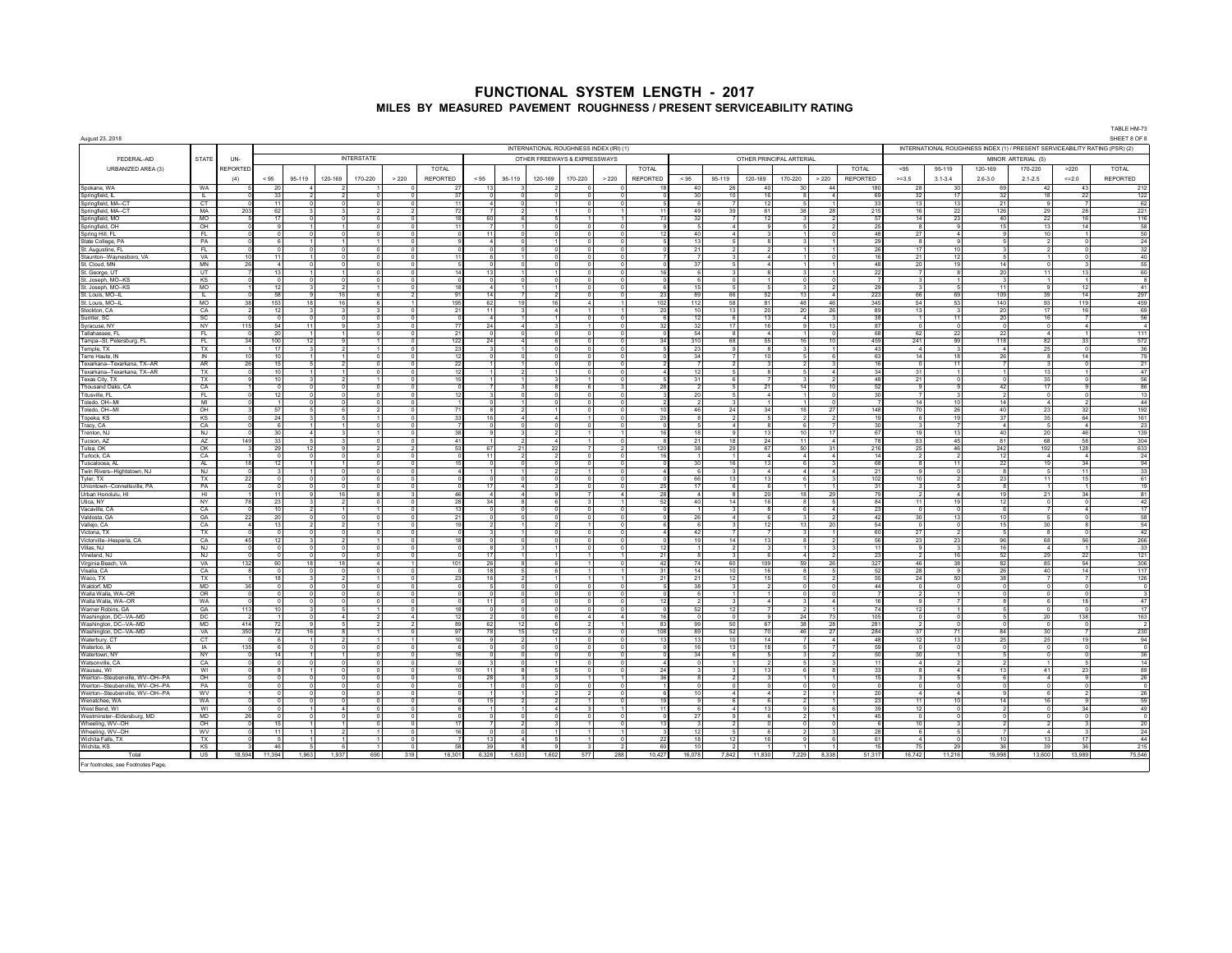| August 23, 2018                                                        |                           | INTERNATIONAL ROUGHNESS INDEX (IRI) (1)<br>INTERNATIONAL ROUGHNESS INDEX (1) / PRESENT SERVICEABILITY RATING (PSR) (2) |                 |        |                                         |                   |       |                |                 |                              |         |                              |                                  |                          | TABLE HM-73<br>SHEET 8 OF 8 |                                |                      |                                      |                                     |                       |                                |                             |                                      |              |                       |
|------------------------------------------------------------------------|---------------------------|------------------------------------------------------------------------------------------------------------------------|-----------------|--------|-----------------------------------------|-------------------|-------|----------------|-----------------|------------------------------|---------|------------------------------|----------------------------------|--------------------------|-----------------------------|--------------------------------|----------------------|--------------------------------------|-------------------------------------|-----------------------|--------------------------------|-----------------------------|--------------------------------------|--------------|-----------------------|
|                                                                        |                           |                                                                                                                        |                 |        |                                         |                   |       |                |                 |                              |         |                              |                                  |                          |                             |                                |                      |                                      |                                     |                       |                                |                             |                                      |              |                       |
| FEDERAL-AID                                                            | STATE                     | UN-                                                                                                                    |                 |        |                                         | <b>INTERSTATE</b> |       |                |                 |                              |         | OTHER FREEWAYS & EXPRESSWAYS |                                  |                          |                             |                                |                      | OTHER PRINCIPAL ARTERIAL             |                                     |                       |                                |                             | MINOR ARTERIAL (5)                   |              |                       |
| URBANIZED AREA (3)                                                     |                           | REPORTED                                                                                                               |                 |        |                                         |                   |       | TOTAL          |                 |                              |         |                              |                                  | <b>TOTAL</b>             |                             |                                |                      |                                      | <b>TOTAL</b>                        | $< 95$                | 95-119                         | 120-169                     | 170-220                              | >220         | TOTAL                 |
|                                                                        |                           | (4)                                                                                                                    | < 95            | 95-119 | 120-169                                 | 170-220           | > 220 | REPORTED       | < 95            | 95-119                       | 120-169 | 170-220                      | > 220                            | REPORTED                 | $< 95$                      | 95-119                         | 120-169              | 170-220<br>> 220                     | REPORTED                            | $>=3.5$               | $3.1 - 3.4$                    | $2.6 - 3.0$                 | $2.1 - 2.5$                          | $\leq=2.0$   | REPORTED              |
| Spokane, WA                                                            | WA                        |                                                                                                                        | 20              |        |                                         |                   |       | - 27           | - 13            |                              |         |                              |                                  |                          | -40                         | -26                            | 40                   | 30<br>44                             | 180                                 | - 28                  | - 30                           | 69                          | 42                                   | $-43$        | 212                   |
| Springfield, IL<br>Springfield, MA--CT                                 | F<br>CT                   |                                                                                                                        | 33<br>11        |        | $\Omega$                                |                   |       | 37<br>11       |                 |                              |         | $^{\circ}$<br>$\circ$        | $\Omega$                         |                          | 30<br>-6                    | 10<br>$\overline{7}$           | 16<br>12             | 8<br>5                               | - 69<br>33                          | 32<br>13              | 17<br>13                       | 32<br>21                    | 18<br>$\mathbf{q}$                   | 22           | 122<br>62             |
| Springfield, MA--CT                                                    | MA                        | 203                                                                                                                    | 62              |        |                                         |                   |       | 72             |                 |                              |         |                              |                                  |                          | 49                          | 39                             | 61                   | 38<br>28                             | 215                                 | 16                    | 22                             | 126                         | 29                                   | 28           | 221                   |
| Springfield, MO                                                        | <b>MO</b>                 |                                                                                                                        | 17              |        | $\Omega$                                |                   |       | 18             | 60              | $\kappa$                     |         |                              |                                  | 73                       | 32                          |                                | 12                   | $\mathbf{\hat{z}}$                   | 57                                  | 14                    | 23                             | 40                          | 22                                   | 16           | 116                   |
| Springfield, OH                                                        | OH                        |                                                                                                                        | $\mathbf{Q}$    |        |                                         |                   |       | 11             |                 |                              |         | $\Omega$                     | $\Omega$                         |                          | -5                          |                                |                      |                                      | 25                                  | $_{\rm 8}$            | -9                             | 15                          | 13                                   | 14           | 58                    |
| Spring Hill, FL<br>State College, PA                                   | FL.<br>PA                 |                                                                                                                        | $\kappa$        |        |                                         |                   |       |                |                 |                              |         | $\Omega$                     | $\mathbf 0$<br>$\overline{0}$    |                          | 40<br>13                    | $\overline{5}$                 | $\mathbf{R}$         | 3                                    | 48<br>- 29                          | 27<br>R               | $\overline{9}$                 | 9<br>- 5                    | 10<br>$\overline{\phantom{a}}$       |              | 50<br>24              |
| St. Augustine, FL                                                      | - FL                      |                                                                                                                        |                 |        |                                         |                   |       |                |                 |                              |         |                              |                                  | $\overline{0}$           | 21                          |                                |                      |                                      | 26                                  | 17                    | 10                             | $\overline{\mathbf{3}}$     | $\overline{2}$                       |              | 32                    |
| Staunton--Waynesboro, VA                                               | VA                        |                                                                                                                        | 11              |        |                                         |                   |       | 11             |                 |                              |         |                              | $\Omega$                         |                          |                             |                                |                      |                                      | 16                                  | 21                    | 12                             | 5                           |                                      |              | 40                    |
| St. Cloud, MN<br>St. George, UT                                        | MN<br>UT                  |                                                                                                                        | 13              |        |                                         |                   |       | 14             | 11              |                              |         |                              | $\Omega$                         |                          | 37<br>$\kappa$              | $\mathbf{R}$                   |                      | $\mathbf{\hat{z}}$                   | 48<br>-22                           | 20                    | 19<br>$\mathbf{R}$             | 14<br>20                    | $\Omega$<br>11                       | 13           | 55<br>60              |
| St. Joseph, MO--KS                                                     | KS                        |                                                                                                                        | $\overline{0}$  |        | $\circ$                                 |                   |       |                |                 | $\Omega$                     |         | $\Omega$                     |                                  | $\circ$                  | $6 \overline{6}$            | $\Omega$                       |                      | $\overline{0}$                       |                                     |                       | $\mathbf{1}$                   | $\mathbf{3}$                | $\overline{1}$                       |              | - 8                   |
| St. Joseph, MO--KS                                                     | MO                        |                                                                                                                        | 12              |        |                                         |                   |       | 18             |                 |                              |         |                              | $\mathbf 0$                      |                          | 15                          |                                |                      |                                      | 29                                  |                       |                                | 11                          | $\alpha$                             | 12           | 41                    |
| St. Louis, MO--IL                                                      | L                         |                                                                                                                        | 58              |        | 16<br>$\mathbf{Q}$                      |                   |       | 91             | 14              | 7 <sup>1</sup>               |         | $\Omega$                     | $\circ$                          | - 23                     | 89                          | 66                             | 52                   | 13<br>$\sim$                         | 223                                 | 66                    | 69                             | 109                         | 39                                   | 14           | 297                   |
| St. Louis, MO--IL<br>Stockton, CA                                      | <b>MO</b><br>CA           |                                                                                                                        | 153<br>12       | 18     | 16                                      |                   |       | 195<br>21      | 62<br>$-11$     | 19                           |         |                              |                                  | 102<br>20                | 112<br>10                   | 58<br>13                       | 81<br>20             | 48<br>46<br>20<br>26                 | 345<br>89                           | 54<br>13              | 53<br>$\mathbf{R}$             | 140<br>20                   | 93<br>17                             | 119<br>16    | 459<br>69             |
| Sumter, SC                                                             | SC                        |                                                                                                                        | $\circ$         |        | $\Omega$                                |                   |       |                |                 |                              |         | $\Omega$                     | $\circ$                          |                          | 12                          | -6                             | 13                   | $\overline{4}$                       | 38                                  |                       | 11                             | 20                          | 16                                   |              | 56                    |
| Syracuse, NY                                                           | NY                        | 115                                                                                                                    | 54              | 11     | $\Omega$                                |                   |       | 77             | 24              | $\Delta$                     |         |                              | $\Omega$                         | 32                       | 32                          | 17                             | 16                   | 13<br>$\Omega$                       | 87                                  |                       | $^{\circ}$                     | $\circ$                     | $\sqrt{2}$                           |              | $\sim$ 4              |
| Tallahassee, FL                                                        | FL<br>FL.                 |                                                                                                                        | 20<br>100       | 12     | $\mathbf{Q}$                            |                   |       | 21             |                 | $\Omega$<br>$\overline{a}$   |         | $^{\circ}$                   | $\overline{0}$<br>$\circ$        | 34                       | -54<br>310                  | -8<br>68                       | $\overline{4}$<br>55 | 1<br>$\Omega$<br>16<br>10            | 68<br>459                           | 62                    | $^{22}$<br>99                  | 22                          | $\frac{4}{3}$<br>82                  | 33           | 111<br>572            |
| Tampa--St. Petersburg, FL<br>Temple, TX                                | TX                        |                                                                                                                        | 17              |        | $\overline{2}$                          |                   |       | 122<br>23      | 24              |                              |         | $\sim$                       |                                  | $\sim$                   | 23                          | $^{\circ}$                     | $\mathbf{R}$         | $\mathbf{R}$                         | $\Delta$                            | 241<br>$\overline{A}$ | $\mathbf{R}$                   | 118<br>$\overline{A}$       | 25                                   | $\sqrt{2}$   | 36                    |
| Terre Haute, IN                                                        | IN                        |                                                                                                                        | 10              |        |                                         |                   |       | 12             |                 |                              |         |                              |                                  | $\circ$                  | 34                          |                                | 10                   |                                      | 63                                  | 14                    | 18                             | 26                          | $\mathbf{a}$                         | 14           | 79                    |
| Texarkana--Texarkana, TX--AR                                           | <b>AR</b>                 | 26                                                                                                                     | 15              |        | $\overline{2}$                          |                   |       | 22             |                 |                              |         | $\Omega$                     |                                  | $\Omega$                 | $\overline{7}$              | $\overline{2}$                 | $\mathbf{R}$         | $\mathcal{L}$                        | 16                                  | $\sqrt{2}$            | 11                             | $\overline{7}$              | $\mathbf{R}$                         | $\sqrt{2}$   | 21                    |
| Texarkana--Texarkana, TX--AR<br>Texas City, TX                         | TX<br>TX                  |                                                                                                                        | 10<br>10        |        | -1<br>$\mathcal{D}$                     |                   |       | 12<br>15       |                 | $\overline{2}$               |         | $^{\circ}$                   | $\overline{0}$<br>$\overline{0}$ |                          | 12<br>31                    | -5<br>$\kappa$                 | -8                   | -5<br>$\overline{\mathbf{a}}$        | 34<br>48                            | 31<br>21              | $\overline{1}$<br>$\circ$      | $\vert$ 1<br>$\overline{0}$ | 13<br>35                             |              | 47<br>56              |
| Thousand Oaks, CA                                                      | CA                        |                                                                                                                        | $\overline{0}$  |        | $\Omega$                                |                   |       |                |                 |                              |         | -6                           | $\overline{3}$                   | 28                       | $\overline{\phantom{a}}$    | $\overline{5}$                 | 21                   | 14<br>10                             | -52                                 | $\overline{9}$        | $\overline{9}$                 | 42                          | 17                                   |              | 86                    |
| Titusville, FL                                                         | FL.                       |                                                                                                                        | 12              |        | $\Omega$                                |                   |       | 12             |                 | $\Omega$                     |         |                              |                                  | $\overline{\phantom{a}}$ | 20                          | 5 <sub>5</sub>                 | $\overline{4}$       | $\overline{1}$                       | 30                                  |                       | $\overline{\mathbf{3}}$        | $\overline{2}$              | ō                                    |              | 13                    |
| Toledo OH--MI                                                          | MI                        |                                                                                                                        |                 |        | $\Omega$                                |                   |       |                |                 |                              |         | $\Omega$                     | $\Omega$                         |                          | $\overline{\phantom{a}}$    | $\mathbf{R}$                   |                      |                                      | $\sqrt{2}$                          | 14                    | 10                             | 14                          | $\overline{4}$                       |              | 44                    |
| Toledo, OH -- MI<br>Topeka, KS                                         | $_{\text{OH}}$<br>KS      |                                                                                                                        | 57<br>24        |        |                                         |                   |       | 71<br>33       | 16              |                              |         |                              | $\Omega$                         | $\circ$<br>25            | 46                          | 24<br>$\overline{\phantom{a}}$ | 34<br>$\overline{a}$ | 18<br>27<br>$\overline{2}$           | 148<br>19                           | 70<br>- 6             | 26<br>19                       | 40<br>37                    | 23<br>35                             | 32<br>64     | 192<br>161            |
| Tracy, CA                                                              | CA                        |                                                                                                                        | 6               |        |                                         |                   |       |                |                 |                              |         | $\Omega$                     | $\circ$                          |                          | $\sqrt{2}$                  | $\overline{a}$                 | 8                    | 6                                    | $30^{\circ}$                        |                       | $\overline{7}$                 | $\overline{4}$              | 5                                    |              | 23                    |
| Trenton, NJ                                                            | NJ                        |                                                                                                                        | 30 <sup>1</sup> |        | $\mathbf{A}$<br>$\overline{\mathbf{3}}$ |                   |       | 38             |                 | $\overline{\mathbf{3}}$      |         |                              |                                  | 11<br>16                 | 18                          | $\mathbf{Q}$                   | 13                   | 10<br>17                             | 67                                  | 19                    | 13                             | 40                          | 20                                   | 46           | 139                   |
| Tucson AZ                                                              | AZ<br>OK                  | 149                                                                                                                    | 33<br>29        | 12     | -5<br>$\mathbf{3}$                      |                   |       | 41<br>53       | 67              | $\overline{2}$<br>21         | 22      |                              | $\overline{0}$<br>$\overline{2}$ | 120                      | 21<br>38                    | 18                             | 24<br>67             | 11<br>50<br>31                       | 75<br>$\boldsymbol{\Lambda}$<br>216 | 53<br>25              | 45<br>46                       | 81<br>242                   | 68<br>192                            | 58<br>128    | 304<br>633            |
| Tulsa, OK<br>Turlock, CA                                               | CA                        |                                                                                                                        | $\sqrt{2}$      |        | $\Omega$<br>$\Omega$                    |                   |       | $\sqrt{2}$     | 11              | $\overline{2}$               |         | $\Omega$                     |                                  | $\overline{0}$<br>16     |                             | 29<br>$\mathbf{1}$             | $\overline{4}$       | $\sim$ 4<br>$\mathbf{A}$             | 14                                  | $\overline{2}$        | $\overline{\phantom{a}}$       | 12                          | $\overline{4}$                       | $\mathbf{A}$ | - 24                  |
| Tuscaloosa, AL                                                         | AL.                       |                                                                                                                        | 12              |        |                                         |                   |       |                |                 |                              |         |                              | $\circ$                          |                          | 30                          | 16                             | 13                   | 6                                    | 68                                  |                       | 11                             | 22                          | 19                                   | 34           | 94                    |
| Twin Rivers--Hightstown, NJ                                            | <b>NJ</b>                 |                                                                                                                        | 3               |        | $\Omega$                                |                   |       |                |                 |                              |         |                              | $\Omega$                         |                          | 6                           | $\mathbf{3}$                   | $\overline{4}$       | $\sim$ 4                             | 21<br>$\boldsymbol{\Lambda}$        | $\overline{9}$        | $\circ$                        | 8                           | -5                                   | 11           | 33                    |
| Tvler, TX<br>Uniontown--Connellsville, PA                              | TX<br><b>PA</b>           |                                                                                                                        | $\Omega$        |        |                                         |                   |       |                | -17             |                              |         | $\Omega$<br>$\Omega$         | $\Omega$<br>$\Omega$             | 25                       | 66<br>17                    | 13<br>6                        | 13<br>$\kappa$       | 6<br>$\overline{1}$                  | 102<br>31                           | 10                    | $\overline{\phantom{a}}$<br>-5 | 23<br>8                     | 11<br>$\overline{1}$                 | 15           | 61<br>19              |
| Urban Honolulu HI                                                      | ਾਮ                        |                                                                                                                        | 11              |        | 16                                      |                   |       | 46             |                 |                              |         | $\overline{7}$               | 4 <sub>1</sub>                   | 28                       | $\overline{a}$              | $\mathbf{a}$                   | 20                   | 18<br>29                             | 79                                  | $\overline{2}$        | $\overline{4}$                 | 19                          | 21                                   | 34           | 81                    |
| Utica, NY                                                              | NY                        |                                                                                                                        | 23              |        | $\overline{\phantom{a}}$                |                   |       | 28             | 34              |                              |         |                              |                                  | 52                       | 40                          | 14                             | 16                   | 8                                    | 84                                  | 11                    | 19                             | 12                          | $\circ$                              |              | 42                    |
| Vacaville, CA<br>Valdosta, GA                                          | CA<br>GA                  |                                                                                                                        | 10<br>20        |        | $\sim$                                  |                   |       | 13<br>21       |                 | $\Omega$                     |         | $\Omega$                     | $\Omega$<br>$\overline{0}$       |                          | 26                          | $\mathbf{3}$                   | -8                   | -61                                  | 23<br>42                            | $^{\circ}$<br>30      | $^{\circ}$<br>13               | - 6<br>10                   | $\overline{7}$                       | $\mathbf{A}$ | 17<br>58              |
| Vallejo, CA                                                            | CA                        |                                                                                                                        | 13              |        | $\overline{\phantom{a}}$                |                   |       | 19             |                 |                              |         |                              |                                  | $\Omega$                 | 6                           | $\mathbf{3}$                   | 12                   | 13<br>20                             | 54                                  | $\sqrt{2}$            | $\Omega$                       | 15                          | 30                                   | $\mathbf{R}$ | <b>54</b>             |
| Victoria, TX                                                           | TX                        |                                                                                                                        | $\overline{0}$  |        |                                         |                   |       |                |                 |                              |         |                              |                                  | $\overline{0}$           | 42                          |                                |                      |                                      | 60                                  | 27                    | $\overline{2}$                 | 5                           | $\overline{\mathbf{g}}$              |              | 42                    |
| Victorville--Hesperia, CA                                              | CA                        |                                                                                                                        | 12              |        |                                         |                   |       | 18             |                 |                              |         |                              | $\Omega$                         |                          | 19                          | 14                             | 13                   | $\mathbf{R}$                         | 56                                  | 23                    | 23                             | 96                          | 68                                   | 56           | 266                   |
| Villas N.I.<br>Vineland, NJ                                            | N.I<br><b>NJ</b>          |                                                                                                                        | $\Omega$        |        | $\Omega$                                |                   |       |                | 17              |                              |         |                              | $\Omega$                         | -12<br>21                |                             | $\overline{2}$                 |                      | $\overline{a}$                       | $-11$<br>23                         | - 9                   | $\mathbf{3}$<br>16             | 16<br>52                    | $\sim$<br>29                         | 22           | 33<br>121             |
| Virginia Beach, VA                                                     | VA                        | 132                                                                                                                    | 60              | 18     | 18                                      |                   |       | 101            | - 26            |                              |         |                              | $\Omega$                         | 42                       | 74                          | 60                             | 109                  | 59<br>26                             | 327                                 | 46                    | 38                             | 82                          | 85                                   | -54          | 306                   |
| Visalia, CA                                                            | CA<br>TX                  |                                                                                                                        |                 |        | $\overline{0}$                          |                   |       |                | $\overline{18}$ |                              |         |                              |                                  | 31                       | 14<br>21                    | 10                             | 16                   | $\overline{\mathbf{8}}$              | -52<br>55                           | 28                    | $\overline{9}$                 | 26                          | 40                                   | 14           | 117                   |
| Waco, TX<br>Waldorf, MD                                                | <b>MD</b>                 |                                                                                                                        | 18              |        |                                         |                   |       | 23             | 16              |                              |         |                              |                                  | 21                       | 38                          | 12                             | 15                   | л,                                   | 44                                  | 24                    | 50                             | 38<br>$^{\circ}$            | $\overline{7}$<br>$\Omega$           |              | 126<br>$\overline{0}$ |
| Walla Walla, WA--OR                                                    | OR                        |                                                                                                                        | $\Omega$        |        |                                         |                   |       |                |                 |                              |         |                              | $\cap$                           |                          | $\kappa$                    |                                |                      | $\sqrt{2}$                           |                                     |                       |                                | $\circ$                     | $\Omega$                             |              | 3                     |
| Walla Walla, WA--OR                                                    | WA                        |                                                                                                                        |                 |        |                                         |                   |       |                |                 |                              |         |                              | $\overline{0}$                   | 12                       |                             |                                |                      | 3                                    |                                     |                       | $\overline{7}$                 | $\overline{\mathbf{8}}$     | 6                                    | 18           | 47                    |
| Warner Robins, GA                                                      | GA<br>DC                  | 113                                                                                                                    | 10              |        | $\overline{a}$                          |                   |       | 18<br>12       |                 | $\Omega$<br>$\Omega$         |         | $\sim$                       | 4 <sup>1</sup>                   | $\circ$<br>16            | 52<br>$\Omega$              | 12<br>$\Omega$                 | $\mathbf{Q}$         | $\overline{2}$<br>24<br>73           | 74<br>105                           | 12<br>$^{\circ}$      | $\mathbf{1}$<br>$\circ$        | 5<br>$5\phantom{.0}$        | $\Omega$<br>20                       | 138          | 17<br>163             |
| Washington, DC--VA--MD<br>Washington, DC--VA--MD                       | MD                        | 414                                                                                                                    | 72              |        |                                         |                   |       | 89             | 62              | 12                           |         |                              |                                  | R <sup>2</sup>           | 99                          | 50                             | 67                   | 38<br>28                             | 281                                 |                       |                                | $^{\circ}$                  | $\Omega$                             |              |                       |
| Washington, DC--VA--MD                                                 | VA                        | 350                                                                                                                    | 72              | 16     | $\mathbf{R}$                            |                   |       | Q <sub>7</sub> | 78              | 15                           | 12      | $\mathbf{R}$                 | $\Omega$                         | 108                      | 89                          | 52                             | 70                   | 27<br>46                             | 284                                 | 37                    | 71                             | 84                          | 30                                   |              | 230                   |
| Waterbury, CT                                                          | CT                        |                                                                                                                        | 6               |        | $\mathcal{P}$                           |                   |       |                |                 | $\overline{2}$               |         | $\Omega$                     | $\overline{0}$                   |                          | 13                          | 10                             | 14                   |                                      | 48                                  | 12                    | 13                             | 25                          | 25                                   | 19           | 94                    |
| Waterloo, IA<br>Watertown, NY                                          | <b>IA</b><br>NY           | 135                                                                                                                    | $6 \mid$<br>14  |        | $\circ$                                 |                   |       |                |                 | $\overline{0}$<br>$^{\circ}$ |         | $\Omega$<br>$\Omega$         | $\mathbf{0}$                     | $\circ$                  | 16<br>34                    | 13<br>6                        | 18<br>5              | -5<br>3                              | 59<br>50                            | - 0<br>30             | $\circ$                        | $\circ$<br>5                | $\circ$<br>$\circ$                   |              | $\circ$<br>36         |
| Watsonville, CA                                                        | CA                        |                                                                                                                        |                 |        |                                         |                   |       |                |                 |                              |         |                              | $\mathbf 0$                      |                          |                             |                                |                      |                                      | 11                                  |                       |                                | $\overline{2}$              |                                      |              | 14                    |
| Wausau, WI                                                             | WI                        |                                                                                                                        |                 |        | $\Omega$                                |                   |       | 10             | 11              | $\mathbf{R}$                 |         | $\sim$                       |                                  | $\sim$<br>24             |                             |                                | 13                   | -6                                   | ่จุง                                | $\mathbf{R}$          | $\overline{A}$                 | 13                          | 41                                   | 23           | 89                    |
| Weirton--Steubenville, WV--OH--PA                                      | OH                        |                                                                                                                        |                 |        |                                         |                   |       |                | 28              |                              |         |                              |                                  |                          |                             |                                |                      |                                      |                                     |                       | 5                              | 6                           | $\overline{a}$                       |              | 26                    |
| Weirton--Steubenville, WV--OH--PA<br>Weirton--Steubenville, WV--OH--PA | PA<br><b>WV</b>           |                                                                                                                        | $\Omega$        |        | $\Omega$                                |                   |       |                |                 | $\Omega$                     |         |                              | $\Omega$<br>$\Omega$             |                          | $\Omega$<br>10              | $\Omega$                       |                      | $\Omega$<br>$\overline{\phantom{a}}$ | 20                                  |                       | $^{\circ}$<br>$\sim$           | $\circ$<br>-9               | $\Omega$<br>6                        |              | $\circ$<br>26         |
| Wenatchee, WA                                                          | WA                        |                                                                                                                        |                 |        |                                         |                   |       |                | 15              |                              |         |                              | $\mathbf 0$                      |                          |                             |                                |                      |                                      | $\overline{2}$                      | 11                    | 10                             | 14                          | 16                                   |              | 59                    |
| West Bend, WI                                                          | WI                        |                                                                                                                        | $\overline{0}$  |        | $\overline{4}$                          |                   |       |                |                 |                              |         | $\mathbf{3}$                 |                                  | 11<br>11                 | 6                           | $\sim$                         | 13                   | 9                                    | -39                                 | 12                    | $\overline{0}$                 | $\overline{2}$              | $\overline{\phantom{0}}$             | 34           | 49                    |
| Westminster-Eldersburg, MD<br>Wheeling, WV-OH                          | MD.<br>O <sub>H</sub>     |                                                                                                                        | 15              |        |                                         |                   |       | 17             |                 | $\mathcal{P}$                |         |                              | $\Omega$                         | $\Omega$<br>13           | 27<br>$\mathbf{3}$          | $\mathcal{P}$                  | $\Omega$             | $\Omega$                             | 45                                  | 10                    | $\mathbf{3}$                   | $\circ$<br>$\overline{2}$   | $\Omega$<br>$\overline{\phantom{a}}$ |              | $\overline{0}$<br>20  |
| Wheeling, WV-OH                                                        | WV                        |                                                                                                                        | 11              |        |                                         |                   |       |                |                 |                              |         |                              |                                  |                          | 12                          |                                |                      |                                      | 28                                  | -6                    |                                | $\overline{7}$              | $\overline{a}$                       |              | 24                    |
| Wichita Falls, TX                                                      | <b>TX</b>                 |                                                                                                                        | $\sim$          |        |                                         |                   |       |                | 13              | $\Delta$                     |         | $\blacktriangleleft$         |                                  | $\sim$<br>22             | 18                          | 12                             | 16                   | $\alpha$                             | 61                                  | $\overline{A}$        | $\sim$                         | 10                          | 13                                   | 17           | 44                    |
| Wichita, KS                                                            | KS                        |                                                                                                                        | 46              |        |                                         |                   |       | 58             | 39              |                              |         |                              | $\mathcal{P}$                    | 60                       | 10 <sup>1</sup>             |                                |                      |                                      |                                     | 75                    | 29                             | 36                          | 39                                   | 36           | 215                   |
| Total                                                                  | $\overline{\mathsf{u}}$ s | 18,594                                                                                                                 | 11,394          | 1,963  | 1,937                                   | 690               | 318   | 16,301         | 6,328           | 1,633                        | 1,602   | 577                          | 288                              | 10,427                   | 16,078                      | 7,842                          | 11,830               | 7,229<br>8,338                       | 51,317                              | 16,742                | 11,216                         | 19,998                      | 13,600                               | 13,989       | 75,546                |
| For footnotes, see Footnotes Page.                                     |                           |                                                                                                                        |                 |        |                                         |                   |       |                |                 |                              |         |                              |                                  |                          |                             |                                |                      |                                      |                                     |                       |                                |                             |                                      |              |                       |

TABLE HM-73